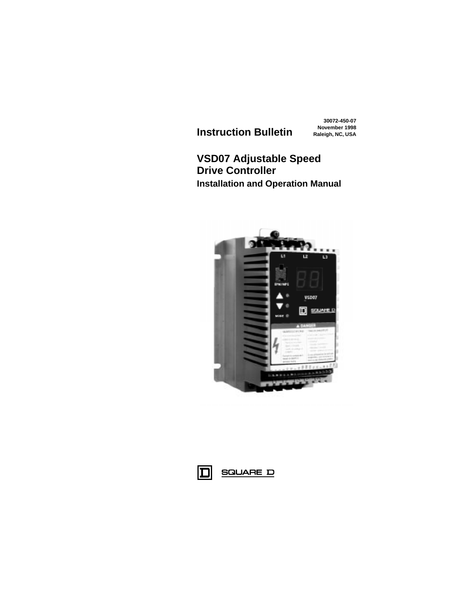**November 1998 Instruction Bulletin Raleigh, NC, USA**

**30072-450-07**

## **VSD07 Adjustable Speed Drive Controller Installation and Operation Manual**



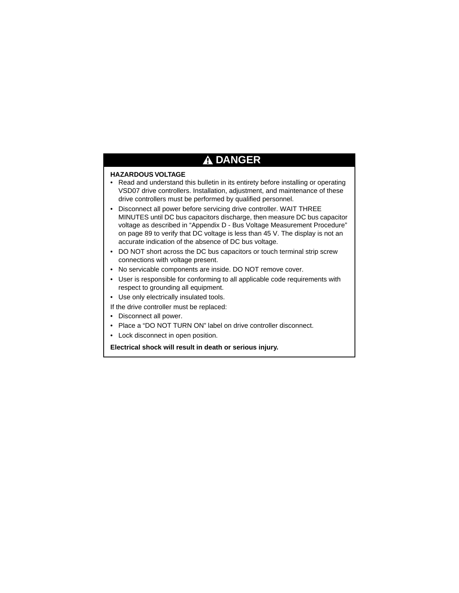# **DANGER**

## **HAZARDOUS VOLTAGE**

- Read and understand this bulletin in its entirety before installing or operating VSD07 drive controllers. Installation, adjustment, and maintenance of these drive controllers must be performed by qualified personnel.
- Disconnect all power before servicing drive controller. WAIT THREE MINUTES until DC bus capacitors discharge, then measure DC bus capacitor voltage as described in ["Appendix D - Bus Voltage Measurement Procedure"](#page-92-0)  [on page 89](#page-92-0) to verify that DC voltage is less than 45 V. The display is not an accurate indication of the absence of DC bus voltage.
- DO NOT short across the DC bus capacitors or touch terminal strip screw connections with voltage present.
- No servicable components are inside. DO NOT remove cover.
- User is responsible for conforming to all applicable code requirements with respect to grounding all equipment.
- Use only electrically insulated tools.

If the drive controller must be replaced:

- Disconnect all power.
- Place a "DO NOT TURN ON" label on drive controller disconnect.
- Lock disconnect in open position.

**Electrical shock will result in death or serious injury.**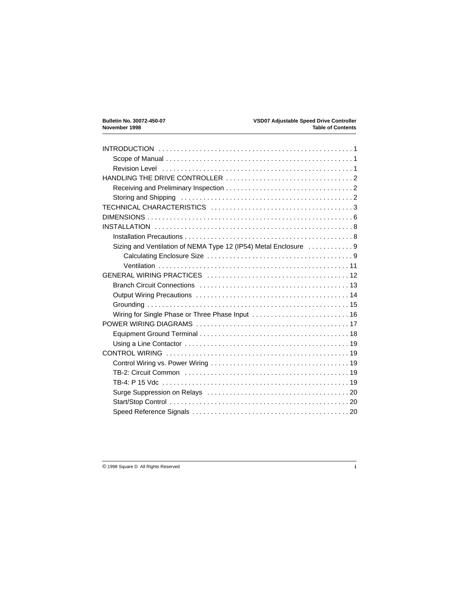| Sizing and Ventilation of NEMA Type 12 (IP54) Metal Enclosure  9 |
|------------------------------------------------------------------|
|                                                                  |
|                                                                  |
|                                                                  |
|                                                                  |
|                                                                  |
|                                                                  |
| Wiring for Single Phase or Three Phase Input  16                 |
|                                                                  |
|                                                                  |
|                                                                  |
|                                                                  |
|                                                                  |
|                                                                  |
|                                                                  |
|                                                                  |
|                                                                  |
|                                                                  |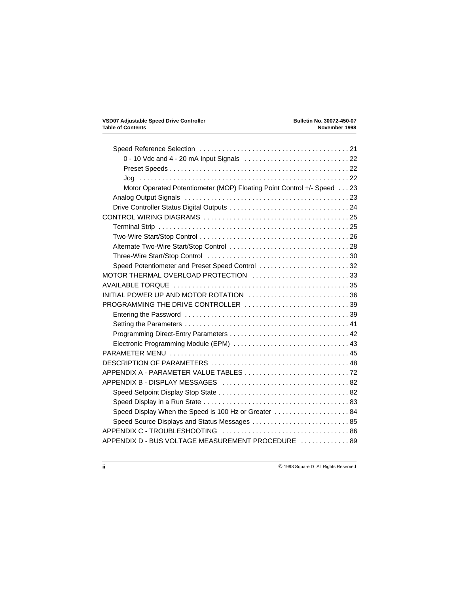| Motor Operated Potentiometer (MOP) Floating Point Control +/- Speed 23 |  |
|------------------------------------------------------------------------|--|
|                                                                        |  |
|                                                                        |  |
|                                                                        |  |
|                                                                        |  |
|                                                                        |  |
|                                                                        |  |
|                                                                        |  |
| Speed Potentiometer and Preset Speed Control 32                        |  |
| MOTOR THERMAL OVERLOAD PROTECTION 33                                   |  |
|                                                                        |  |
| INITIAL POWER UP AND MOTOR ROTATION 36                                 |  |
| PROGRAMMING THE DRIVE CONTROLLER 39                                    |  |
|                                                                        |  |
|                                                                        |  |
|                                                                        |  |
|                                                                        |  |
|                                                                        |  |
|                                                                        |  |
|                                                                        |  |
|                                                                        |  |
|                                                                        |  |
|                                                                        |  |
| Speed Display When the Speed is 100 Hz or Greater  84                  |  |
|                                                                        |  |
|                                                                        |  |
| APPENDIX D - BUS VOLTAGE MEASUREMENT PROCEDURE  89                     |  |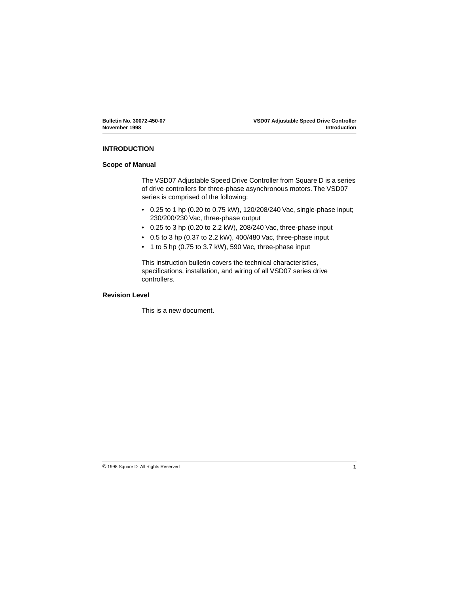#### **INTRODUCTION**

#### **Scope of Manual**

The VSD07 Adjustable Speed Drive Controller from Square D is a series of drive controllers for three-phase asynchronous motors. The VSD07 series is comprised of the following:

- 0.25 to 1 hp (0.20 to 0.75 kW), 120/208/240 Vac, single-phase input; 230/200/230 Vac, three-phase output
- 0.25 to 3 hp (0.20 to 2.2 kW), 208/240 Vac, three-phase input
- $\cdot$  0.5 to 3 hp (0.37 to 2.2 kW), 400/480 Vac, three-phase input
- 1 to 5 hp (0.75 to 3.7 kW), 590 Vac, three-phase input

This instruction bulletin covers the technical characteristics, specifications, installation, and wiring of all VSD07 series drive controllers.

#### **Revision Level**

This is a new document.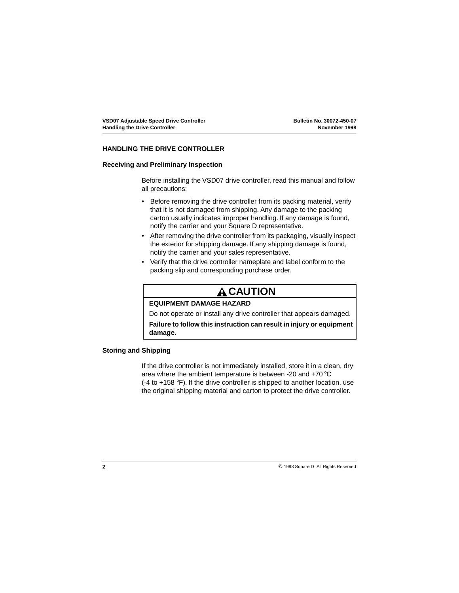## **HANDLING THE DRIVE CONTROLLER**

## **Receiving and Preliminary Inspection**

Before installing the VSD07 drive controller, read this manual and follow all precautions:

- Before removing the drive controller from its packing material, verify that it is not damaged from shipping. Any damage to the packing carton usually indicates improper handling. If any damage is found, notify the carrier and your Square D representative.
- After removing the drive controller from its packaging, visually inspect the exterior for shipping damage. If any shipping damage is found, notify the carrier and your sales representative.
- Verify that the drive controller nameplate and label conform to the packing slip and corresponding purchase order.

# **A CAUTION**

## **EQUIPMENT DAMAGE HAZARD**

Do not operate or install any drive controller that appears damaged.

**Failure to follow this instruction can result in injury or equipment damage.**

## **Storing and Shipping**

If the drive controller is not immediately installed, store it in a clean, dry area where the ambient temperature is between -20 and +70 °C (-4 to +158 °F). If the drive controller is shipped to another location, use the original shipping material and carton to protect the drive controller.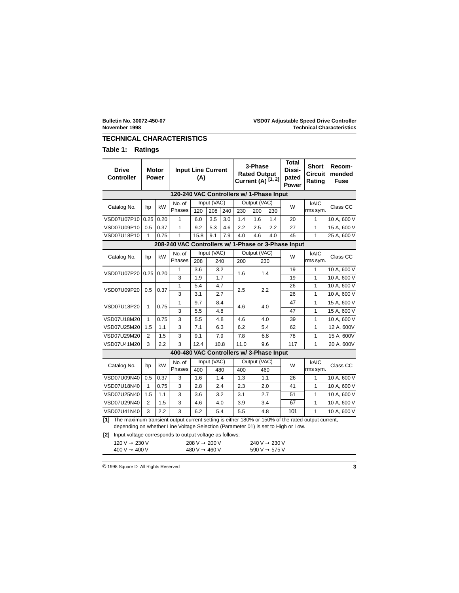## <span id="page-6-0"></span>**TECHNICAL CHARACTERISTICS**

## **Table 1: Ratings**

| <b>Drive</b><br><b>Controller</b>                                                                                                                                                         |                | <b>Motor</b><br><b>Power</b> | <b>Input Line Current</b><br>(A)         |      |                     |     | 3-Phase<br><b>Rated Output</b><br>Current (A) [1, 2] |                     | <b>Total</b><br>Dissi-<br>pated<br>Power | <b>Short</b><br><b>Circuit</b><br>Rating | Recom-<br>mended<br><b>Fuse</b> |             |  |
|-------------------------------------------------------------------------------------------------------------------------------------------------------------------------------------------|----------------|------------------------------|------------------------------------------|------|---------------------|-----|------------------------------------------------------|---------------------|------------------------------------------|------------------------------------------|---------------------------------|-------------|--|
| 120-240 VAC Controllers w/ 1-Phase Input                                                                                                                                                  |                |                              |                                          |      |                     |     |                                                      |                     |                                          |                                          |                                 |             |  |
| Catalog No.                                                                                                                                                                               | hp             | kW                           | No. of<br>Phases                         | 120  | Input (VAC)<br>208  | 240 | 230                                                  | Output (VAC)<br>200 | 230                                      | W                                        | kAIC<br>rms sym.                | Class CC    |  |
| VSD07U07P10                                                                                                                                                                               | 0.25           | 0.20                         | $\mathbf{1}$                             | 6.0  | 3.5                 | 3.0 | 1.4                                                  | 1.6                 | 1.4                                      | 20                                       | $\mathbf{1}$                    | 10 A, 600 V |  |
| VSD07U09P10                                                                                                                                                                               | 0.5            | 0.37                         | 1                                        | 9.2  | 5.3                 | 4.6 | 2.2                                                  | 2.5                 | 2.2                                      | 27                                       | $\mathbf{1}$                    | 15 A, 600 V |  |
| VSD07U18P10                                                                                                                                                                               | 1              | 0.75                         | 1                                        | 15.8 | 9.1                 | 7.9 | 4.0                                                  | 4.6                 | 4.0                                      | 45                                       | 1                               | 25 A, 600 V |  |
| 208-240 VAC Controllers w/ 1-Phase or 3-Phase Input                                                                                                                                       |                |                              |                                          |      |                     |     |                                                      |                     |                                          |                                          |                                 |             |  |
|                                                                                                                                                                                           |                |                              | No. of                                   |      | Input (VAC)         |     |                                                      | Output (VAC)        |                                          |                                          | kAIC                            |             |  |
| Catalog No.                                                                                                                                                                               | hp             | kW                           | Phases                                   | 208  | 240                 |     | 200                                                  |                     | 230                                      | W                                        | rms sym.                        | Class CC    |  |
|                                                                                                                                                                                           |                |                              | $\mathbf{1}$                             | 3.6  | 3.2                 |     |                                                      |                     |                                          | 19                                       | $\mathbf{1}$                    | 10 A, 600 V |  |
| VSD07U07P20                                                                                                                                                                               | 0.25           | 0.20                         | 3                                        | 1.9  |                     | 1.7 | 1.6                                                  |                     | 1.4                                      | 19                                       | $\mathbf{1}$                    | 10 A, 600 V |  |
|                                                                                                                                                                                           |                |                              | 1                                        | 5.4  | 4.7                 |     |                                                      |                     | 2.2                                      | 26                                       | 1                               | 10 A, 600 V |  |
| VSD07U09P20                                                                                                                                                                               | 0.5            | 0.37                         | 3                                        | 3.1  |                     | 2.7 | 2.5                                                  |                     |                                          | 26                                       | 1                               | 10 A, 600 V |  |
|                                                                                                                                                                                           | $\mathbf{1}$   |                              | 1                                        | 9.7  |                     | 8.4 |                                                      |                     |                                          | 47                                       | $\mathbf{1}$                    | 15 A, 600 V |  |
| VSD07U18P20                                                                                                                                                                               |                | 0.75                         | 3                                        | 5.5  | 4.8                 |     | 4.6                                                  | 4.0                 |                                          | 47                                       | 1                               | 15 A, 600 V |  |
| VSD07U18M20                                                                                                                                                                               | 1              | 0.75                         | 3                                        | 5.5  | 4.8                 |     | 4.6                                                  |                     | 4.0                                      | 39                                       | 1                               | 10 A, 600 V |  |
| VSD07U25M20                                                                                                                                                                               | 1.5            | 1.1                          | 3                                        | 7.1  |                     | 6.3 | 6.2                                                  |                     | 5.4                                      | 62                                       | 1                               | 12 A, 600V  |  |
| VSD07U29M20                                                                                                                                                                               | $\overline{2}$ | 1.5                          | 3                                        | 9.1  | 7.9                 |     | 7.8                                                  |                     | 6.8                                      | 78                                       | 1                               | 15 A, 600V  |  |
| VSD07U41M20                                                                                                                                                                               | 3              | 2.2                          | 3                                        | 12.4 | 10.8<br>11.0<br>9.6 |     | 117                                                  | 1                   | 20 A, 600V                               |                                          |                                 |             |  |
|                                                                                                                                                                                           |                |                              | 400-480 VAC Controllers w/ 3-Phase Input |      |                     |     |                                                      |                     |                                          |                                          |                                 |             |  |
| Catalog No.                                                                                                                                                                               | hp             | kW                           | No. of                                   |      | Input (VAC)         |     |                                                      | Output (VAC)        |                                          | W                                        | kAIC                            | Class CC    |  |
|                                                                                                                                                                                           |                |                              | Phases                                   | 400  |                     | 480 | 400                                                  |                     | 460                                      |                                          | rms sym.                        |             |  |
| VSD07U09N40                                                                                                                                                                               | 0.5            | 0.37                         | 3                                        | 1.6  |                     | 1.4 | 1.3                                                  |                     | 1.1                                      | 26                                       | $\mathbf{1}$                    | 10 A, 600 V |  |
| VSD07U18N40                                                                                                                                                                               | $\mathbf{1}$   | 0.75                         | 3                                        | 2.8  |                     | 2.4 | 2.3                                                  |                     | 2.0                                      | 41                                       | 1                               | 10 A, 600 V |  |
| VSD07U25N40                                                                                                                                                                               | 1.5            | 1.1                          | 3                                        | 3.6  |                     | 3.2 | 3.1                                                  |                     | 2.7                                      | 51                                       | 1                               | 10 A, 600 V |  |
| VSD07U29N40                                                                                                                                                                               | 2              | 1.5                          | 3                                        | 4.6  |                     | 4.0 | 3.9                                                  |                     | 3.4                                      | 67                                       | 1                               | 10 A, 600 V |  |
| VSD07U41N40                                                                                                                                                                               | 3              | 2.2                          | 3                                        | 6.2  |                     | 5.4 | 5.5                                                  |                     | 4.8                                      | 101                                      | $\mathbf{1}$                    | 10 A, 600 V |  |
| [1] The maximum transient output current setting is either 180% or 150% of the rated output current,<br>depending on whether Line Voltage Selection (Parameter 01) is set to High or Low. |                |                              |                                          |      |                     |     |                                                      |                     |                                          |                                          |                                 |             |  |

**[2]** Input voltage corresponds to output voltage as follows:

| $120 \text{ V} \rightarrow 230 \text{ V}$ | $208 \text{ V} \rightarrow 200 \text{ V}$ | 240 V $\rightarrow$ 230 V |
|-------------------------------------------|-------------------------------------------|---------------------------|
| $400 \text{ V} \rightarrow 400 \text{ V}$ | $480 \text{ V} \rightarrow 460 \text{ V}$ | $590 V \rightarrow 575 V$ |

© 1998 Square D All Rights Reserved **3**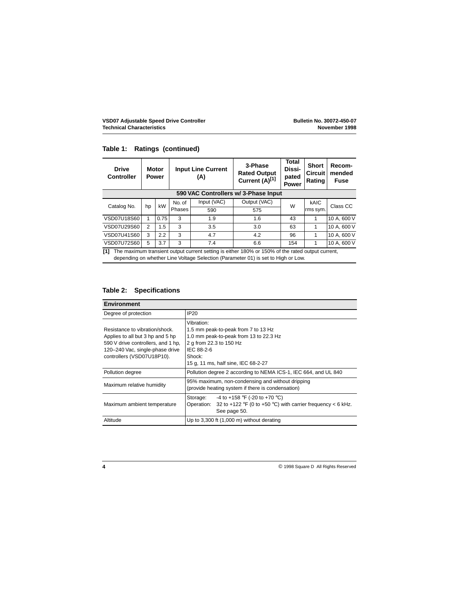| Table 1: Ratings (continued) |  |  |  |
|------------------------------|--|--|--|
|------------------------------|--|--|--|

| <b>Drive</b><br><b>Controller</b>    |    | <b>Input Line Current</b><br><b>Motor</b><br><b>Power</b><br>(A) |        |             | 3-Phase<br><b>Rated Output</b><br>Current (A)[1] | <b>Total</b><br>Dissi-<br>pated<br><b>Power</b> | <b>Short</b><br><b>Circuit</b><br>Rating | Recom-<br>mended<br>Fuse |
|--------------------------------------|----|------------------------------------------------------------------|--------|-------------|--------------------------------------------------|-------------------------------------------------|------------------------------------------|--------------------------|
| 590 VAC Controllers w/ 3-Phase Input |    |                                                                  |        |             |                                                  |                                                 |                                          |                          |
| Catalog No.                          | hp | kW                                                               | No. of | Input (VAC) | Output (VAC)                                     | W                                               | kAIC                                     | Class CC                 |
|                                      |    |                                                                  | Phases | 590         | 575                                              |                                                 | rms sym.                                 |                          |
| VSD07U18S60                          |    | 0.75                                                             | 3      | 1.9         | 1.6                                              | 43                                              |                                          | 10 A, 600 V              |
| VSD07U29S60                          | 2  | 1.5                                                              | 3      | 3.5         | 3.0                                              | 63                                              |                                          | 10 A, 600 V              |
| VSD07U41S60                          | 3  | 2.2                                                              | 3      | 4.7         | 4.2                                              | 96                                              |                                          | 10 A, 600 V              |
| VSD07U72S60                          | 5  | 3.7                                                              | 3      | 7.4         | 6.6                                              | 154                                             |                                          | 10 A, 600 V              |

**[1]** The maximum transient output current setting is either 180% or 150% of the rated output current, depending on whether Line Voltage Selection (Parameter 01) is set to High or Low.

## **Table 2: Specifications**

| <b>Environment</b>                                                                                                                                                        |                                                                                                                                                                                       |
|---------------------------------------------------------------------------------------------------------------------------------------------------------------------------|---------------------------------------------------------------------------------------------------------------------------------------------------------------------------------------|
| Degree of protection                                                                                                                                                      | <b>IP20</b>                                                                                                                                                                           |
| Resistance to vibration/shock.<br>Applies to all but 3 hp and 5 hp<br>590 V drive controllers, and 1 hp.<br>120-240 Vac, single-phase drive<br>controllers (VSD07U18P10). | Vibration:<br>1.5 mm peak-to-peak from 7 to 13 Hz<br>1.0 mm peak-to-peak from 13 to 22.3 Hz<br>2 g from 22.3 to 150 Hz<br>IEC 88-2-6<br>Shock:<br>15 g, 11 ms, half sine, IEC 68-2-27 |
| Pollution degree                                                                                                                                                          | Pollution degree 2 according to NEMA ICS-1, IEC 664, and UL 840                                                                                                                       |
| Maximum relative humidity                                                                                                                                                 | 95% maximum, non-condensing and without dripping<br>(provide heating system if there is condensation)                                                                                 |
| Maximum ambient temperature                                                                                                                                               | -4 to +158 °F (-20 to +70 °C)<br>Storage:<br>Operation: 32 to +122 °F (0 to +50 °C) with carrier frequency < 6 kHz.<br>See page 50.                                                   |
| Altitude                                                                                                                                                                  | Up to 3,300 ft (1,000 m) without derating                                                                                                                                             |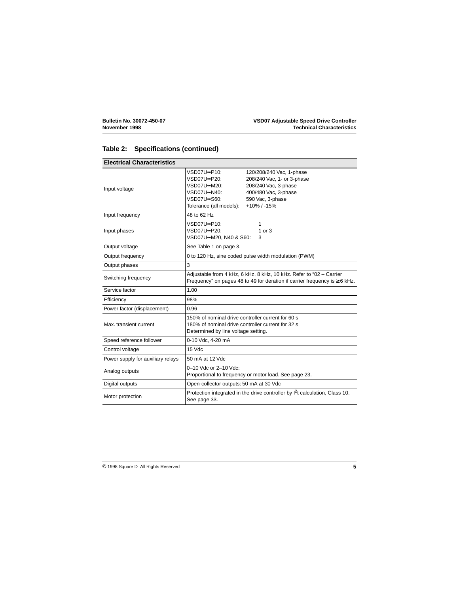## **Table 2: Specifications (continued)**

| <b>Electrical Characteristics</b> |                                                                                                                                                       |                                                                                                                                                        |
|-----------------------------------|-------------------------------------------------------------------------------------------------------------------------------------------------------|--------------------------------------------------------------------------------------------------------------------------------------------------------|
| Input voltage                     | VSD07U <sup>*</sup> P10:<br>VSD07U <sup>*</sup> P20:<br>VSD07U <sup>-M20:</sup><br>VSD07U <sup>*</sup> N40:<br>VSD07U-S60:<br>Tolerance (all models): | 120/208/240 Vac, 1-phase<br>208/240 Vac, 1- or 3-phase<br>208/240 Vac, 3-phase<br>400/480 Vac, 3-phase<br>590 Vac, 3-phase<br>$+10\%$ / -15%           |
| Input frequency                   | 48 to 62 Hz                                                                                                                                           |                                                                                                                                                        |
| Input phases                      | VSD07U-P10:<br>VSD07U-P20:<br>VSD07U--M20, N40 & S60:                                                                                                 | 1<br>1 or $3$<br>3                                                                                                                                     |
| Output voltage                    | See Table 1 on page 3.                                                                                                                                |                                                                                                                                                        |
| Output frequency                  |                                                                                                                                                       | 0 to 120 Hz, sine coded pulse width modulation (PWM)                                                                                                   |
| Output phases                     | 3                                                                                                                                                     |                                                                                                                                                        |
| Switching frequency               |                                                                                                                                                       | Adjustable from 4 kHz, 6 kHz, 8 kHz, 10 kHz. Refer to "02 - Carrier<br>Frequency" on pages 48 to 49 for deration if carrier frequency is $\geq 6$ kHz. |
| Service factor                    | 1.00                                                                                                                                                  |                                                                                                                                                        |
| Efficiency                        | 98%                                                                                                                                                   |                                                                                                                                                        |
| Power factor (displacement)       | 0.96                                                                                                                                                  |                                                                                                                                                        |
| Max. transient current            | 150% of nominal drive controller current for 60 s<br>180% of nominal drive controller current for 32 s<br>Determined by line voltage setting.         |                                                                                                                                                        |
| Speed reference follower          | 0-10 Vdc, 4-20 mA                                                                                                                                     |                                                                                                                                                        |
| Control voltage                   | 15 Vdc                                                                                                                                                |                                                                                                                                                        |
| Power supply for auxiliary relays | 50 mA at 12 Vdc                                                                                                                                       |                                                                                                                                                        |
| Analog outputs                    | 0-10 Vdc or 2-10 Vdc:                                                                                                                                 | Proportional to frequency or motor load. See page 23.                                                                                                  |
| Digital outputs                   | Open-collector outputs: 50 mA at 30 Vdc                                                                                                               |                                                                                                                                                        |
| Motor protection                  | See page 33.                                                                                                                                          | Protection integrated in the drive controller by $1^2$ t calculation, Class 10.                                                                        |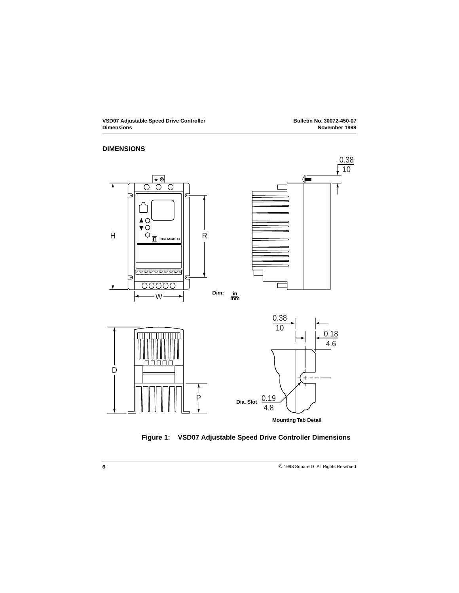## **DIMENSIONS**



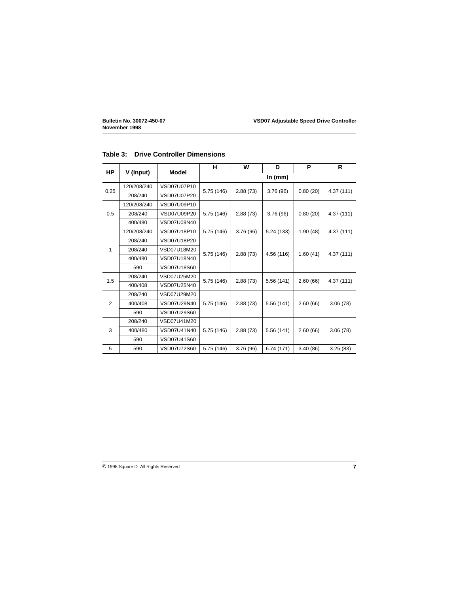| HP             |             | Model       | н          | w         | D          | P        | R          |  |
|----------------|-------------|-------------|------------|-----------|------------|----------|------------|--|
|                | V (Input)   |             |            | In $(mm)$ |            |          |            |  |
| 0.25           | 120/208/240 | VSD07U07P10 | 5.75 (146) | 2.88(73)  | 3.76(96)   | 0.80(20) | 4.37 (111) |  |
|                | 208/240     | VSD07U07P20 |            |           |            |          |            |  |
|                | 120/208/240 | VSD07U09P10 |            |           |            |          |            |  |
| 0.5            | 208/240     | VSD07U09P20 | 5.75 (146) | 2.88(73)  | 3.76 (96)  | 0.80(20) | 4.37(111)  |  |
|                | 400/480     | VSD07U09N40 |            |           |            |          |            |  |
|                | 120/208/240 | VSD07U18P10 | 5.75 (146) | 3.76 (96) | 5.24(133)  | 1.90(48) | 4.37(111)  |  |
|                | 208/240     | VSD07U18P20 |            |           |            |          |            |  |
| 1              | 208/240     | VSD07U18M20 | 5.75 (146) | 2.88(73)  | 4.56 (116) | 1.60(41) | 4.37(111)  |  |
|                | 400/480     | VSD07U18N40 |            |           |            |          |            |  |
|                | 590         | VSD07U18S60 |            |           |            |          |            |  |
| 1.5            | 208/240     | VSD07U25M20 |            | 2.88(73)  | 5.56 (141) | 2.60(66) | 4.37 (111) |  |
|                | 400/408     | VSD07U25N40 | 5.75 (146) |           |            |          |            |  |
|                | 208/240     | VSD07U29M20 |            |           |            |          |            |  |
| $\overline{2}$ | 400/408     | VSD07U29N40 | 5.75 (146) | 2.88(73)  | 5.56(141)  | 2.60(66) | 3.06(78)   |  |
|                | 590         | VSD07U29S60 |            |           |            |          |            |  |
|                | 208/240     | VSD07U41M20 |            |           |            |          |            |  |
| 3              | 400/480     | VSD07U41N40 | 5.75 (146) | 2.88(73)  | 5.56 (141) | 2.60(66) | 3.06(78)   |  |
|                | 590         | VSD07U41S60 |            |           |            |          |            |  |
| 5              | 590         | VSD07U72S60 | 5.75 (146) | 3.76 (96) | 6.74 (171) | 3.40(86) | 3.25(83)   |  |

## **Table 3: Drive Controller Dimensions**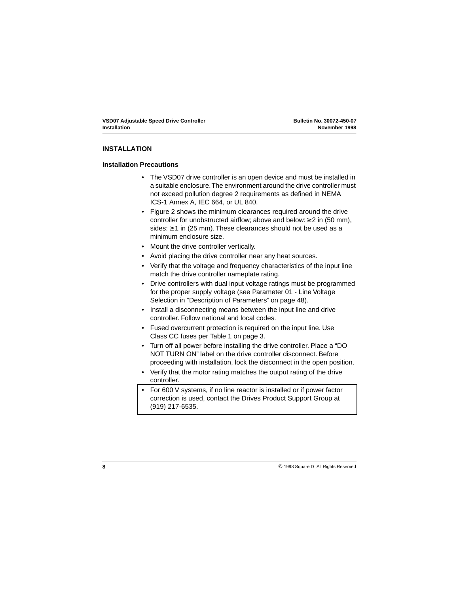## <span id="page-11-0"></span>**INSTALLATION**

## **Installation Precautions**

- The VSD07 drive controller is an open device and must be installed in a suitable enclosure. The environment around the drive controller must not exceed pollution degree 2 requirements as defined in NEMA ICS-1 Annex A, IEC 664, or UL 840.
- • [Figure 2](#page-12-0) shows the minimum clearances required around the drive controller for unobstructed airflow; above and below:  $\geq 2$  in (50 mm), sides:  $\geq$  1 in (25 mm). These clearances should not be used as a minimum enclosure size.
- Mount the drive controller vertically.
- Avoid placing the drive controller near any heat sources.
- Verify that the voltage and frequency characteristics of the input line match the drive controller nameplate rating.
- Drive controllers with dual input voltage ratings must be programmed for the proper supply voltage (see Parameter 01 - Line Voltage Selection in ["Description of Parameters" on page 48](#page-51-0)).
- Install a disconnecting means between the input line and drive controller. Follow national and local codes.
- Fused overcurrent protection is required on the input line. Use Class CC fuses per [Table 1 on page 3](#page-6-0).
- Turn off all power before installing the drive controller. Place a "DO NOT TURN ON" label on the drive controller disconnect. Before proceeding with installation, lock the disconnect in the open position.
- Verify that the motor rating matches the output rating of the drive controller.
- For 600 V systems, if no line reactor is installed or if power factor correction is used, contact the Drives Product Support Group at (919) 217-6535.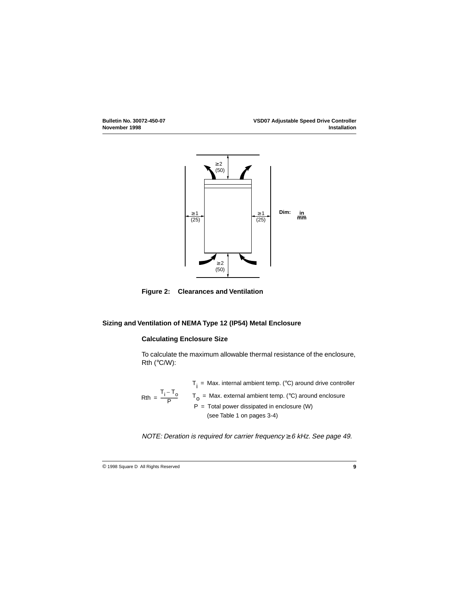<span id="page-12-0"></span>

**Figure 2: Clearances and Ventilation**

## **Sizing and Ventilation of NEMA Type 12 (IP54) Metal Enclosure**

#### **Calculating Enclosure Size**

To calculate the maximum allowable thermal resistance of the enclosure, Rth (°C/W):

Rth =  $\frac{T_i - T_o}{P}$  T<sub>o</sub> = Max. external ambient temp. (°C) around enclosure  $P =$  Total power dissipated in enclosure (W)  $T_i$  = Max. internal ambient temp. (°C) around drive controller (see Table 1 on pages 3-4)

NOTE: Deration is required for carrier frequency  $\geq 6$  kHz. See [page 49](#page-52-0).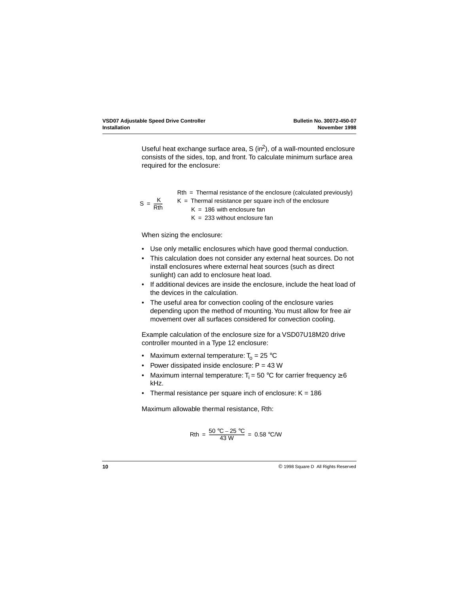Useful heat exchange surface area,  $S$  (in<sup>2</sup>), of a wall-mounted enclosure consists of the sides, top, and front. To calculate minimum surface area required for the enclosure:

 $Rth = Thermal resistance of the enclosure (calculated previously)$ 

$$
S = \frac{K}{Rth}
$$

- $K =$  Thermal resistance per square inch of the enclosure  $K = 186$  with enclosure fan
	- $K = 233$  without enclosure fan

When sizing the enclosure:

- Use only metallic enclosures which have good thermal conduction.
- This calculation does not consider any external heat sources. Do not install enclosures where external heat sources (such as direct sunlight) can add to enclosure heat load.
- If additional devices are inside the enclosure, include the heat load of the devices in the calculation.
- The useful area for convection cooling of the enclosure varies depending upon the method of mounting. You must allow for free air movement over all surfaces considered for convection cooling.

Example calculation of the enclosure size for a VSD07U18M20 drive controller mounted in a Type 12 enclosure:

- Maximum external temperature:  $T_0 = 25$  °C
- Power dissipated inside enclosure:  $P = 43 W$
- Maximum internal temperature:  $T_i = 50$  °C for carrier frequency  $\geq 6$ kHz.
- Thermal resistance per square inch of enclosure:  $K = 186$

Maximum allowable thermal resistance, Rth:

$$
Rth = \frac{50 \text{ °C} - 25 \text{ °C}}{43 \text{ W}} = 0.58 \text{ °C/W}
$$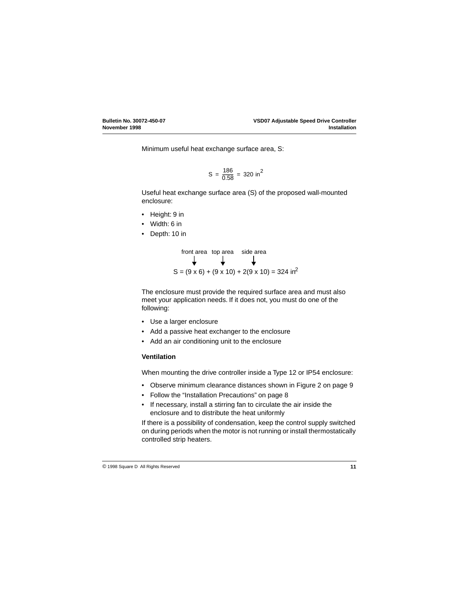Minimum useful heat exchange surface area, S:

$$
S = \frac{186}{0.58} = 320 \text{ in}^2
$$

Useful heat exchange surface area (S) of the proposed wall-mounted enclosure:

- Height: 9 in
- Width: 6 in
- Depth: 10 in



The enclosure must provide the required surface area and must also meet your application needs. If it does not, you must do one of the following:

- Use a larger enclosure
- Add a passive heat exchanger to the enclosure
- Add an air conditioning unit to the enclosure

## **Ventilation**

When mounting the drive controller inside a Type 12 or IP54 enclosure:

- Observe minimum clearance distances shown in [Figure 2 on page 9](#page-12-0)
- Follow the ["Installation Precautions" on page 8](#page-11-0)
- If necessary, install a stirring fan to circulate the air inside the enclosure and to distribute the heat uniformly

If there is a possibility of condensation, keep the control supply switched on during periods when the motor is not running or install thermostatically controlled strip heaters.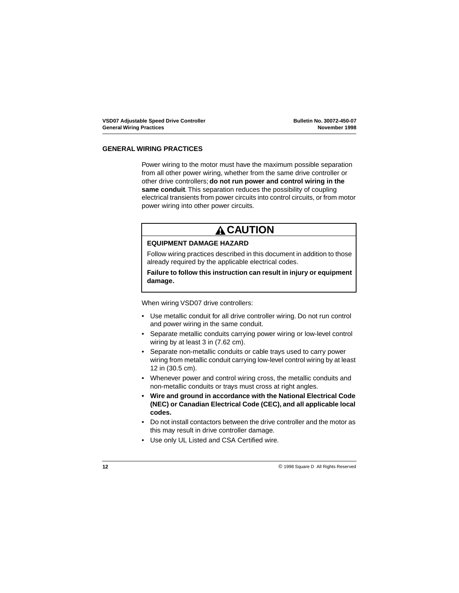#### **GENERAL WIRING PRACTICES**

Power wiring to the motor must have the maximum possible separation from all other power wiring, whether from the same drive controller or other drive controllers; **do not run power and control wiring in the same conduit**. This separation reduces the possibility of coupling electrical transients from power circuits into control circuits, or from motor power wiring into other power circuits.

## **A CAUTION**

#### **EQUIPMENT DAMAGE HAZARD**

Follow wiring practices described in this document in addition to those already required by the applicable electrical codes.

### **Failure to follow this instruction can result in injury or equipment damage.**

When wiring VSD07 drive controllers:

- Use metallic conduit for all drive controller wiring. Do not run control and power wiring in the same conduit.
- Separate metallic conduits carrying power wiring or low-level control wiring by at least 3 in (7.62 cm).
- Separate non-metallic conduits or cable trays used to carry power wiring from metallic conduit carrying low-level control wiring by at least 12 in (30.5 cm).
- Whenever power and control wiring cross, the metallic conduits and non-metallic conduits or trays must cross at right angles.
- **Wire and ground in accordance with the National Electrical Code (NEC) or Canadian Electrical Code (CEC), and all applicable local codes.**
- Do not install contactors between the drive controller and the motor as this may result in drive controller damage.
- Use only UL Listed and CSA Certified wire.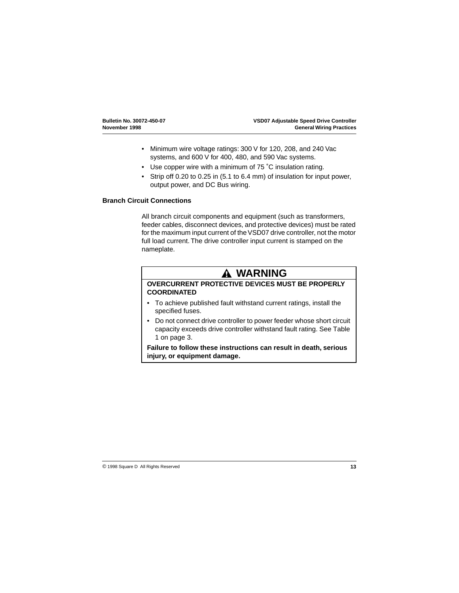- Minimum wire voltage ratings: 300 V for 120, 208, and 240 Vac systems, and 600 V for 400, 480, and 590 Vac systems.
- Use copper wire with a minimum of 75 °C insulation rating.
- Strip off 0.20 to 0.25 in (5.1 to 6.4 mm) of insulation for input power, output power, and DC Bus wiring.

#### **Branch Circuit Connections**

All branch circuit components and equipment (such as transformers, feeder cables, disconnect devices, and protective devices) must be rated for the maximum input current of the VSD07 drive controller, not the motor full load current. The drive controller input current is stamped on the nameplate.

## **WARNING**

### **OVERCURRENT PROTECTIVE DEVICES MUST BE PROPERLY COORDINATED**

- To achieve published fault withstand current ratings, install the specified fuses.
- Do not connect drive controller to power feeder whose short circuit capacity exceeds drive controller withstand fault rating. See [Table](#page-6-0)  [1 on page 3](#page-6-0).

**Failure to follow these instructions can result in death, serious injury, or equipment damage.**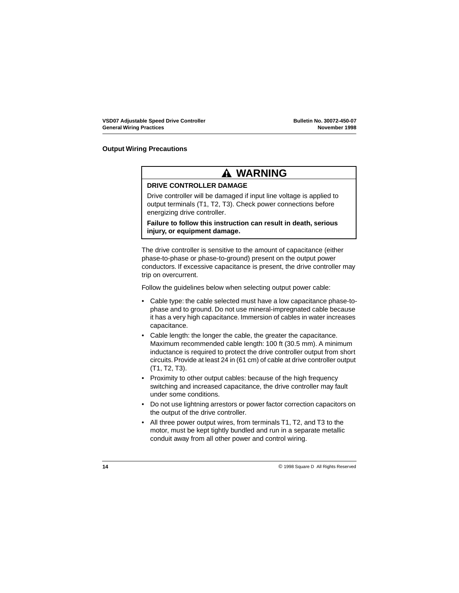## **Output Wiring Precautions**

## **WARNING**

#### **DRIVE CONTROLLER DAMAGE**

Drive controller will be damaged if input line voltage is applied to output terminals (T1, T2, T3). Check power connections before energizing drive controller.

**Failure to follow this instruction can result in death, serious injury, or equipment damage.**

The drive controller is sensitive to the amount of capacitance (either phase-to-phase or phase-to-ground) present on the output power conductors. If excessive capacitance is present, the drive controller may trip on overcurrent.

Follow the guidelines below when selecting output power cable:

- Cable type: the cable selected must have a low capacitance phase-tophase and to ground. Do not use mineral-impregnated cable because it has a very high capacitance. Immersion of cables in water increases capacitance.
- Cable length: the longer the cable, the greater the capacitance. Maximum recommended cable length: 100 ft (30.5 mm). A minimum inductance is required to protect the drive controller output from short circuits. Provide at least 24 in (61 cm) of cable at drive controller output (T1, T2, T3).
- Proximity to other output cables: because of the high frequency switching and increased capacitance, the drive controller may fault under some conditions.
- Do not use lightning arrestors or power factor correction capacitors on the output of the drive controller.
- All three power output wires, from terminals T1, T2, and T3 to the motor, must be kept tightly bundled and run in a separate metallic conduit away from all other power and control wiring.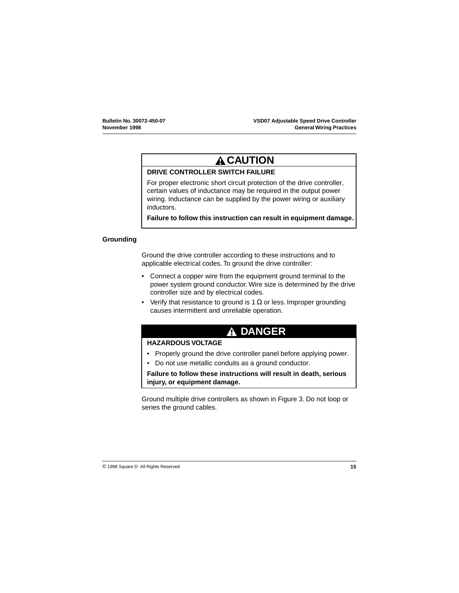# **CAUTION**

## **DRIVE CONTROLLER SWITCH FAILURE**

For proper electronic short circuit protection of the drive controller, certain values of inductance may be required in the output power wiring. Inductance can be supplied by the power wiring or auxiliary inductors.

**Failure to follow this instruction can result in equipment damage.**

#### **Grounding**

Ground the drive controller according to these instructions and to applicable electrical codes. To ground the drive controller:

- Connect a copper wire from the equipment ground terminal to the power system ground conductor. Wire size is determined by the drive controller size and by electrical codes.
- Verify that resistance to ground is 1  $\Omega$  or less. Improper grounding causes intermittent and unreliable operation.

## **DANGER**

### **HAZARDOUS VOLTAGE**

- Properly ground the drive controller panel before applying power.
- Do not use metallic conduits as a ground conductor.

**Failure to follow these instructions will result in death, serious injury, or equipment damage.**

Ground multiple drive controllers as shown in [Figure 3](#page-19-0). Do not loop or series the ground cables.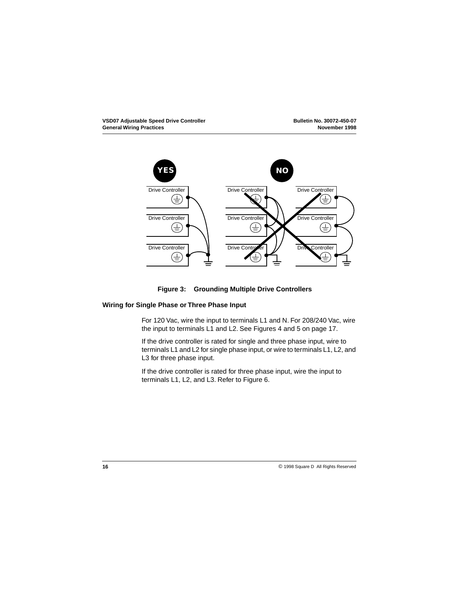<span id="page-19-0"></span>

## **Figure 3: Grounding Multiple Drive Controllers**

#### **Wiring for Single Phase or Three Phase Input**

For 120 Vac, wire the input to terminals L1 and N. For 208/240 Vac, wire the input to terminals L1 and L2. See Figures [4](#page-20-0) and [5](#page-20-0) on [page 17](#page-20-0).

If the drive controller is rated for single and three phase input, wire to terminals L1 and L2 for single phase input, or wire to terminals L1, L2, and L3 for three phase input.

If the drive controller is rated for three phase input, wire the input to terminals L1, L2, and L3. Refer to [Figure 6](#page-20-0).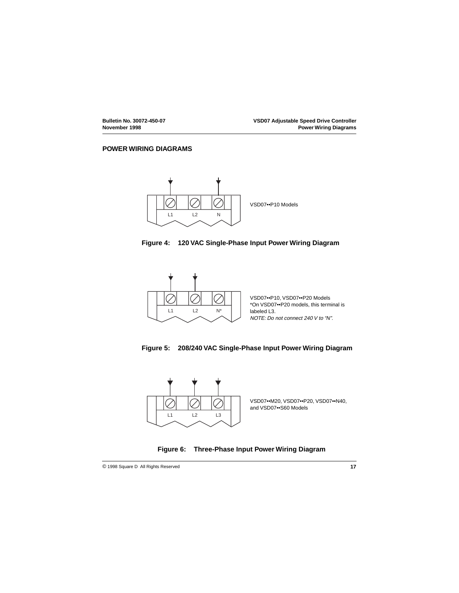### <span id="page-20-0"></span>**POWER WIRING DIAGRAMS**







VSD07••P10, VSD07••P20 Models \*On VSD07••P20 models, this terminal is labeled L3. NOTE: Do not connect 240 V to "N".





VSD07••M20, VSD07••P20, VSD07••N40, and VSD07••S60 Models

## **Figure 6: Three-Phase Input Power Wiring Diagram**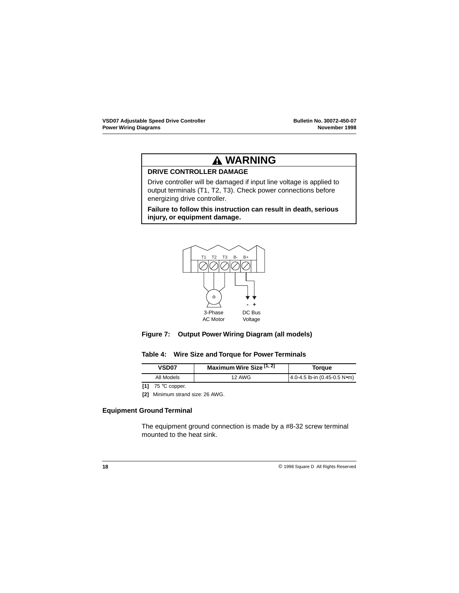## **WARNING**

## **DRIVE CONTROLLER DAMAGE**

Drive controller will be damaged if input line voltage is applied to output terminals (T1, T2, T3). Check power connections before energizing drive controller.

**Failure to follow this instruction can result in death, serious injury, or equipment damage.**



## **Figure 7: Output Power Wiring Diagram (all models)**

#### **Table 4: Wire Size and Torque for Power Terminals**

| VSD <sub>07</sub> | Maximum Wire Size <sup>[1, 2</sup> ] | Torque                       |
|-------------------|--------------------------------------|------------------------------|
| All Models        | <b>12 AWG</b>                        | 4.0-4.5 lb-in (0.45-0.5 N∙m) |

**[1]** 75 °C copper.

**[2]** Minimum strand size: 26 AWG.

### **Equipment Ground Terminal**

The equipment ground connection is made by a #8-32 screw terminal mounted to the heat sink.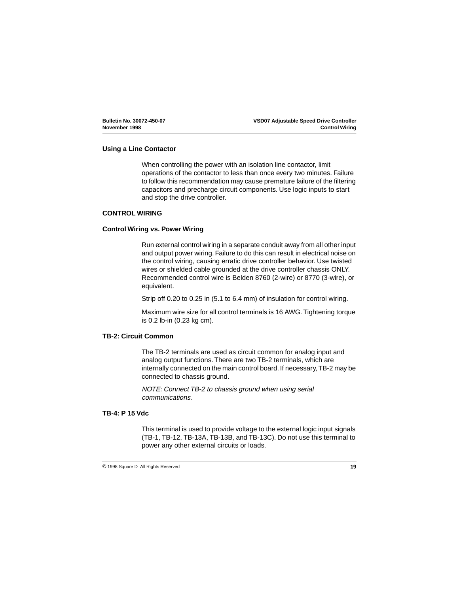## <span id="page-22-0"></span>**Using a Line Contactor**

When controlling the power with an isolation line contactor, limit operations of the contactor to less than once every two minutes. Failure to follow this recommendation may cause premature failure of the filtering capacitors and precharge circuit components. Use logic inputs to start and stop the drive controller.

### **CONTROL WIRING**

#### **Control Wiring vs. Power Wiring**

Run external control wiring in a separate conduit away from all other input and output power wiring. Failure to do this can result in electrical noise on the control wiring, causing erratic drive controller behavior. Use twisted wires or shielded cable grounded at the drive controller chassis ONLY. Recommended control wire is Belden 8760 (2-wire) or 8770 (3-wire), or equivalent.

Strip off 0.20 to 0.25 in (5.1 to 6.4 mm) of insulation for control wiring.

Maximum wire size for all control terminals is 16 AWG. Tightening torque is 0.2 lb-in (0.23 kg cm).

### **TB-2: Circuit Common**

The TB-2 terminals are used as circuit common for analog input and analog output functions. There are two TB-2 terminals, which are internally connected on the main control board. If necessary, TB-2 may be connected to chassis ground.

NOTE: Connect TB-2 to chassis ground when using serial communications.

### **TB-4: P 15 Vdc**

This terminal is used to provide voltage to the external logic input signals (TB-1, TB-12, TB-13A, TB-13B, and TB-13C). Do not use this terminal to power any other external circuits or loads.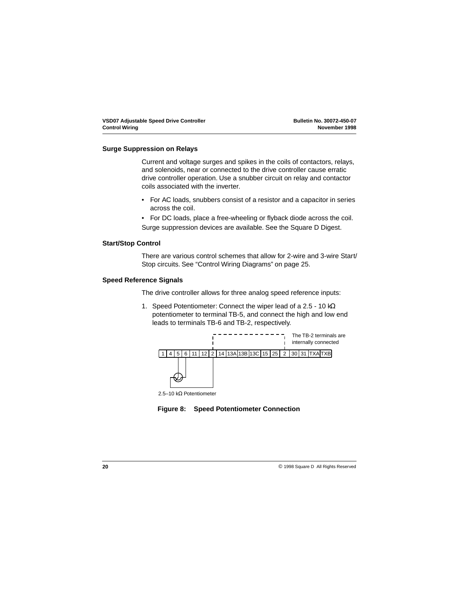#### **Surge Suppression on Relays**

Current and voltage surges and spikes in the coils of contactors, relays, and solenoids, near or connected to the drive controller cause erratic drive controller operation. Use a snubber circuit on relay and contactor coils associated with the inverter.

- For AC loads, snubbers consist of a resistor and a capacitor in series across the coil.
- For DC loads, place a free-wheeling or flyback diode across the coil. Surge suppression devices are available. See the Square D Digest.

#### **Start/Stop Control**

There are various control schemes that allow for 2-wire and 3-wire Start/ Stop circuits. See ["Control Wiring Diagrams" on page 25](#page-28-0).

#### **Speed Reference Signals**

The drive controller allows for three analog speed reference inputs:

1. Speed Potentiometer: Connect the wiper lead of a 2.5 - 10 kΩ potentiometer to terminal TB-5, and connect the high and low end leads to terminals TB-6 and TB-2, respectively.



2.5–10 kΩ Potentiometer

### **Figure 8: Speed Potentiometer Connection**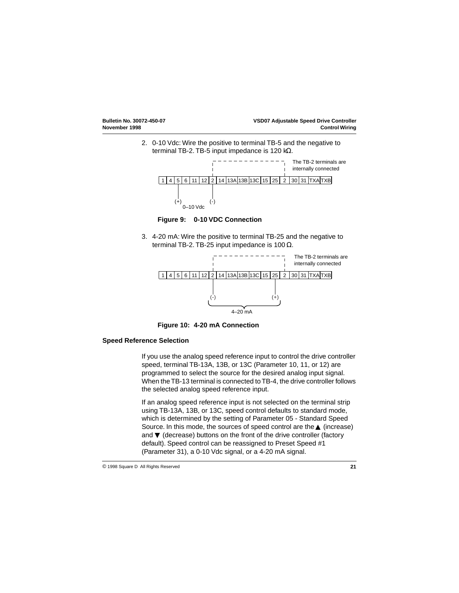2. 0-10 Vdc: Wire the positive to terminal TB-5 and the negative to terminal TB-2. TB-5 input impedance is 120 kΩ.



**Figure 9: 0-10 VDC Connection**

3. 4-20 mA: Wire the positive to terminal TB-25 and the negative to terminal TB-2. TB-25 input impedance is 100 Ω.



**Figure 10: 4-20 mA Connection**

### **Speed Reference Selection**

If you use the analog speed reference input to control the drive controller speed, terminal TB-13A, 13B, or 13C (Parameter 10, 11, or 12) are programmed to select the source for the desired analog input signal. When the TB-13 terminal is connected to TB-4, the drive controller follows the selected analog speed reference input.

If an analog speed reference input is not selected on the terminal strip using TB-13A, 13B, or 13C, speed control defaults to standard mode, which is determined by the setting of Parameter 05 - Standard Speed Source. In this mode, the sources of speed control are the ▲ (increase) and ▼ (decrease) buttons on the front of the drive controller (factory default). Speed control can be reassigned to Preset Speed #1 (Parameter 31), a 0-10 Vdc signal, or a 4-20 mA signal.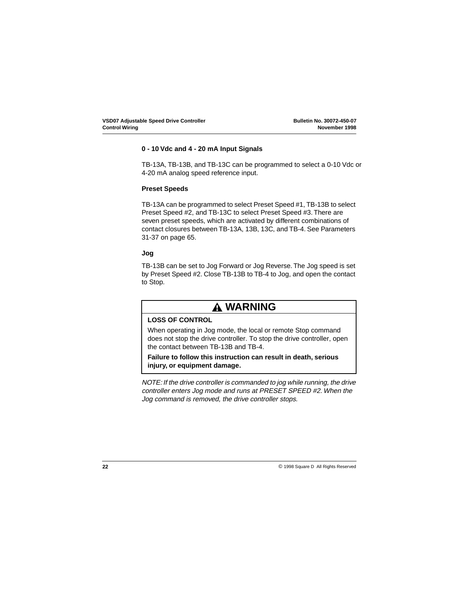## **0 - 10 Vdc and 4 - 20 mA Input Signals**

TB-13A, TB-13B, and TB-13C can be programmed to select a 0-10 Vdc or 4-20 mA analog speed reference input.

## **Preset Speeds**

TB-13A can be programmed to select Preset Speed #1, TB-13B to select Preset Speed #2, and TB-13C to select Preset Speed #3. There are seven preset speeds, which are activated by different combinations of contact closures between TB-13A, 13B, 13C, and TB-4. See Parameters 31-37 on [page 65](#page-68-0).

### **Jog**

TB-13B can be set to Jog Forward or Jog Reverse. The Jog speed is set by Preset Speed #2. Close TB-13B to TB-4 to Jog, and open the contact to Stop.

## **WARNING**

## **LOSS OF CONTROL**

When operating in Jog mode, the local or remote Stop command does not stop the drive controller. To stop the drive controller, open the contact between TB-13B and TB-4.

**Failure to follow this instruction can result in death, serious injury, or equipment damage.**

NOTE: If the drive controller is commanded to jog while running, the drive controller enters Jog mode and runs at PRESET SPEED #2. When the Jog command is removed, the drive controller stops.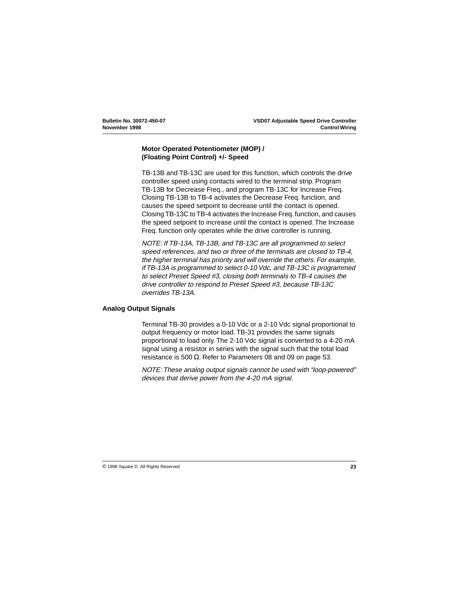## <span id="page-26-0"></span>**Motor Operated Potentiometer (MOP) / (Floating Point Control) +/- Speed**

TB-13B and TB-13C are used for this function, which controls the drive controller speed using contacts wired to the terminal strip. Program TB-13B for Decrease Freq., and program TB-13C for Increase Freq. Closing TB-13B to TB-4 activates the Decrease Freq. function, and causes the speed setpoint to decrease until the contact is opened. Closing TB-13C to TB-4 activates the Increase Freq. function, and causes the speed setpoint to increase until the contact is opened. The Increase Freq. function only operates while the drive controller is running.

NOTE: If TB-13A, TB-13B, and TB-13C are all programmed to select speed references, and two or three of the terminals are closed to TB-4, the higher terminal has priority and will override the others. For example, if TB-13A is programmed to select 0-10 Vdc, and TB-13C is programmed to select Preset Speed #3, closing both terminals to TB-4 causes the drive controller to respond to Preset Speed #3, because TB-13C overrides TB-13A.

### **Analog Output Signals**

Terminal TB-30 provides a 0-10 Vdc or a 2-10 Vdc signal proportional to output frequency or motor load. TB-31 provides the same signals proportional to load only. The 2-10 Vdc signal is converted to a 4-20 mA signal using a resistor in series with the signal such that the total load resistance is 500  $\Omega$ . Refer to Parameters 08 and 09 on page [53](#page-56-0).

NOTE: These analog output signals cannot be used with "loop-powered" devices that derive power from the 4-20 mA signal.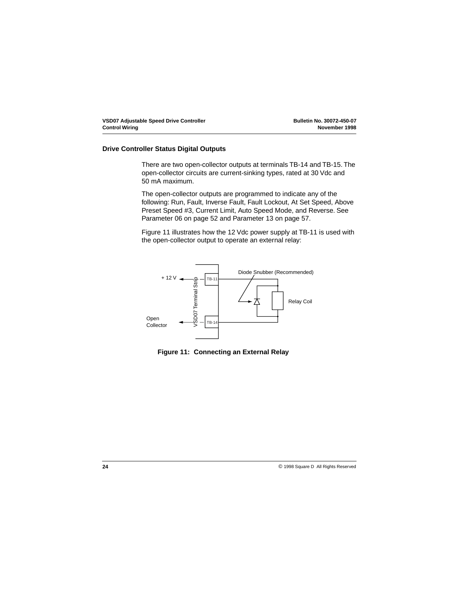### **Drive Controller Status Digital Outputs**

There are two open-collector outputs at terminals TB-14 and TB-15. The open-collector circuits are current-sinking types, rated at 30 Vdc and 50 mA maximum.

The open-collector outputs are programmed to indicate any of the following: Run, Fault, Inverse Fault, Fault Lockout, At Set Speed, Above Preset Speed #3, Current Limit, Auto Speed Mode, and Reverse. See Parameter 06 on page [52](#page-55-0) and Parameter 13 on page [57](#page-60-0).

Figure 11 illustrates how the 12 Vdc power supply at TB-11 is used with the open-collector output to operate an external relay:



**Figure 11: Connecting an External Relay**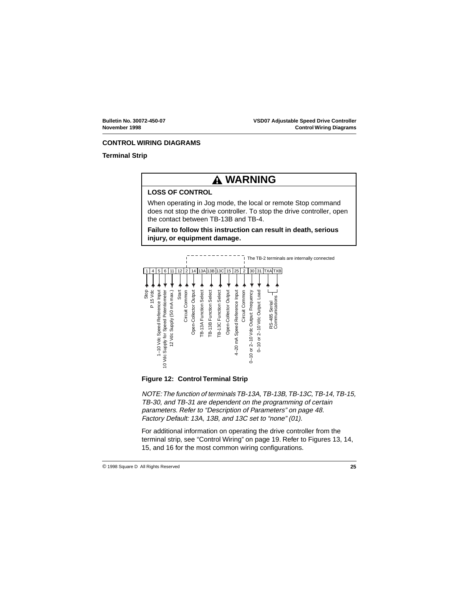## <span id="page-28-0"></span>**CONTROL WIRING DIAGRAMS**

## **Terminal Strip**

## **WARNING**

## **LOSS OF CONTROL**

When operating in Jog mode, the local or remote Stop command does not stop the drive controller. To stop the drive controller, open the contact between TB-13B and TB-4.

**Failure to follow this instruction can result in death, serious injury, or equipment damage.**



**Figure 12: Control Terminal Strip**

NOTE: The function of terminals TB-13A, TB-13B, TB-13C, TB-14, TB-15, TB-30, and TB-31 are dependent on the programming of certain parameters. Refer to ["Description of Parameters" on page 48](#page-51-0). Factory Default: 13A, 13B, and 13C set to "none" (01).

For additional information on operating the drive controller from the terminal strip, see ["Control Wiring" on page 19](#page-22-0). Refer to Figures [13](#page-29-0), [14](#page-31-0), [15](#page-33-0), and [16](#page-35-0) for the most common wiring configurations.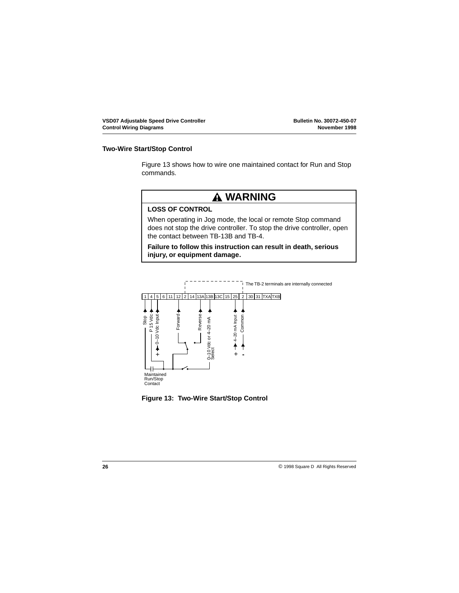#### <span id="page-29-0"></span>**Two-Wire Start/Stop Control**

Figure 13 shows how to wire one maintained contact for Run and Stop commands.



## **LOSS OF CONTROL**

When operating in Jog mode, the local or remote Stop command does not stop the drive controller. To stop the drive controller, open the contact between TB-13B and TB-4.

**Failure to follow this instruction can result in death, serious injury, or equipment damage.**



**Figure 13: Two-Wire Start/Stop Control**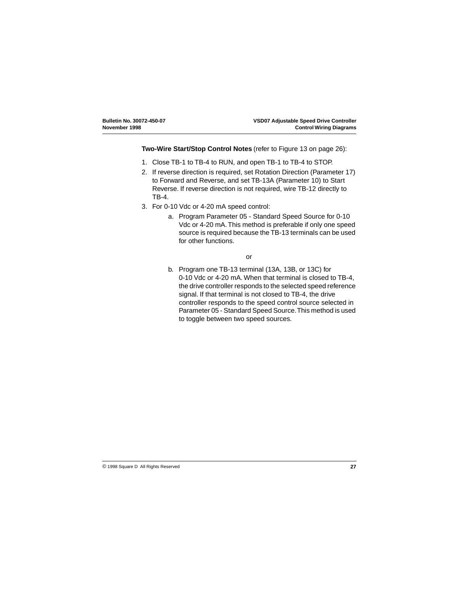**Two-Wire Start/Stop Control Notes** (refer to [Figure 13 on page 26](#page-29-0)):

- 1. Close TB-1 to TB-4 to RUN, and open TB-1 to TB-4 to STOP.
- 2. If reverse direction is required, set Rotation Direction (Parameter 17) to Forward and Reverse, and set TB-13A (Parameter 10) to Start Reverse. If reverse direction is not required, wire TB-12 directly to TB-4.
- 3. For 0-10 Vdc or 4-20 mA speed control:
	- a. Program Parameter 05 Standard Speed Source for 0-10 Vdc or 4-20 mA. This method is preferable if only one speed source is required because the TB-13 terminals can be used for other functions.

#### or

b. Program one TB-13 terminal (13A, 13B, or 13C) for 0-10 Vdc or 4-20 mA. When that terminal is closed to TB-4, the drive controller responds to the selected speed reference signal. If that terminal is not closed to TB-4, the drive controller responds to the speed control source selected in Parameter 05 - Standard Speed Source. This method is used to toggle between two speed sources.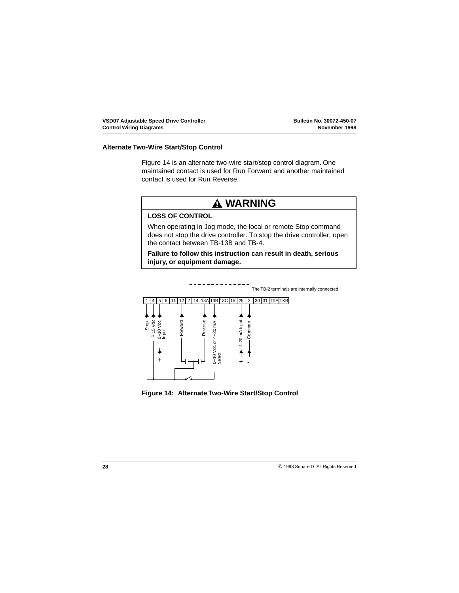## <span id="page-31-0"></span>**Alternate Two-Wire Start/Stop Control**

Figure 14 is an alternate two-wire start/stop control diagram. One maintained contact is used for Run Forward and another maintained contact is used for Run Reverse.

## **WARNING**

## **LOSS OF CONTROL**

When operating in Jog mode, the local or remote Stop command does not stop the drive controller. To stop the drive controller, open the contact between TB-13B and TB-4.

**Failure to follow this instruction can result in death, serious injury, or equipment damage.**



**Figure 14: Alternate Two-Wire Start/Stop Control**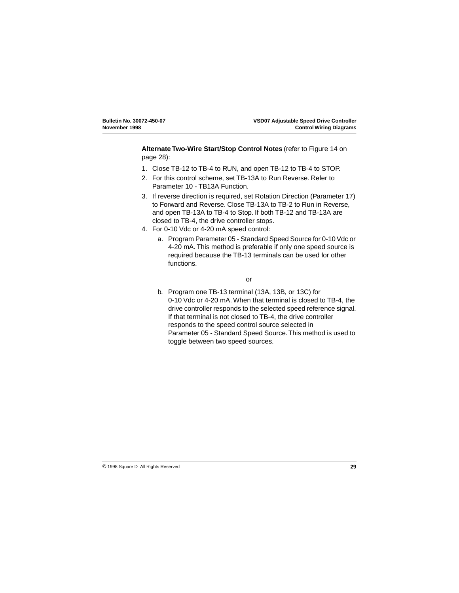**Alternate Two-Wire Start/Stop Control Notes** (refer to [Figure 14 on](#page-31-0)  [page 28](#page-31-0)):

- 1. Close TB-12 to TB-4 to RUN, and open TB-12 to TB-4 to STOP.
- 2. For this control scheme, set TB-13A to Run Reverse. Refer to Parameter 10 - TB13A Function.
- 3. If reverse direction is required, set Rotation Direction (Parameter 17) to Forward and Reverse. Close TB-13A to TB-2 to Run in Reverse, and open TB-13A to TB-4 to Stop. If both TB-12 and TB-13A are closed to TB-4, the drive controller stops.
- 4. For 0-10 Vdc or 4-20 mA speed control:
	- a. Program Parameter 05 Standard Speed Source for 0-10 Vdc or 4-20 mA. This method is preferable if only one speed source is required because the TB-13 terminals can be used for other functions.

#### or

b. Program one TB-13 terminal (13A, 13B, or 13C) for 0-10 Vdc or 4-20 mA. When that terminal is closed to TB-4, the drive controller responds to the selected speed reference signal. If that terminal is not closed to TB-4, the drive controller responds to the speed control source selected in Parameter 05 - Standard Speed Source. This method is used to toggle between two speed sources.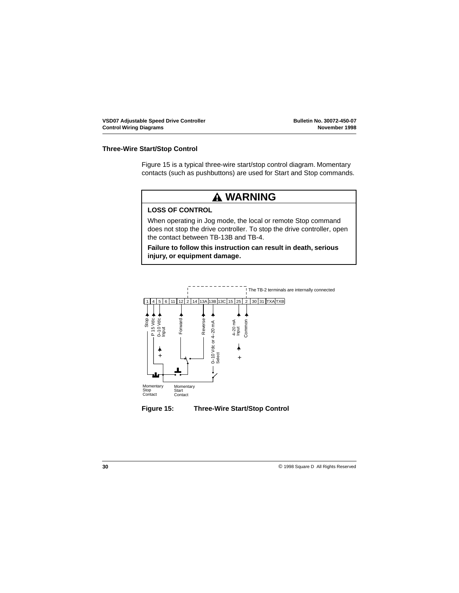### <span id="page-33-0"></span>**Three-Wire Start/Stop Control**

Figure 15 is a typical three-wire start/stop control diagram. Momentary contacts (such as pushbuttons) are used for Start and Stop commands.



## **LOSS OF CONTROL**

When operating in Jog mode, the local or remote Stop command does not stop the drive controller. To stop the drive controller, open the contact between TB-13B and TB-4.

**Failure to follow this instruction can result in death, serious injury, or equipment damage.**



**Figure 15: Three-Wire Start/Stop Control**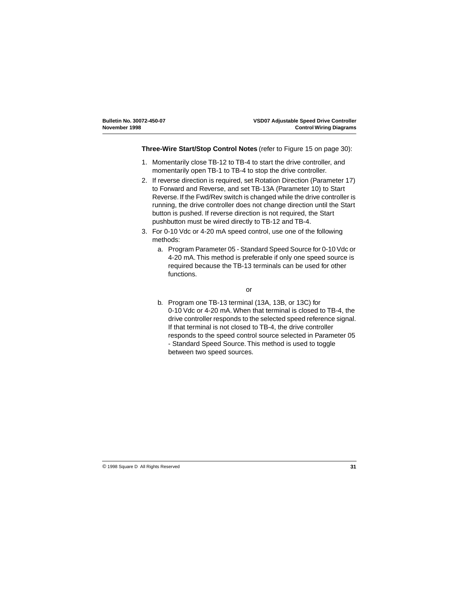#### **Three-Wire Start/Stop Control Notes** (refer to [Figure 15 on page 30](#page-33-0)):

- 1. Momentarily close TB-12 to TB-4 to start the drive controller, and momentarily open TB-1 to TB-4 to stop the drive controller.
- 2. If reverse direction is required, set Rotation Direction (Parameter 17) to Forward and Reverse, and set TB-13A (Parameter 10) to Start Reverse. If the Fwd/Rev switch is changed while the drive controller is running, the drive controller does not change direction until the Start button is pushed. If reverse direction is not required, the Start pushbutton must be wired directly to TB-12 and TB-4.
- 3. For 0-10 Vdc or 4-20 mA speed control, use one of the following methods:
	- a. Program Parameter 05 Standard Speed Source for 0-10 Vdc or 4-20 mA. This method is preferable if only one speed source is required because the TB-13 terminals can be used for other functions.

#### or

b. Program one TB-13 terminal (13A, 13B, or 13C) for 0-10 Vdc or 4-20 mA. When that terminal is closed to TB-4, the drive controller responds to the selected speed reference signal. If that terminal is not closed to TB-4, the drive controller responds to the speed control source selected in Parameter 05 - Standard Speed Source. This method is used to toggle between two speed sources.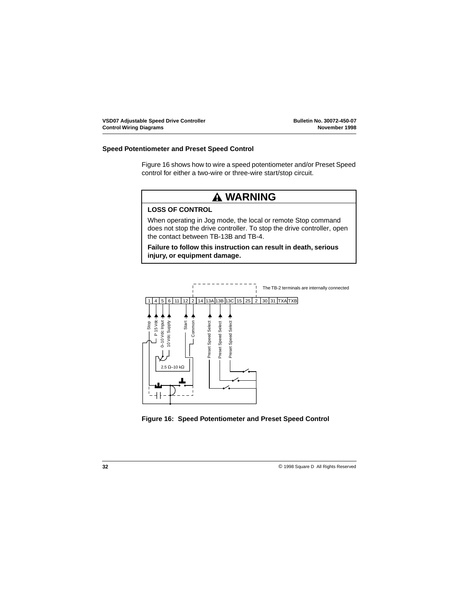### <span id="page-35-0"></span>**Speed Potentiometer and Preset Speed Control**

Figure 16 shows how to wire a speed potentiometer and/or Preset Speed control for either a two-wire or three-wire start/stop circuit.





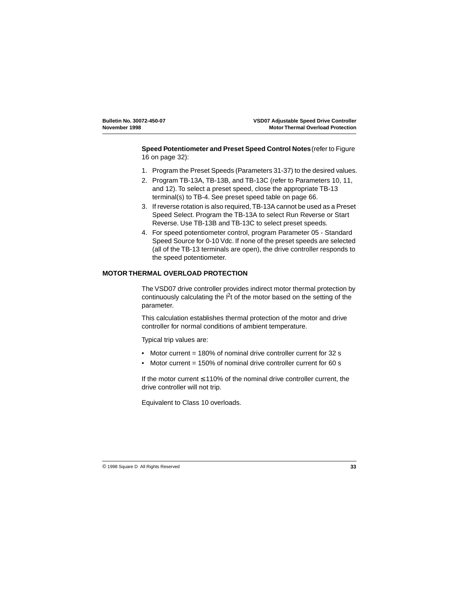**Speed Potentiometer and Preset Speed Control Notes** (refer to [Figure](#page-35-0)  [16 on page 32](#page-35-0)):

- 1. Program the Preset Speeds (Parameters 31-37) to the desired values.
- 2. Program TB-13A, TB-13B, and TB-13C (refer to Parameters 10, 11, and 12). To select a preset speed, close the appropriate TB-13 terminal(s) to TB-4. See preset speed table on [page 66](#page-69-0).
- 3. If reverse rotation is also required, TB-13A cannot be used as a Preset Speed Select. Program the TB-13A to select Run Reverse or Start Reverse. Use TB-13B and TB-13C to select preset speeds.
- 4. For speed potentiometer control, program Parameter 05 Standard Speed Source for 0-10 Vdc. If none of the preset speeds are selected (all of the TB-13 terminals are open), the drive controller responds to the speed potentiometer.

## **MOTOR THERMAL OVERLOAD PROTECTION**

The VSD07 drive controller provides indirect motor thermal protection by continuously calculating the  $I^2t$  of the motor based on the setting of the parameter.

This calculation establishes thermal protection of the motor and drive controller for normal conditions of ambient temperature.

Typical trip values are:

- Motor current = 180% of nominal drive controller current for 32 s
- Motor current = 150% of nominal drive controller current for 60 s

If the motor current  $\leq 110\%$  of the nominal drive controller current, the drive controller will not trip.

Equivalent to Class 10 overloads.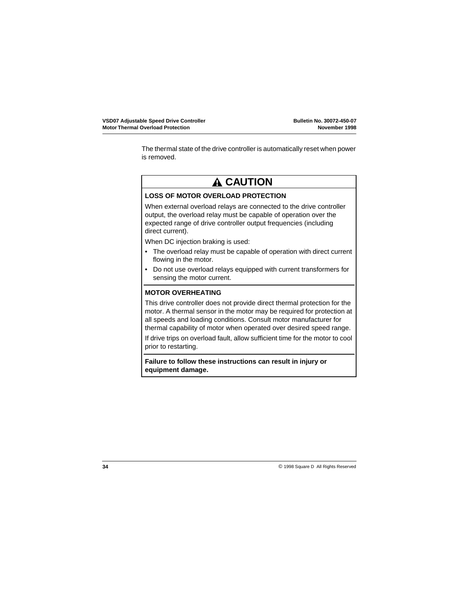The thermal state of the drive controller is automatically reset when power is removed.

# **A CAUTION**

## **LOSS OF MOTOR OVERLOAD PROTECTION**

When external overload relays are connected to the drive controller output, the overload relay must be capable of operation over the expected range of drive controller output frequencies (including direct current).

When DC injection braking is used:

- The overload relay must be capable of operation with direct current flowing in the motor.
- Do not use overload relays equipped with current transformers for sensing the motor current.

## **MOTOR OVERHEATING**

This drive controller does not provide direct thermal protection for the motor. A thermal sensor in the motor may be required for protection at all speeds and loading conditions. Consult motor manufacturer for thermal capability of motor when operated over desired speed range.

If drive trips on overload fault, allow sufficient time for the motor to cool prior to restarting.

**Failure to follow these instructions can result in injury or equipment damage.**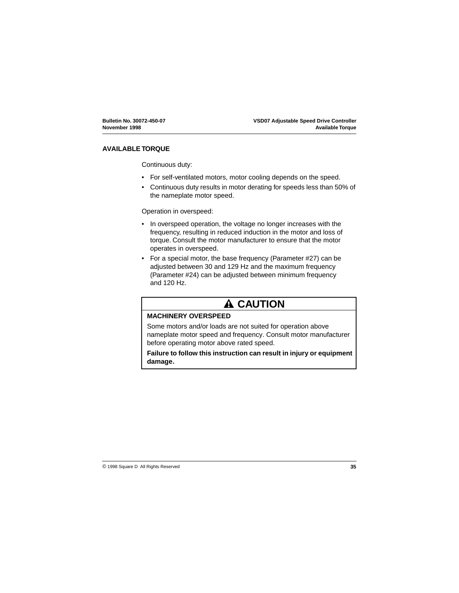## **AVAILABLE TORQUE**

Continuous duty:

- For self-ventilated motors, motor cooling depends on the speed.
- Continuous duty results in motor derating for speeds less than 50% of the nameplate motor speed.

Operation in overspeed:

- In overspeed operation, the voltage no longer increases with the frequency, resulting in reduced induction in the motor and loss of torque. Consult the motor manufacturer to ensure that the motor operates in overspeed.
- For a special motor, the base frequency (Parameter #27) can be adjusted between 30 and 129 Hz and the maximum frequency (Parameter #24) can be adjusted between minimum frequency and 120 Hz.

# **A CAUTION**

## **MACHINERY OVERSPEED**

Some motors and/or loads are not suited for operation above nameplate motor speed and frequency. Consult motor manufacturer before operating motor above rated speed.

**Failure to follow this instruction can result in injury or equipment damage.**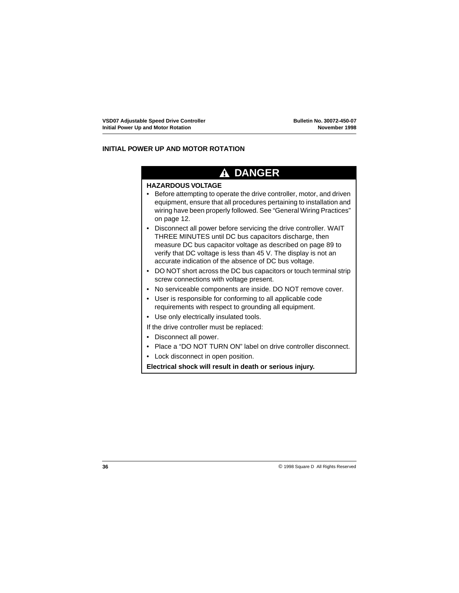## **INITIAL POWER UP AND MOTOR ROTATION**

## **DANGER**

### **HAZARDOUS VOLTAGE**

- Before attempting to operate the drive controller, motor, and driven equipment, ensure that all procedures pertaining to installation and wiring have been properly followed. See ["General Wiring Practices"](#page-15-0)  [on page 12](#page-15-0).
- Disconnect all power before servicing the drive controller. WAIT THREE MINUTES until DC bus capacitors discharge, then measure DC bus capacitor voltage as described on [page 89](#page-92-0) to verify that DC voltage is less than 45 V. The display is not an accurate indication of the absence of DC bus voltage.
- DO NOT short across the DC bus capacitors or touch terminal strip screw connections with voltage present.
- No serviceable components are inside. DO NOT remove cover.
- User is responsible for conforming to all applicable code requirements with respect to grounding all equipment.
- Use only electrically insulated tools.

If the drive controller must be replaced:

- Disconnect all power.
- Place a "DO NOT TURN ON" label on drive controller disconnect.
- Lock disconnect in open position.

**Electrical shock will result in death or serious injury.**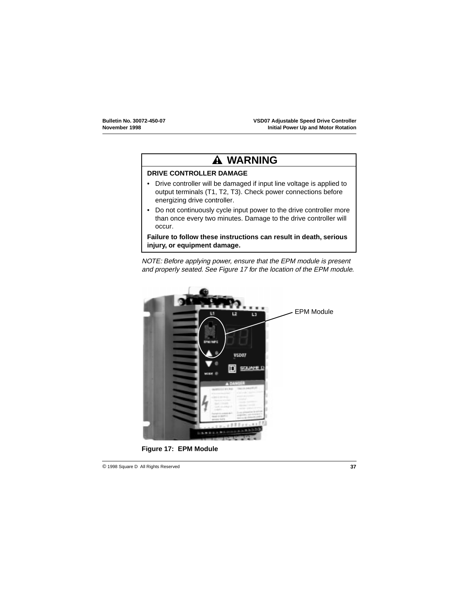# **WARNING**

## **DRIVE CONTROLLER DAMAGE**

- Drive controller will be damaged if input line voltage is applied to output terminals (T1, T2, T3). Check power connections before energizing drive controller.
- Do not continuously cycle input power to the drive controller more than once every two minutes. Damage to the drive controller will occur.

**Failure to follow these instructions can result in death, serious injury, or equipment damage.**

NOTE: Before applying power, ensure that the EPM module is present and properly seated. See Figure 17 for the location of the EPM module.



**Figure 17: EPM Module**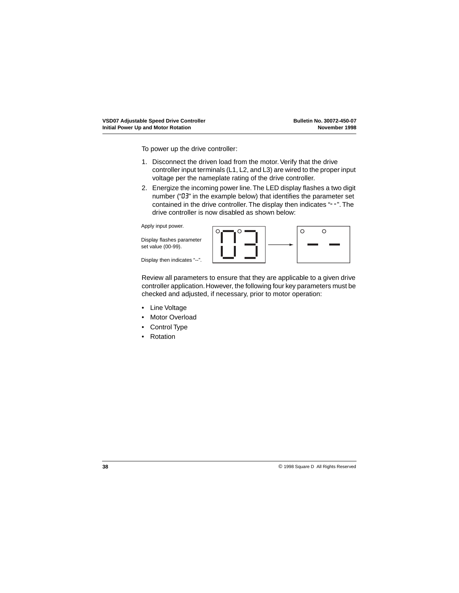To power up the drive controller:

- 1. Disconnect the driven load from the motor. Verify that the drive controller input terminals (L1, L2, and L3) are wired to the proper input voltage per the nameplate rating of the drive controller.
- 2. Energize the incoming power line. The LED display flashes a two digit number ("03" in the example below) that identifies the parameter set contained in the drive controller. The display then indicates "--". The drive controller is now disabled as shown below:

Apply input power.

Display flashes parameter set value (00-99).

Display then indicates "--".



Review all parameters to ensure that they are applicable to a given drive controller application. However, the following four key parameters must be checked and adjusted, if necessary, prior to motor operation:

- Line Voltage
- Motor Overload
- Control Type
- Rotation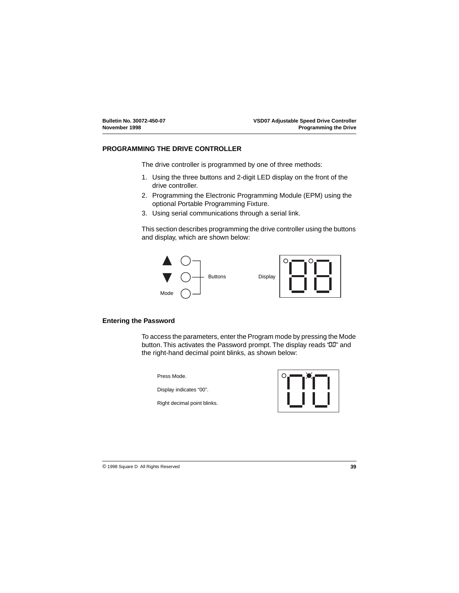## **PROGRAMMING THE DRIVE CONTROLLER**

The drive controller is programmed by one of three methods:

- 1. Using the three buttons and 2-digit LED display on the front of the drive controller.
- 2. Programming the Electronic Programming Module (EPM) using the optional Portable Programming Fixture.
- 3. Using serial communications through a serial link.

This section describes programming the drive controller using the buttons and display, which are shown below:



## **Entering the Password**

To access the parameters, enter the Program mode by pressing the Mode button. This activates the Password prompt. The display reads "00" and the right-hand decimal point blinks, as shown below:

Press Mode.

Display indicates "00".

Right decimal point blinks.

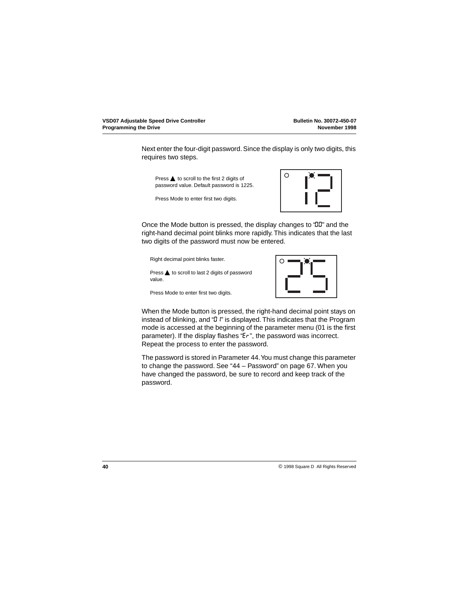Next enter the four-digit password. Since the display is only two digits, this requires two steps.

Press **▲** to scroll to the first 2 digits of password value. Default password is 1225.

Press Mode to enter first two digits.



Once the Mode button is pressed, the display changes to "00" and the right-hand decimal point blinks more rapidly. This indicates that the last two digits of the password must now be entered.

Right decimal point blinks faster.

Press **▲** to scroll to last 2 digits of password value.

Press Mode to enter first two digits.



When the Mode button is pressed, the right-hand decimal point stays on instead of blinking, and "*D* i" is displayed. This indicates that the Program mode is accessed at the beginning of the parameter menu (01 is the first parameter). If the display flashes "Er", the password was incorrect. Repeat the process to enter the password.

The password is stored in Parameter 44. You must change this parameter to change the password. See ["44 – Password" on page 67](#page-70-0). When you have changed the password, be sure to record and keep track of the password.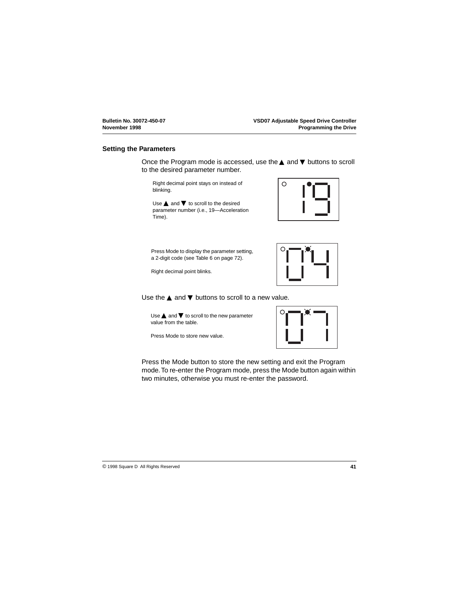### **Setting the Parameters**

Once the Program mode is accessed, use the ▲ and ▼ buttons to scroll to the desired parameter number.

Right decimal point stays on instead of blinking.

Use  $\triangle$  and  $\nabla$  to scroll to the desired parameter number (i.e., 19—Acceleration Time).

Press Mode to display the parameter setting, a 2-digit code (see [Table 6 on page 72](#page-75-0)).

Right decimal point blinks.

Use the  $\blacktriangle$  and  $\nabla$  buttons to scroll to a new value.

Use  $\blacktriangle$  and  $\nabla$  to scroll to the new parameter value from the table.

Press Mode to store new value.

Press the Mode button to store the new setting and exit the Program mode. To re-enter the Program mode, press the Mode button again within two minutes, otherwise you must re-enter the password.





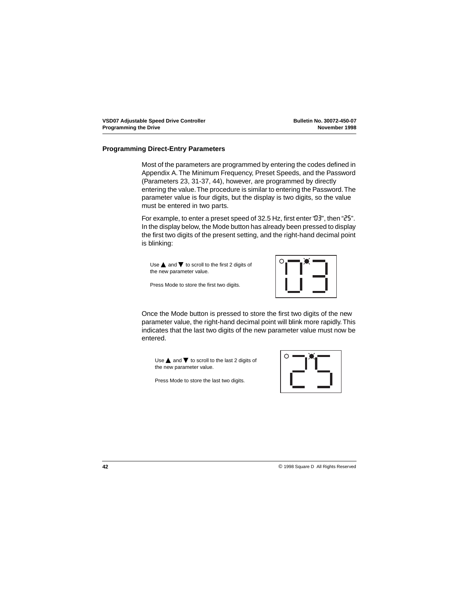## <span id="page-45-0"></span>**Programming Direct-Entry Parameters**

Most of the parameters are programmed by entering the codes defined in Appendix A. The Minimum Frequency, Preset Speeds, and the Password (Parameters 23, 31-37, 44), however, are programmed by directly entering the value. The procedure is similar to entering the Password. The parameter value is four digits, but the display is two digits, so the value must be entered in two parts.

For example, to enter a preset speed of 32.5 Hz, first enter "03", then "25". In the display below, the Mode button has already been pressed to display the first two digits of the present setting, and the right-hand decimal point is blinking:

Use  $\triangle$  and  $\nabla$  to scroll to the first 2 digits of the new parameter value.

Press Mode to store the first two digits.



Once the Mode button is pressed to store the first two digits of the new parameter value, the right-hand decimal point will blink more rapidly. This indicates that the last two digits of the new parameter value must now be entered.

Use  $\blacktriangle$  and  $\nabla$  to scroll to the last 2 digits of the new parameter value.

Press Mode to store the last two digits.

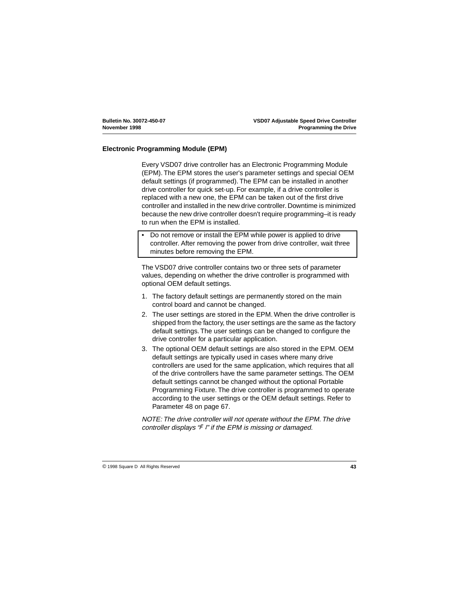## <span id="page-46-0"></span>**Electronic Programming Module (EPM)**

Every VSD07 drive controller has an Electronic Programming Module (EPM). The EPM stores the user's parameter settings and special OEM default settings (if programmed). The EPM can be installed in another drive controller for quick set-up. For example, if a drive controller is replaced with a new one, the EPM can be taken out of the first drive controller and installed in the new drive controller. Downtime is minimized because the new drive controller doesn't require programming–it is ready to run when the EPM is installed.

• Do not remove or install the EPM while power is applied to drive controller. After removing the power from drive controller, wait three minutes before removing the EPM.

The VSD07 drive controller contains two or three sets of parameter values, depending on whether the drive controller is programmed with optional OEM default settings.

- 1. The factory default settings are permanently stored on the main control board and cannot be changed.
- 2. The user settings are stored in the EPM. When the drive controller is shipped from the factory, the user settings are the same as the factory default settings. The user settings can be changed to configure the drive controller for a particular application.
- 3. The optional OEM default settings are also stored in the EPM. OEM default settings are typically used in cases where many drive controllers are used for the same application, which requires that all of the drive controllers have the same parameter settings. The OEM default settings cannot be changed without the optional Portable Programming Fixture. The drive controller is programmed to operate according to the user settings or the OEM default settings. Refer to Parameter 48 on page [67](#page-70-0).

NOTE: The drive controller will not operate without the EPM. The drive controller displays  $\mathscr F$  i" if the EPM is missing or damaged.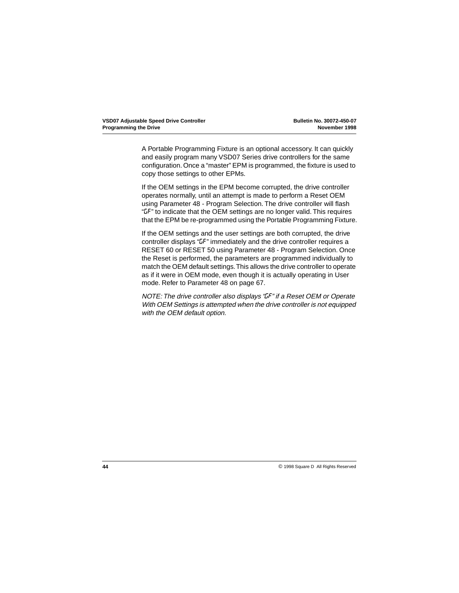A Portable Programming Fixture is an optional accessory. It can quickly and easily program many VSD07 Series drive controllers for the same configuration. Once a "master" EPM is programmed, the fixture is used to copy those settings to other EPMs.

If the OEM settings in the EPM become corrupted, the drive controller operates normally, until an attempt is made to perform a Reset OEM using Parameter 48 - Program Selection. The drive controller will flash "GF" to indicate that the OEM settings are no longer valid. This requires that the EPM be re-programmed using the Portable Programming Fixture.

If the OEM settings and the user settings are both corrupted, the drive controller displays "GF" immediately and the drive controller requires a RESET 60 or RESET 50 using Parameter 48 - Program Selection. Once the Reset is performed, the parameters are programmed individually to match the OEM default settings. This allows the drive controller to operate as if it were in OEM mode, even though it is actually operating in User mode. Refer to Parameter 48 on page [67](#page-70-0).

NOTE: The drive controller also displays "GF" if a Reset OEM or Operate With OEM Settings is attempted when the drive controller is not equipped with the OEM default option.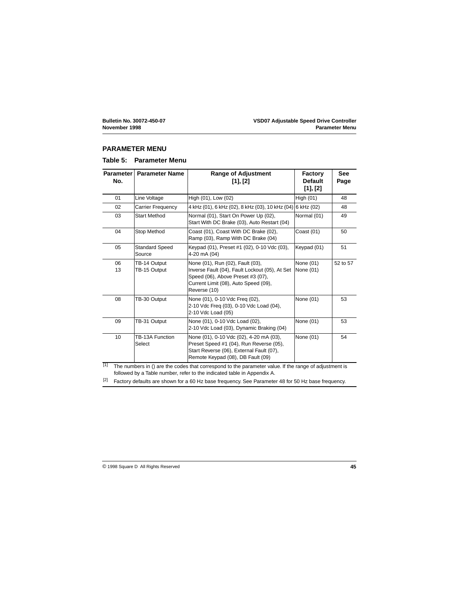### **PARAMETER MENU**

## **Table 5: Parameter Menu**

| <b>Parameter</b><br>No. | <b>Parameter Name</b>           | <b>Range of Adjustment</b><br>[1], [2]                                                                                                                                          | <b>Factory</b><br><b>Default</b><br>[1], [2] | <b>See</b><br>Page |
|-------------------------|---------------------------------|---------------------------------------------------------------------------------------------------------------------------------------------------------------------------------|----------------------------------------------|--------------------|
| 01                      | Line Voltage                    | High (01), Low (02)                                                                                                                                                             | High (01)                                    | 48                 |
| 02                      | Carrier Frequency               | 4 kHz (01), 6 kHz (02), 8 kHz (03), 10 kHz (04)                                                                                                                                 | 6 kHz (02)                                   | 48                 |
| 03                      | <b>Start Method</b>             | Normal (01), Start On Power Up (02),<br>Start With DC Brake (03), Auto Restart (04)                                                                                             | Normal (01)                                  | 49                 |
| 04                      | Stop Method                     | Coast (01), Coast With DC Brake (02),<br>Ramp (03), Ramp With DC Brake (04)                                                                                                     | Coast (01)                                   | 50                 |
| 05                      | <b>Standard Speed</b><br>Source | Keypad (01), Preset #1 (02), 0-10 Vdc (03),<br>4-20 mA (04)                                                                                                                     | Keypad (01)                                  | 51                 |
| 06<br>13                | TB-14 Output<br>TB-15 Output    | None (01), Run (02), Fault (03),<br>Inverse Fault (04), Fault Lockout (05), At Set<br>Speed (06), Above Preset #3 (07),<br>Current Limit (08), Auto Speed (09),<br>Reverse (10) | None (01)<br>None (01)                       | 52 to 57           |
| 08                      | TB-30 Output                    | None (01), 0-10 Vdc Freq (02),<br>2-10 Vdc Freq (03), 0-10 Vdc Load (04),<br>2-10 Vdc Load (05)                                                                                 | None (01)                                    | 53                 |
| 09                      | TB-31 Output                    | None (01), 0-10 Vdc Load (02),<br>2-10 Vdc Load (03), Dynamic Braking (04)                                                                                                      | None (01)                                    | 53                 |
| 10                      | TB-13A Function<br>Select       | None (01), 0-10 Vdc (02), 4-20 mA (03),<br>Preset Speed #1 (04), Run Reverse (05),<br>Start Reverse (06), External Fault (07),<br>Remote Keypad (08), DB Fault (09)             | None (01)                                    | 54                 |

 $[1]$  The numbers in () are the codes that correspond to the parameter value. If the range of adjustment is followed by a Table number, refer to the indicated table in Appendix A.

 $[2]$  Factory defaults are shown for a 60 Hz base frequency. See Parameter 48 for 50 Hz base frequency.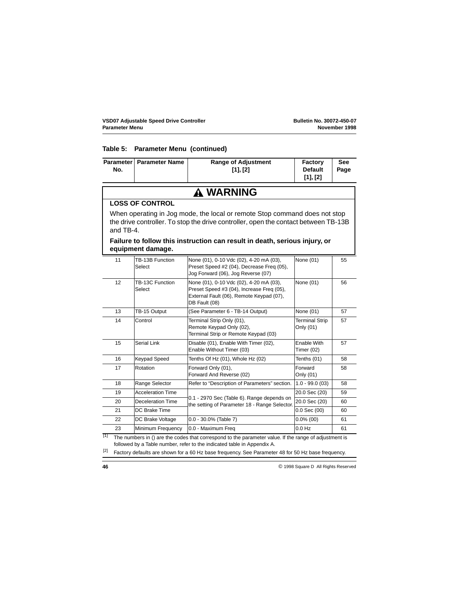#### **Table 5: Parameter Menu (continued)**

|     | Parameter   Parameter Name | <b>Range of Adjustment</b> | <b>Factory</b> | <b>See</b> |
|-----|----------------------------|----------------------------|----------------|------------|
| No. |                            | [1], [2]                   | <b>Default</b> | Page       |
|     |                            |                            | [1], [2]       |            |

## **WARNING**

## **LOSS OF CONTROL**

When operating in Jog mode, the local or remote Stop command does not stop the drive controller. To stop the drive controller, open the contact between TB-13B and TB-4.

## **Failure to follow this instruction can result in death, serious injury, or equipment damage.**

| 11 | TB-13B Function<br>Select | None (01), 0-10 Vdc (02), 4-20 mA (03),<br>Preset Speed #2 (04), Decrease Freq (05),<br>Jog Forward (06), Jog Reverse (07)                        | None (01)                          | 55 |
|----|---------------------------|---------------------------------------------------------------------------------------------------------------------------------------------------|------------------------------------|----|
| 12 | TB-13C Function<br>Select | None (01), 0-10 Vdc (02), 4-20 mA (03),<br>Preset Speed #3 (04), Increase Freq (05),<br>External Fault (06), Remote Keypad (07),<br>DB Fault (08) | None (01)                          | 56 |
| 13 | TB-15 Output              | (See Parameter 6 - TB-14 Output)                                                                                                                  | None (01)                          | 57 |
| 14 | Control                   | Terminal Strip Only (01),<br>Remote Keypad Only (02),<br>Terminal Strip or Remote Keypad (03)                                                     | <b>Terminal Strip</b><br>Only (01) | 57 |
| 15 | Serial Link               | Disable (01), Enable With Timer (02),<br>Enable Without Timer (03)                                                                                | Enable With<br>Timer $(02)$        | 57 |
| 16 | <b>Keypad Speed</b>       | Tenths Of Hz (01), Whole Hz (02)                                                                                                                  | Tenths (01)                        | 58 |
| 17 | Rotation                  | Forward Only (01),<br>Forward And Reverse (02)                                                                                                    | Forward<br>Only (01)               | 58 |
| 18 | Range Selector            | Refer to "Description of Parameters" section.                                                                                                     | $1.0 - 99.0(03)$                   | 58 |
| 19 | <b>Acceleration Time</b>  |                                                                                                                                                   | 20.0 Sec (20)                      | 59 |
| 20 | Deceleration Time         | 0.1 - 2970 Sec (Table 6). Range depends on<br>the setting of Parameter 18 - Range Selector.                                                       | 20.0 Sec (20)                      | 60 |
| 21 | DC Brake Time             |                                                                                                                                                   | $0.0$ Sec $(00)$                   | 60 |
| 22 | DC Brake Voltage          | $0.0 - 30.0\%$ (Table 7)                                                                                                                          | $0.0\%$ (00)                       | 61 |
| 23 | Minimum Frequency         | 0.0 - Maximum Freg                                                                                                                                | $0.0$ Hz                           | 61 |

 $[1]$  The numbers in () are the codes that correspond to the parameter value. If the range of adjustment is followed by a Table number, refer to the indicated table in Appendix A.

 $[2]$  Factory defaults are shown for a 60 Hz base frequency. See Parameter 48 for 50 Hz base frequency.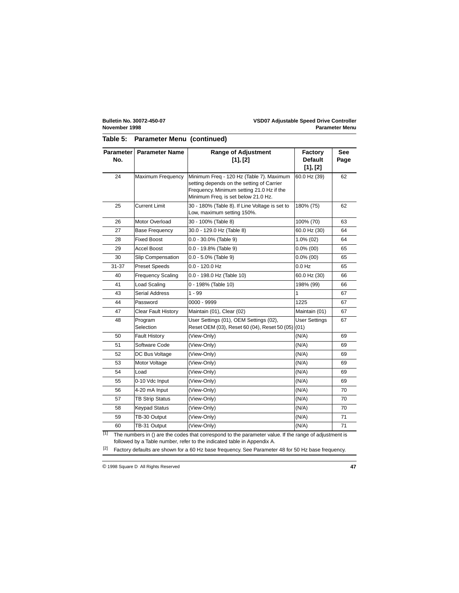## **Table 5: Parameter Menu (continued)**

| <b>Parameter</b><br>No. | <b>Parameter Name</b>    | <b>Range of Adjustment</b><br>[1], [2]                                                                                                                                    | <b>Factory</b><br><b>Default</b><br>[1], [2] | <b>See</b><br>Page |
|-------------------------|--------------------------|---------------------------------------------------------------------------------------------------------------------------------------------------------------------------|----------------------------------------------|--------------------|
| 24                      | Maximum Frequency        | Minimum Freq - 120 Hz (Table 7). Maximum<br>setting depends on the setting of Carrier<br>Frequency. Minimum setting 21.0 Hz if the<br>Minimum Freq. is set below 21.0 Hz. | 60.0 Hz (39)                                 | 62                 |
| 25                      | <b>Current Limit</b>     | 30 - 180% (Table 8). If Line Voltage is set to<br>Low, maximum setting 150%.                                                                                              | 180% (75)                                    | 62                 |
| 26                      | Motor Overload           | 30 - 100% (Table 8)                                                                                                                                                       | 100% (70)                                    | 63                 |
| 27                      | <b>Base Frequency</b>    | 30.0 - 129.0 Hz (Table 8)                                                                                                                                                 | 60.0 Hz (30)                                 | 64                 |
| 28                      | <b>Fixed Boost</b>       | $0.0 - 30.0\%$ (Table 9)                                                                                                                                                  | $1.0\%$ (02)                                 | 64                 |
| 29                      | Accel Boost              | $0.0 - 19.8\%$ (Table 9)                                                                                                                                                  | $0.0\%$ (00)                                 | 65                 |
| 30                      | <b>Slip Compensation</b> | $0.0 - 5.0\%$ (Table 9)                                                                                                                                                   | $0.0\%$ (00)                                 | 65                 |
| 31-37                   | <b>Preset Speeds</b>     | $0.0 - 120.0$ Hz                                                                                                                                                          | $0.0$ Hz                                     | 65                 |
| 40                      | <b>Frequency Scaling</b> | 0.0 - 198.0 Hz (Table 10)                                                                                                                                                 | 60.0 Hz (30)                                 | 66                 |
| 41                      | <b>Load Scaling</b>      | 0 - 198% (Table 10)                                                                                                                                                       | 198% (99)                                    | 66                 |
| 43                      | <b>Serial Address</b>    | $1 - 99$                                                                                                                                                                  | 1                                            | 67                 |
| 44                      | Password                 | 0000 - 9999                                                                                                                                                               | 1225                                         | 67                 |
| 47                      | Clear Fault History      | Maintain (01), Clear (02)                                                                                                                                                 | Maintain (01)                                | 67                 |
| 48                      | Program<br>Selection     | User Settings (01), OEM Settings (02),<br>Reset OEM (03), Reset 60 (04), Reset 50 (05) (01)                                                                               | <b>User Settings</b>                         | 67                 |
| 50                      | Fault History            | (View-Only)                                                                                                                                                               | (N/A)                                        | 69                 |
| 51                      | Software Code            | (View-Only)                                                                                                                                                               | (N/A)                                        | 69                 |
| 52                      | DC Bus Voltage           | (View-Only)                                                                                                                                                               | (N/A)                                        | 69                 |
| 53                      | Motor Voltage            | (View-Only)                                                                                                                                                               | (N/A)                                        | 69                 |
| 54                      | Load                     | (View-Only)                                                                                                                                                               | (N/A)                                        | 69                 |
| 55                      | 0-10 Vdc Input           | (View-Only)                                                                                                                                                               | (N/A)                                        | 69                 |
| 56                      | 4-20 mA Input            | (View-Only)                                                                                                                                                               | (N/A)                                        | 70                 |
| 57                      | <b>TB Strip Status</b>   | (View-Only)                                                                                                                                                               | (N/A)                                        | 70                 |
| 58                      | <b>Keypad Status</b>     | (View-Only)                                                                                                                                                               | (N/A)                                        | 70                 |
| 59                      | TB-30 Output             | (View-Only)                                                                                                                                                               | (N/A)                                        | 71                 |
| 60                      | TB-31 Output             | (View-Only)                                                                                                                                                               | (N/A)                                        | 71                 |

 $[1]$  The numbers in () are the codes that correspond to the parameter value. If the range of adjustment is followed by a Table number, refer to the indicated table in Appendix A.

 $^{[2]}$  Factory defaults are shown for a 60 Hz base frequency. See Parameter 48 for 50 Hz base frequency.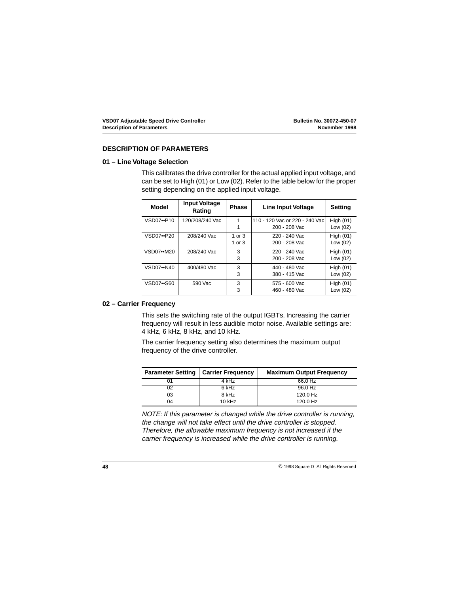## <span id="page-51-0"></span>**DESCRIPTION OF PARAMETERS**

## **01 – Line Voltage Selection**

This calibrates the drive controller for the actual applied input voltage, and can be set to High (01) or Low (02). Refer to the table below for the proper setting depending on the applied input voltage.

| Model                   | <b>Input Voltage</b><br>Rating | <b>Phase</b> | Line Input Voltage             | Setting     |
|-------------------------|--------------------------------|--------------|--------------------------------|-------------|
| VSD07••P10              | 120/208/240 Vac                | 1            | 110 - 120 Vac or 220 - 240 Vac | High $(01)$ |
|                         |                                |              | 200 - 208 Vac                  | Low (02)    |
| VSD07••P20              | 208/240 Vac                    | 1 or $3$     | 220 - 240 Vac                  | High $(01)$ |
|                         |                                | 1 or 3       | 200 - 208 Vac                  | Low (02)    |
| $VSD07 \rightarrow M20$ | 208/240 Vac                    | 3            | 220 - 240 Vac                  | High $(01)$ |
|                         |                                | 3            | 200 - 208 Vac                  | Low (02)    |
| VSD07••N40              | 400/480 Vac                    | 3            | 440 - 480 Vac                  | High $(01)$ |
|                         |                                | 3            | 380 - 415 Vac                  | Low (02)    |
| VSD07••S60              | 590 Vac                        | 3            | 575 - 600 Vac                  | High $(01)$ |
|                         |                                | 3            | 460 - 480 Vac                  | Low (02)    |

## **02 – Carrier Frequency**

This sets the switching rate of the output IGBTs. Increasing the carrier frequency will result in less audible motor noise. Available settings are: 4 kHz, 6 kHz, 8 kHz, and 10 kHz.

The carrier frequency setting also determines the maximum output frequency of the drive controller.

| <b>Parameter Setting</b> | <b>Carrier Frequency</b> | <b>Maximum Output Frequency</b> |
|--------------------------|--------------------------|---------------------------------|
|                          | 4 kHz                    | 66.0 Hz                         |
| 02                       | 6 kHz                    | 96.0 Hz                         |
| 03                       | 8 kHz                    | 120.0 Hz                        |
| 04                       | 10 kHz                   | $120.0$ Hz                      |

NOTE: If this parameter is changed while the drive controller is running, the change will not take effect until the drive controller is stopped. Therefore, the allowable maximum frequency is not increased if the carrier frequency is increased while the drive controller is running.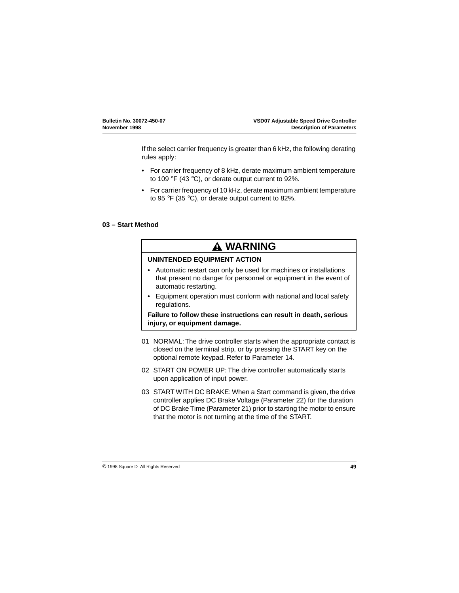<span id="page-52-0"></span>If the select carrier frequency is greater than 6 kHz, the following derating rules apply:

- For carrier frequency of 8 kHz, derate maximum ambient temperature to 109 °F (43 °C), or derate output current to 92%.
- For carrier frequency of 10 kHz, derate maximum ambient temperature to 95 °F (35 °C), or derate output current to 82%.

## **03 – Start Method**

## **WARNING**

## **UNINTENDED EQUIPMENT ACTION**

- Automatic restart can only be used for machines or installations that present no danger for personnel or equipment in the event of automatic restarting.
- Equipment operation must conform with national and local safety regulations.

**Failure to follow these instructions can result in death, serious injury, or equipment damage.**

- 01 NORMAL: The drive controller starts when the appropriate contact is closed on the terminal strip, or by pressing the START key on the optional remote keypad. Refer to Parameter 14.
- 02 START ON POWER UP: The drive controller automatically starts upon application of input power.
- 03 START WITH DC BRAKE: When a Start command is given, the drive controller applies DC Brake Voltage (Parameter 22) for the duration of DC Brake Time (Parameter 21) prior to starting the motor to ensure that the motor is not turning at the time of the START.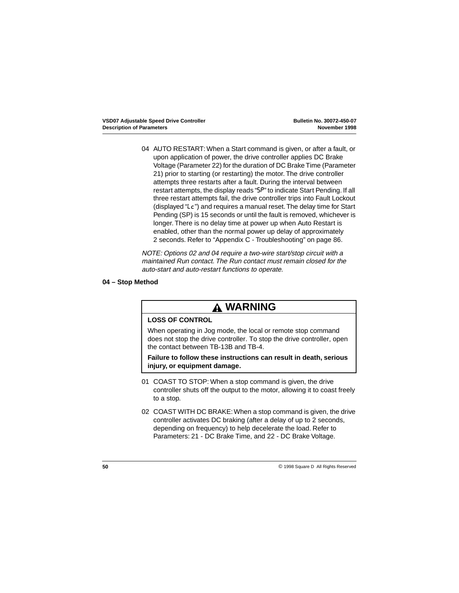<span id="page-53-0"></span>04 AUTO RESTART: When a Start command is given, or after a fault, or upon application of power, the drive controller applies DC Brake Voltage (Parameter 22) for the duration of DC Brake Time (Parameter 21) prior to starting (or restarting) the motor. The drive controller attempts three restarts after a fault. During the interval between restart attempts, the display reads "SP" to indicate Start Pending. If all three restart attempts fail, the drive controller trips into Fault Lockout (displayed "LC") and requires a manual reset. The delay time for Start Pending (SP) is 15 seconds or until the fault is removed, whichever is longer. There is no delay time at power up when Auto Restart is enabled, other than the normal power up delay of approximately 2 seconds. Refer to ["Appendix C - Troubleshooting" on page 86](#page-89-0).

NOTE: Options 02 and 04 require a two-wire start/stop circuit with a maintained Run contact. The Run contact must remain closed for the auto-start and auto-restart functions to operate.

## **04 – Stop Method**

# **WARNING**

## **LOSS OF CONTROL**

When operating in Jog mode, the local or remote stop command does not stop the drive controller. To stop the drive controller, open the contact between TB-13B and TB-4.

**Failure to follow these instructions can result in death, serious injury, or equipment damage.**

- 01 COAST TO STOP: When a stop command is given, the drive controller shuts off the output to the motor, allowing it to coast freely to a stop.
- 02 COAST WITH DC BRAKE: When a stop command is given, the drive controller activates DC braking (after a delay of up to 2 seconds, depending on frequency) to help decelerate the load. Refer to Parameters: 21 - DC Brake Time, and 22 - DC Brake Voltage.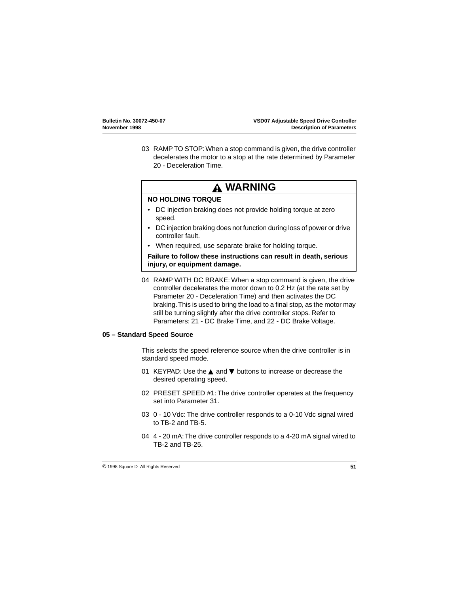<span id="page-54-0"></span>03 RAMP TO STOP: When a stop command is given, the drive controller decelerates the motor to a stop at the rate determined by Parameter 20 - Deceleration Time.

# **WARNING**

## **NO HOLDING TORQUE**

- DC injection braking does not provide holding torque at zero speed.
- DC injection braking does not function during loss of power or drive controller fault.
- When required, use separate brake for holding torque.

**Failure to follow these instructions can result in death, serious injury, or equipment damage.**

04 RAMP WITH DC BRAKE: When a stop command is given, the drive controller decelerates the motor down to 0.2 Hz (at the rate set by Parameter 20 - Deceleration Time) and then activates the DC braking. This is used to bring the load to a final stop, as the motor may still be turning slightly after the drive controller stops. Refer to Parameters: 21 - DC Brake Time, and 22 - DC Brake Voltage.

## **05 – Standard Speed Source**

This selects the speed reference source when the drive controller is in standard speed mode.

- 01 KEYPAD: Use the ▲ and ▼ buttons to increase or decrease the desired operating speed.
- 02 PRESET SPEED #1: The drive controller operates at the frequency set into Parameter 31.
- 03 0 10 Vdc: The drive controller responds to a 0-10 Vdc signal wired to TB-2 and TB-5.
- 04 4 20 mA: The drive controller responds to a 4-20 mA signal wired to TB-2 and TB-25.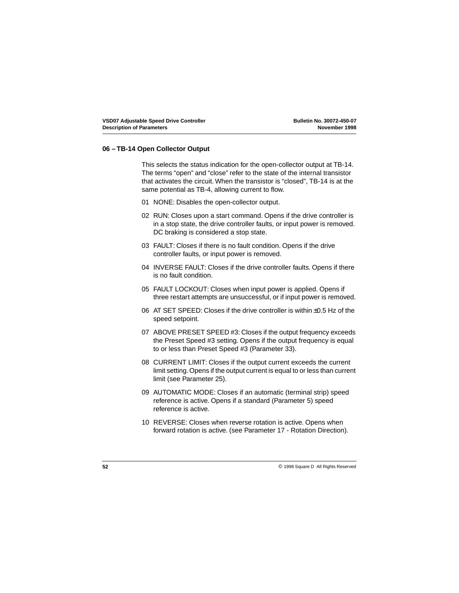## <span id="page-55-0"></span>**06 – TB-14 Open Collector Output**

This selects the status indication for the open-collector output at TB-14. The terms "open" and "close" refer to the state of the internal transistor that activates the circuit. When the transistor is "closed", TB-14 is at the same potential as TB-4, allowing current to flow.

- 01 NONE: Disables the open-collector output.
- 02 RUN: Closes upon a start command. Opens if the drive controller is in a stop state, the drive controller faults, or input power is removed. DC braking is considered a stop state.
- 03 FAULT: Closes if there is no fault condition. Opens if the drive controller faults, or input power is removed.
- 04 INVERSE FAULT: Closes if the drive controller faults. Opens if there is no fault condition.
- 05 FAULT LOCKOUT: Closes when input power is applied. Opens if three restart attempts are unsuccessful, or if input power is removed.
- 06 AT SET SPEED: Closes if the drive controller is within ±0.5 Hz of the speed setpoint.
- 07 ABOVE PRESET SPEED #3: Closes if the output frequency exceeds the Preset Speed #3 setting. Opens if the output frequency is equal to or less than Preset Speed #3 (Parameter 33).
- 08 CURRENT LIMIT: Closes if the output current exceeds the current limit setting. Opens if the output current is equal to or less than current limit (see Parameter 25).
- 09 AUTOMATIC MODE: Closes if an automatic (terminal strip) speed reference is active. Opens if a standard (Parameter 5) speed reference is active.
- 10 REVERSE: Closes when reverse rotation is active. Opens when forward rotation is active. (see Parameter 17 - Rotation Direction).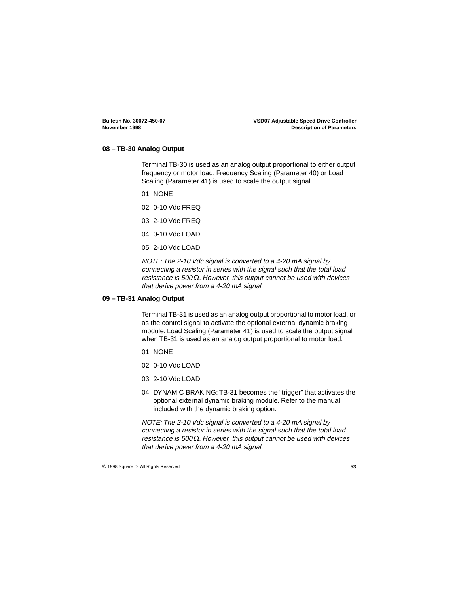## <span id="page-56-0"></span>**08 – TB-30 Analog Output**

Terminal TB-30 is used as an analog output proportional to either output frequency or motor load. Frequency Scaling (Parameter 40) or Load Scaling (Parameter 41) is used to scale the output signal.

01 NONE

02 0-10 Vdc FREQ

03 2-10 Vdc FREQ

04 0-10 Vdc LOAD

05 2-10 Vdc LOAD

NOTE: The 2-10 Vdc signal is converted to a 4-20 mA signal by connecting a resistor in series with the signal such that the total load resistance is 500  $\Omega$ . However, this output cannot be used with devices that derive power from a 4-20 mA signal.

### **09 – TB-31 Analog Output**

Terminal TB-31 is used as an analog output proportional to motor load, or as the control signal to activate the optional external dynamic braking module. Load Scaling (Parameter 41) is used to scale the output signal when TB-31 is used as an analog output proportional to motor load.

- 01 NONE
- 02 0-10 Vdc LOAD
- 03 2-10 Vdc LOAD
- 04 DYNAMIC BRAKING: TB-31 becomes the "trigger" that activates the optional external dynamic braking module. Refer to the manual included with the dynamic braking option.

NOTE: The 2-10 Vdc signal is converted to a 4-20 mA signal by connecting a resistor in series with the signal such that the total load resistance is 500  $\Omega$ . However, this output cannot be used with devices that derive power from a 4-20 mA signal.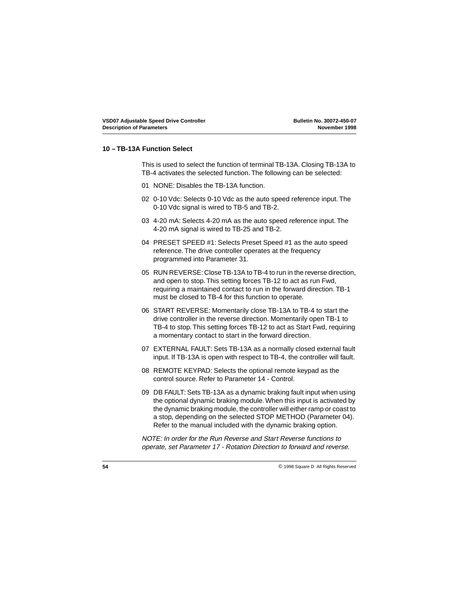## <span id="page-57-0"></span>**10 – TB-13A Function Select**

This is used to select the function of terminal TB-13A. Closing TB-13A to TB-4 activates the selected function. The following can be selected:

- 01 NONE: Disables the TB-13A function.
- 02 0-10 Vdc: Selects 0-10 Vdc as the auto speed reference input. The 0-10 Vdc signal is wired to TB-5 and TB-2.
- 03 4-20 mA: Selects 4-20 mA as the auto speed reference input. The 4-20 mA signal is wired to TB-25 and TB-2.
- 04 PRESET SPEED #1: Selects Preset Speed #1 as the auto speed reference. The drive controller operates at the frequency programmed into Parameter 31.
- 05 RUN REVERSE: Close TB-13A to TB-4 to run in the reverse direction, and open to stop. This setting forces TB-12 to act as run Fwd, requiring a maintained contact to run in the forward direction. TB-1 must be closed to TB-4 for this function to operate.
- 06 START REVERSE: Momentarily close TB-13A to TB-4 to start the drive controller in the reverse direction. Momentarily open TB-1 to TB-4 to stop. This setting forces TB-12 to act as Start Fwd, requiring a momentary contact to start in the forward direction.
- 07 EXTERNAL FAULT: Sets TB-13A as a normally closed external fault input. If TB-13A is open with respect to TB-4, the controller will fault.
- 08 REMOTE KEYPAD: Selects the optional remote keypad as the control source. Refer to Parameter 14 - Control.
- 09 DB FAULT: Sets TB-13A as a dynamic braking fault input when using the optional dynamic braking module. When this input is activated by the dynamic braking module, the controller will either ramp or coast to a stop, depending on the selected STOP METHOD (Parameter 04). Refer to the manual included with the dynamic braking option.

NOTE: In order for the Run Reverse and Start Reverse functions to operate, set Parameter 17 - Rotation Direction to forward and reverse.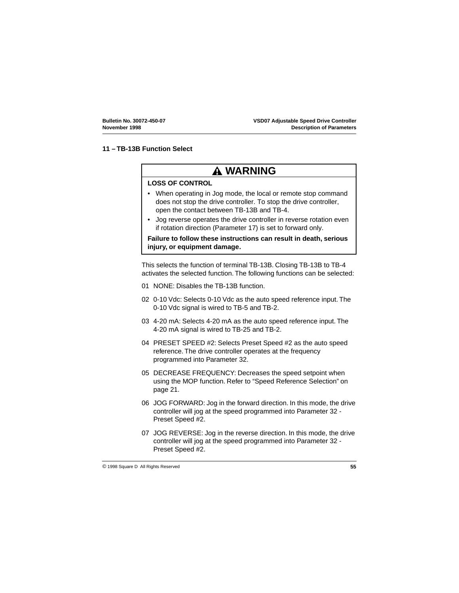## <span id="page-58-0"></span>**11 – TB-13B Function Select**

## **WARNING**

## **LOSS OF CONTROL**

- When operating in Jog mode, the local or remote stop command does not stop the drive controller. To stop the drive controller, open the contact between TB-13B and TB-4.
- Jog reverse operates the drive controller in reverse rotation even if rotation direction (Parameter 17) is set to forward only.

**Failure to follow these instructions can result in death, serious injury, or equipment damage.**

This selects the function of terminal TB-13B. Closing TB-13B to TB-4 activates the selected function. The following functions can be selected:

- 01 NONE: Disables the TB-13B function.
- 02 0-10 Vdc: Selects 0-10 Vdc as the auto speed reference input. The 0-10 Vdc signal is wired to TB-5 and TB-2.
- 03 4-20 mA: Selects 4-20 mA as the auto speed reference input. The 4-20 mA signal is wired to TB-25 and TB-2.
- 04 PRESET SPEED #2: Selects Preset Speed #2 as the auto speed reference. The drive controller operates at the frequency programmed into Parameter 32.
- 05 DECREASE FREQUENCY: Decreases the speed setpoint when using the MOP function. Refer to ["Speed Reference Selection" on](#page-24-0)  [page 21](#page-24-0).
- 06 JOG FORWARD: Jog in the forward direction. In this mode, the drive controller will jog at the speed programmed into Parameter 32 - Preset Speed #2.
- 07 JOG REVERSE: Jog in the reverse direction. In this mode, the drive controller will jog at the speed programmed into Parameter 32 - Preset Speed #2.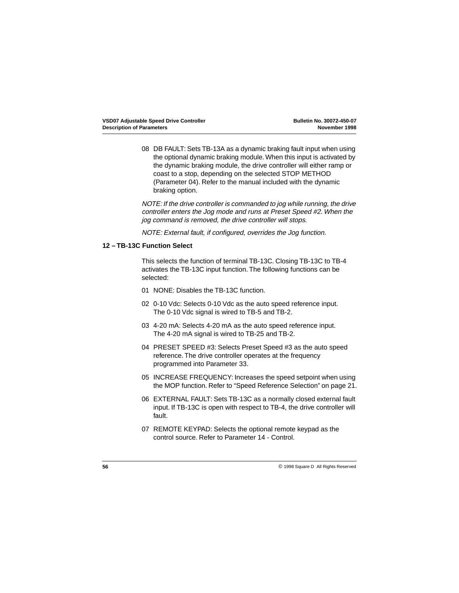<span id="page-59-0"></span>08 DB FAULT: Sets TB-13A as a dynamic braking fault input when using the optional dynamic braking module. When this input is activated by the dynamic braking module, the drive controller will either ramp or coast to a stop, depending on the selected STOP METHOD (Parameter 04). Refer to the manual included with the dynamic braking option.

NOTE: If the drive controller is commanded to jog while running, the drive controller enters the Jog mode and runs at Preset Speed #2. When the jog command is removed, the drive controller will stops.

NOTE: External fault, if configured, overrides the Jog function.

### **12 – TB-13C Function Select**

This selects the function of terminal TB-13C. Closing TB-13C to TB-4 activates the TB-13C input function. The following functions can be selected:

- 01 NONE: Disables the TB-13C function.
- 02 0-10 Vdc: Selects 0-10 Vdc as the auto speed reference input. The 0-10 Vdc signal is wired to TB-5 and TB-2.
- 03 4-20 mA: Selects 4-20 mA as the auto speed reference input. The 4-20 mA signal is wired to TB-25 and TB-2.
- 04 PRESET SPEED #3: Selects Preset Speed #3 as the auto speed reference. The drive controller operates at the frequency programmed into Parameter 33.
- 05 INCREASE FREQUENCY: Increases the speed setpoint when using the MOP function. Refer to ["Speed Reference Selection" on page 21](#page-24-0).
- 06 EXTERNAL FAULT: Sets TB-13C as a normally closed external fault input. If TB-13C is open with respect to TB-4, the drive controller will fault.
- 07 REMOTE KEYPAD: Selects the optional remote keypad as the control source. Refer to Parameter 14 - Control.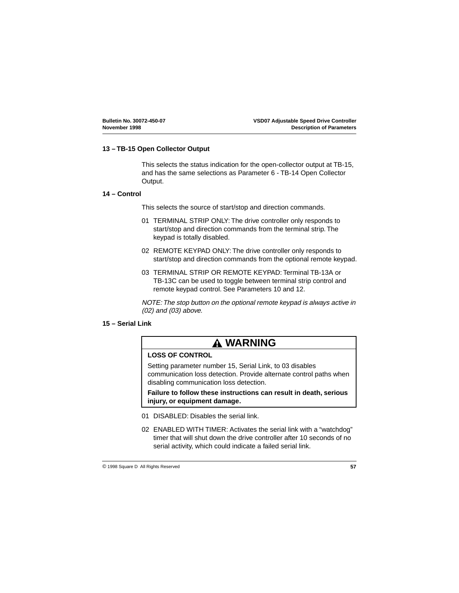## <span id="page-60-0"></span>**13 – TB-15 Open Collector Output**

This selects the status indication for the open-collector output at TB-15, and has the same selections as Parameter 6 - TB-14 Open Collector Output.

### **14 – Control**

This selects the source of start/stop and direction commands.

- 01 TERMINAL STRIP ONLY: The drive controller only responds to start/stop and direction commands from the terminal strip. The keypad is totally disabled.
- 02 REMOTE KEYPAD ONLY: The drive controller only responds to start/stop and direction commands from the optional remote keypad.
- 03 TERMINAL STRIP OR REMOTE KEYPAD: Terminal TB-13A or TB-13C can be used to toggle between terminal strip control and remote keypad control. See Parameters 10 and 12.

NOTE: The stop button on the optional remote keypad is always active in (02) and (03) above.

## **15 – Serial Link**

## **WARNING**

## **LOSS OF CONTROL**

Setting parameter number 15, Serial Link, to 03 disables communication loss detection. Provide alternate control paths when disabling communication loss detection.

**Failure to follow these instructions can result in death, serious injury, or equipment damage.**

- 01 DISABLED: Disables the serial link.
- 02 ENABLED WITH TIMER: Activates the serial link with a "watchdog" timer that will shut down the drive controller after 10 seconds of no serial activity, which could indicate a failed serial link.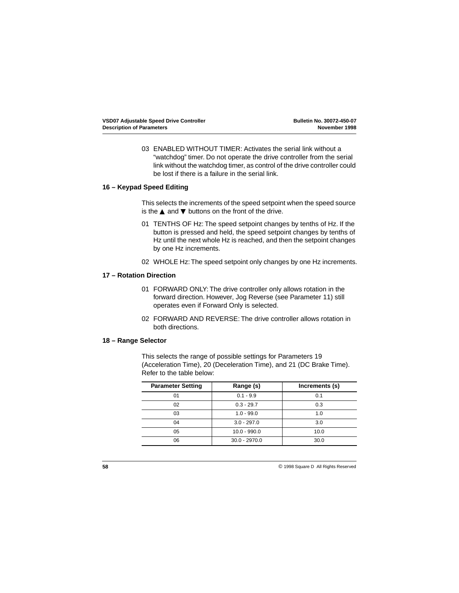<span id="page-61-0"></span>03 ENABLED WITHOUT TIMER: Activates the serial link without a "watchdog" timer. Do not operate the drive controller from the serial link without the watchdog timer, as control of the drive controller could be lost if there is a failure in the serial link.

## **16 – Keypad Speed Editing**

This selects the increments of the speed setpoint when the speed source is the  $\blacktriangle$  and  $\nabla$  buttons on the front of the drive.

- 01 TENTHS OF Hz: The speed setpoint changes by tenths of Hz. If the button is pressed and held, the speed setpoint changes by tenths of Hz until the next whole Hz is reached, and then the setpoint changes by one Hz increments.
- 02 WHOLE Hz: The speed setpoint only changes by one Hz increments.

### **17 – Rotation Direction**

- 01 FORWARD ONLY: The drive controller only allows rotation in the forward direction. However, Jog Reverse (see Parameter 11) still operates even if Forward Only is selected.
- 02 FORWARD AND REVERSE: The drive controller allows rotation in both directions.

#### **18 – Range Selector**

This selects the range of possible settings for Parameters 19 (Acceleration Time), 20 (Deceleration Time), and 21 (DC Brake Time). Refer to the table below:

| <b>Parameter Setting</b> | Range (s)       | Increments (s) |
|--------------------------|-----------------|----------------|
| 01                       | $0.1 - 9.9$     | 0.1            |
| 02                       | $0.3 - 29.7$    | 0.3            |
| 03                       | $1.0 - 99.0$    | 1.0            |
| 04                       | $3.0 - 297.0$   | 3.0            |
| 05                       | $10.0 - 990.0$  | 10.0           |
| 06                       | $30.0 - 2970.0$ | 30.0           |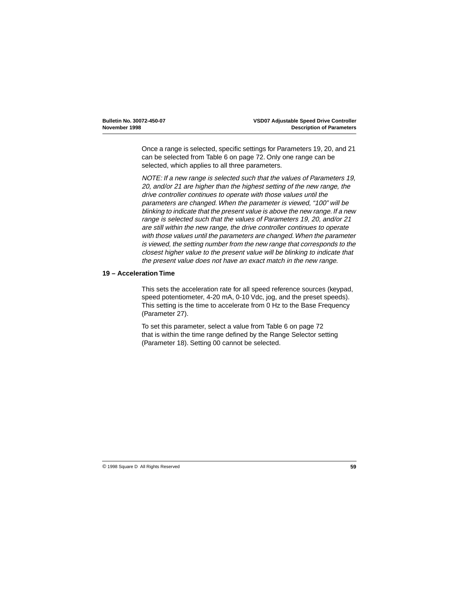<span id="page-62-0"></span>Once a range is selected, specific settings for Parameters 19, 20, and 21 can be selected from [Table 6 on page 72](#page-75-0). Only one range can be selected, which applies to all three parameters.

NOTE: If a new range is selected such that the values of Parameters 19, 20, and/or 21 are higher than the highest setting of the new range, the drive controller continues to operate with those values until the parameters are changed. When the parameter is viewed, "100" will be blinking to indicate that the present value is above the new range. If a new range is selected such that the values of Parameters 19, 20, and/or 21 are still within the new range, the drive controller continues to operate with those values until the parameters are changed. When the parameter is viewed, the setting number from the new range that corresponds to the closest higher value to the present value will be blinking to indicate that the present value does not have an exact match in the new range.

### **19 – Acceleration Time**

This sets the acceleration rate for all speed reference sources (keypad, speed potentiometer, 4-20 mA, 0-10 Vdc, jog, and the preset speeds). This setting is the time to accelerate from 0 Hz to the Base Frequency (Parameter 27).

To set this parameter, select a value from [Table 6 on page 72](#page-75-0) that is within the time range defined by the Range Selector setting (Parameter 18). Setting 00 cannot be selected.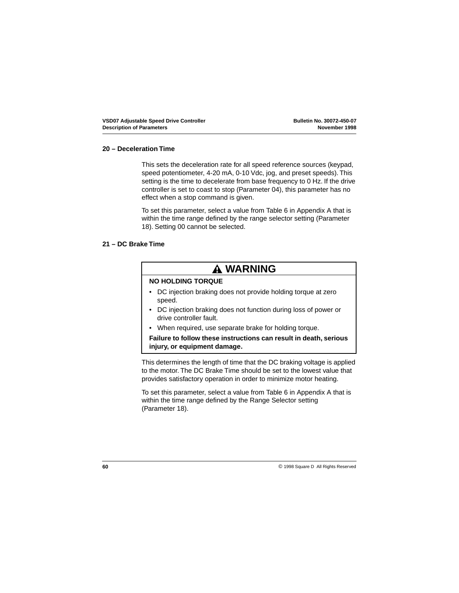## <span id="page-63-0"></span>**20 – Deceleration Time**

This sets the deceleration rate for all speed reference sources (keypad, speed potentiometer, 4-20 mA, 0-10 Vdc, jog, and preset speeds). This setting is the time to decelerate from base frequency to 0 Hz. If the drive controller is set to coast to stop (Parameter 04), this parameter has no effect when a stop command is given.

To set this parameter, select a value from [Table 6](#page-75-0) in Appendix A that is within the time range defined by the range selector setting (Parameter 18). Setting 00 cannot be selected.

### **21 – DC Brake Time**

## **WARNING**

## **NO HOLDING TORQUE**

- DC injection braking does not provide holding torque at zero speed.
- DC injection braking does not function during loss of power or drive controller fault.
- When required, use separate brake for holding torque.

## **Failure to follow these instructions can result in death, serious injury, or equipment damage.**

This determines the length of time that the DC braking voltage is applied to the motor. The DC Brake Time should be set to the lowest value that provides satisfactory operation in order to minimize motor heating.

To set this parameter, select a value from [Table 6](#page-75-0) in Appendix A that is within the time range defined by the Range Selector setting (Parameter 18).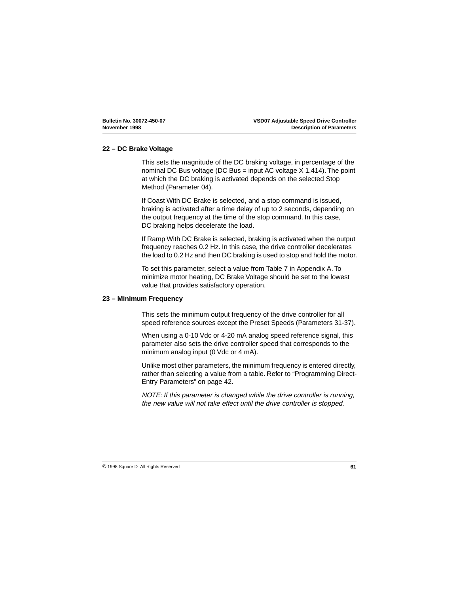## <span id="page-64-0"></span>**22 – DC Brake Voltage**

This sets the magnitude of the DC braking voltage, in percentage of the nominal DC Bus voltage (DC Bus = input AC voltage X 1.414). The point at which the DC braking is activated depends on the selected Stop Method (Parameter 04).

If Coast With DC Brake is selected, and a stop command is issued, braking is activated after a time delay of up to 2 seconds, depending on the output frequency at the time of the stop command. In this case, DC braking helps decelerate the load.

If Ramp With DC Brake is selected, braking is activated when the output frequency reaches 0.2 Hz. In this case, the drive controller decelerates the load to 0.2 Hz and then DC braking is used to stop and hold the motor.

To set this parameter, select a value from [Table 7](#page-79-0) in Appendix A. To minimize motor heating, DC Brake Voltage should be set to the lowest value that provides satisfactory operation.

### **23 – Minimum Frequency**

This sets the minimum output frequency of the drive controller for all speed reference sources except the Preset Speeds (Parameters 31-37).

When using a 0-10 Vdc or 4-20 mA analog speed reference signal, this parameter also sets the drive controller speed that corresponds to the minimum analog input (0 Vdc or 4 mA).

Unlike most other parameters, the minimum frequency is entered directly, rather than selecting a value from a table. Refer to ["Programming Direct-](#page-45-0)[Entry Parameters" on page 42](#page-45-0).

NOTE: If this parameter is changed while the drive controller is running, the new value will not take effect until the drive controller is stopped.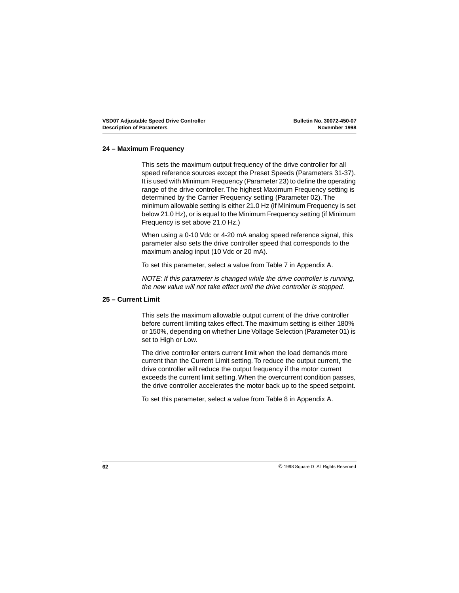### <span id="page-65-0"></span>**24 – Maximum Frequency**

This sets the maximum output frequency of the drive controller for all speed reference sources except the Preset Speeds (Parameters 31-37). It is used with Minimum Frequency (Parameter 23) to define the operating range of the drive controller. The highest Maximum Frequency setting is determined by the Carrier Frequency setting (Parameter 02). The minimum allowable setting is either 21.0 Hz (if Minimum Frequency is set below 21.0 Hz), or is equal to the Minimum Frequency setting (if Minimum Frequency is set above 21.0 Hz.)

When using a 0-10 Vdc or 4-20 mA analog speed reference signal, this parameter also sets the drive controller speed that corresponds to the maximum analog input (10 Vdc or 20 mA).

To set this parameter, select a value from [Table 7](#page-79-0) in Appendix A.

NOTE: If this parameter is changed while the drive controller is running, the new value will not take effect until the drive controller is stopped.

### **25 – Current Limit**

This sets the maximum allowable output current of the drive controller before current limiting takes effect. The maximum setting is either 180% or 150%, depending on whether Line Voltage Selection (Parameter 01) is set to High or Low.

The drive controller enters current limit when the load demands more current than the Current Limit setting. To reduce the output current, the drive controller will reduce the output frequency if the motor current exceeds the current limit setting. When the overcurrent condition passes, the drive controller accelerates the motor back up to the speed setpoint.

To set this parameter, select a value from [Table 8](#page-80-0) in Appendix A.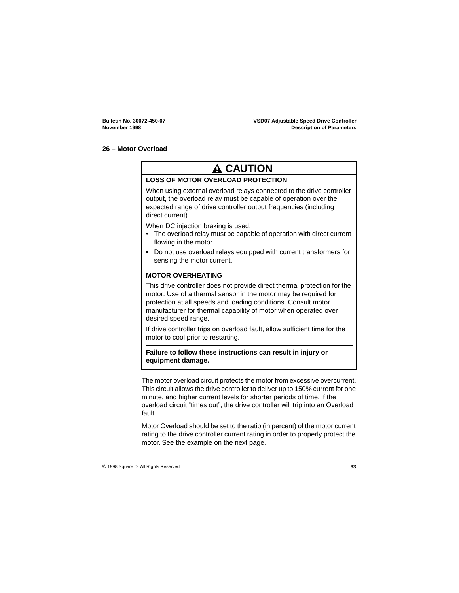## <span id="page-66-0"></span>**26 – Motor Overload**

# **A CAUTION**

## **LOSS OF MOTOR OVERLOAD PROTECTION**

When using external overload relays connected to the drive controller output, the overload relay must be capable of operation over the expected range of drive controller output frequencies (including direct current).

When DC injection braking is used:

- The overload relay must be capable of operation with direct current flowing in the motor.
- Do not use overload relays equipped with current transformers for sensing the motor current.

## **MOTOR OVERHEATING**

This drive controller does not provide direct thermal protection for the motor. Use of a thermal sensor in the motor may be required for protection at all speeds and loading conditions. Consult motor manufacturer for thermal capability of motor when operated over desired speed range.

If drive controller trips on overload fault, allow sufficient time for the motor to cool prior to restarting.

## **Failure to follow these instructions can result in injury or equipment damage.**

The motor overload circuit protects the motor from excessive overcurrent. This circuit allows the drive controller to deliver up to 150% current for one minute, and higher current levels for shorter periods of time. If the overload circuit "times out", the drive controller will trip into an Overload fault.

Motor Overload should be set to the ratio (in percent) of the motor current rating to the drive controller current rating in order to properly protect the motor. See the example on the next page.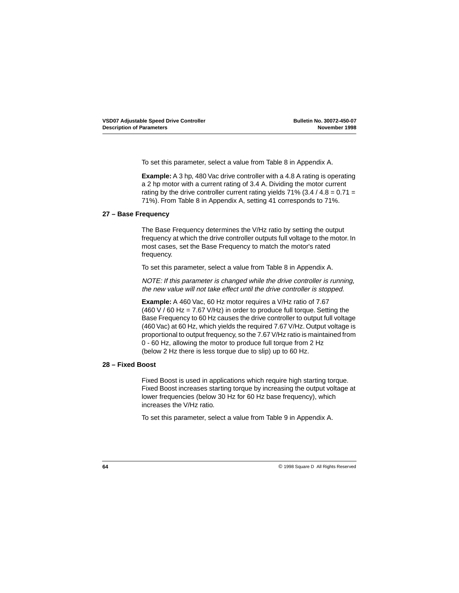<span id="page-67-0"></span>To set this parameter, select a value from [Table 8](#page-80-0) in Appendix A.

**Example:** A 3 hp, 480 Vac drive controller with a 4.8 A rating is operating a 2 hp motor with a current rating of 3.4 A. Dividing the motor current rating by the drive controller current rating yields  $71\%$  (3.4 / 4.8 = 0.71 = 71%). From [Table 8](#page-80-0) in Appendix A, setting 41 corresponds to 71%.

## **27 – Base Frequency**

The Base Frequency determines the V/Hz ratio by setting the output frequency at which the drive controller outputs full voltage to the motor. In most cases, set the Base Frequency to match the motor's rated frequency.

To set this parameter, select a value from [Table 8](#page-80-0) in Appendix A.

NOTE: If this parameter is changed while the drive controller is running, the new value will not take effect until the drive controller is stopped.

**Example:** A 460 Vac, 60 Hz motor requires a V/Hz ratio of 7.67  $(460 V / 60 Hz = 7.67 V / Hz)$  in order to produce full torque. Setting the Base Frequency to 60 Hz causes the drive controller to output full voltage (460 Vac) at 60 Hz, which yields the required 7.67 V/Hz. Output voltage is proportional to output frequency, so the 7.67 V/Hz ratio is maintained from 0 - 60 Hz, allowing the motor to produce full torque from 2 Hz (below 2 Hz there is less torque due to slip) up to 60 Hz.

### **28 – Fixed Boost**

Fixed Boost is used in applications which require high starting torque. Fixed Boost increases starting torque by increasing the output voltage at lower frequencies (below 30 Hz for 60 Hz base frequency), which increases the V/Hz ratio.

To set this parameter, select a value from [Table 9](#page-82-0) in Appendix A.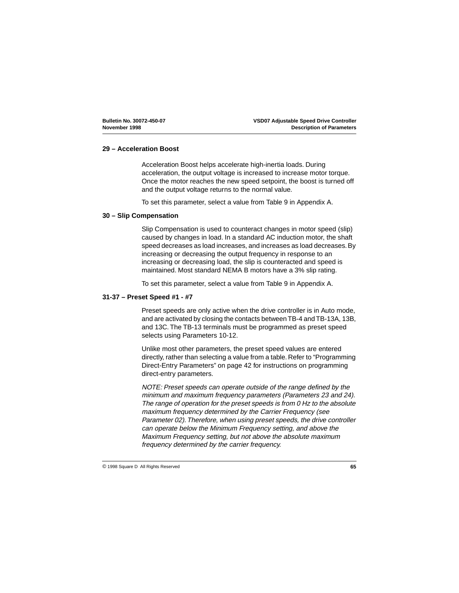## <span id="page-68-0"></span>**29 – Acceleration Boost**

Acceleration Boost helps accelerate high-inertia loads. During acceleration, the output voltage is increased to increase motor torque. Once the motor reaches the new speed setpoint, the boost is turned off and the output voltage returns to the normal value.

To set this parameter, select a value from [Table 9](#page-82-0) in Appendix A.

### **30 – Slip Compensation**

Slip Compensation is used to counteract changes in motor speed (slip) caused by changes in load. In a standard AC induction motor, the shaft speed decreases as load increases, and increases as load decreases. By increasing or decreasing the output frequency in response to an increasing or decreasing load, the slip is counteracted and speed is maintained. Most standard NEMA B motors have a 3% slip rating.

To set this parameter, select a value from [Table 9](#page-82-0) in Appendix A.

### **31-37 – Preset Speed #1 - #7**

Preset speeds are only active when the drive controller is in Auto mode, and are activated by closing the contacts between TB-4 and TB-13A, 13B, and 13C. The TB-13 terminals must be programmed as preset speed selects using Parameters 10-12.

Unlike most other parameters, the preset speed values are entered directly, rather than selecting a value from a table. Refer to ["Programming](#page-45-0)  [Direct-Entry Parameters" on page 42](#page-45-0) for instructions on programming direct-entry parameters.

NOTE: Preset speeds can operate outside of the range defined by the minimum and maximum frequency parameters (Parameters 23 and 24). The range of operation for the preset speeds is from 0 Hz to the absolute maximum frequency determined by the Carrier Frequency (see Parameter 02). Therefore, when using preset speeds, the drive controller can operate below the Minimum Frequency setting, and above the Maximum Frequency setting, but not above the absolute maximum frequency determined by the carrier frequency.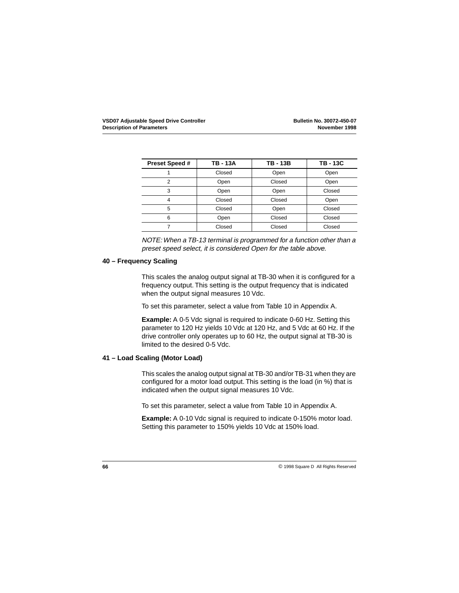<span id="page-69-0"></span>

| <b>Preset Speed #</b> | <b>TB-13A</b> | <b>TB-13B</b> | <b>TB-13C</b> |
|-----------------------|---------------|---------------|---------------|
|                       | Closed        | Open          | Open          |
| 2                     | Open          | Closed        | Open          |
| 3                     | Open          | Open          | Closed        |
|                       | Closed        | Closed        | Open          |
| 5                     | Closed        | Open          | Closed        |
| 6                     | Open          | Closed        | Closed        |
|                       | Closed        | Closed        | Closed        |

NOTE: When a TB-13 terminal is programmed for a function other than a preset speed select, it is considered Open for the table above.

## **40 – Frequency Scaling**

This scales the analog output signal at TB-30 when it is configured for a frequency output. This setting is the output frequency that is indicated when the output signal measures 10 Vdc.

To set this parameter, select a value from [Table 10](#page-83-0) in Appendix A.

**Example:** A 0-5 Vdc signal is required to indicate 0-60 Hz. Setting this parameter to 120 Hz yields 10 Vdc at 120 Hz, and 5 Vdc at 60 Hz. If the drive controller only operates up to 60 Hz, the output signal at TB-30 is limited to the desired 0-5 Vdc.

### **41 – Load Scaling (Motor Load)**

This scales the analog output signal at TB-30 and/or TB-31 when they are configured for a motor load output. This setting is the load (in %) that is indicated when the output signal measures 10 Vdc.

To set this parameter, select a value from [Table 10](#page-83-0) in Appendix A.

**Example:** A 0-10 Vdc signal is required to indicate 0-150% motor load. Setting this parameter to 150% yields 10 Vdc at 150% load.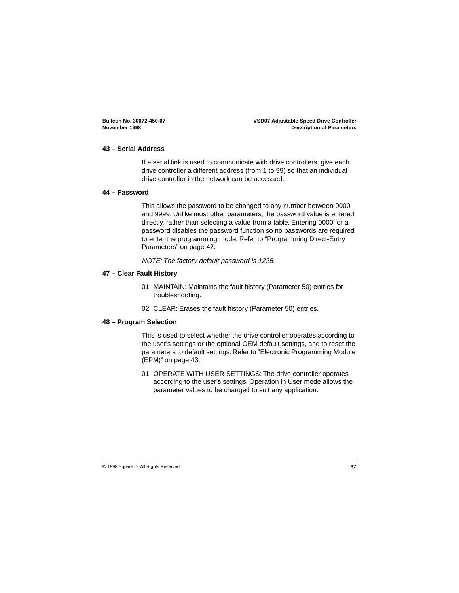## <span id="page-70-0"></span>**43 – Serial Address**

If a serial link is used to communicate with drive controllers, give each drive controller a different address (from 1 to 99) so that an individual drive controller in the network can be accessed.

### **44 – Password**

This allows the password to be changed to any number between 0000 and 9999. Unlike most other parameters, the password value is entered directly, rather than selecting a value from a table. Entering 0000 for a password disables the password function so no passwords are required to enter the programming mode. Refer to ["Programming Direct-Entry](#page-45-0)  [Parameters" on page 42](#page-45-0).

NOTE: The factory default password is 1225.

## **47 – Clear Fault History**

- 01 MAINTAIN: Maintains the fault history (Parameter 50) entries for troubleshooting.
- 02 CLEAR: Erases the fault history (Parameter 50) entries.

### **48 – Program Selection**

This is used to select whether the drive controller operates according to the user's settings or the optional OEM default settings, and to reset the parameters to default settings. Refer to ["Electronic Programming Module](#page-46-0)  [\(EPM\)" on page 43](#page-46-0).

01 OPERATE WITH USER SETTINGS: The drive controller operates according to the user's settings. Operation in User mode allows the parameter values to be changed to suit any application.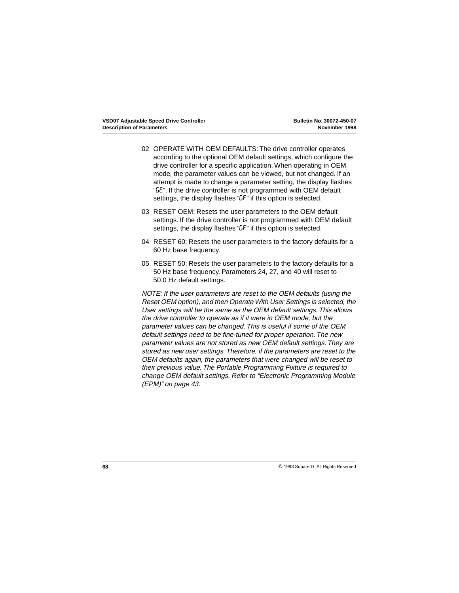- 02 OPERATE WITH OEM DEFAULTS: The drive controller operates according to the optional OEM default settings, which configure the drive controller for a specific application. When operating in OEM mode, the parameter values can be viewed, but not changed. If an attempt is made to change a parameter setting, the display flashes "GE". If the drive controller is not programmed with OEM default settings, the display flashes "LF" if this option is selected.
- 03 RESET OEM: Resets the user parameters to the OEM default settings. If the drive controller is not programmed with OEM default settings, the display flashes "GF" if this option is selected.
- 04 RESET 60: Resets the user parameters to the factory defaults for a 60 Hz base frequency.
- 05 RESET 50: Resets the user parameters to the factory defaults for a 50 Hz base frequency. Parameters 24, 27, and 40 will reset to 50.0 Hz default settings.

NOTE: If the user parameters are reset to the OEM defaults (using the Reset OEM option), and then Operate With User Settings is selected, the User settings will be the same as the OEM default settings. This allows the drive controller to operate as if it were in OEM mode, but the parameter values can be changed. This is useful if some of the OEM default settings need to be fine-tuned for proper operation. The new parameter values are not stored as new OEM default settings. They are stored as new user settings. Therefore, if the parameters are reset to the OEM defaults again, the parameters that were changed will be reset to their previous value. The Portable Programming Fixture is required to change OEM default settings. Refer to ["Electronic Programming Module](#page-46-0)  [\(EPM\)" on page 43](#page-46-0).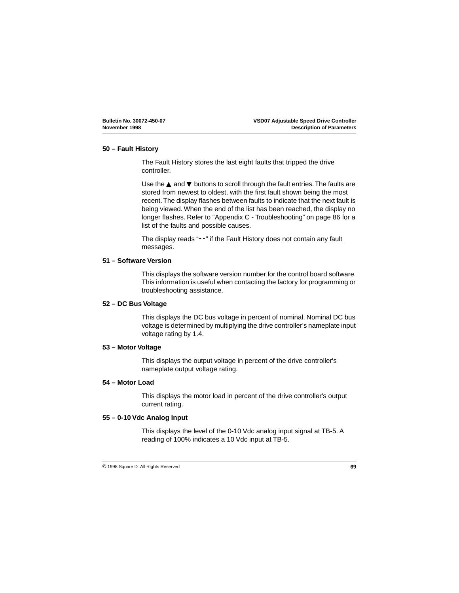#### <span id="page-72-0"></span>**50 – Fault History**

The Fault History stores the last eight faults that tripped the drive controller.

Use the  $\blacktriangle$  and  $\nabla$  buttons to scroll through the fault entries. The faults are stored from newest to oldest, with the first fault shown being the most recent. The display flashes between faults to indicate that the next fault is being viewed. When the end of the list has been reached, the display no longer flashes. Refer to ["Appendix C - Troubleshooting" on page 86](#page-89-0) for a list of the faults and possible causes.

The display reads "--" if the Fault History does not contain any fault messages.

#### **51 – Software Version**

This displays the software version number for the control board software. This information is useful when contacting the factory for programming or troubleshooting assistance.

#### **52 – DC Bus Voltage**

This displays the DC bus voltage in percent of nominal. Nominal DC bus voltage is determined by multiplying the drive controller's nameplate input voltage rating by 1.4.

#### **53 – Motor Voltage**

This displays the output voltage in percent of the drive controller's nameplate output voltage rating.

#### **54 – Motor Load**

This displays the motor load in percent of the drive controller's output current rating.

#### **55 – 0-10 Vdc Analog Input**

This displays the level of the 0-10 Vdc analog input signal at TB-5. A reading of 100% indicates a 10 Vdc input at TB-5.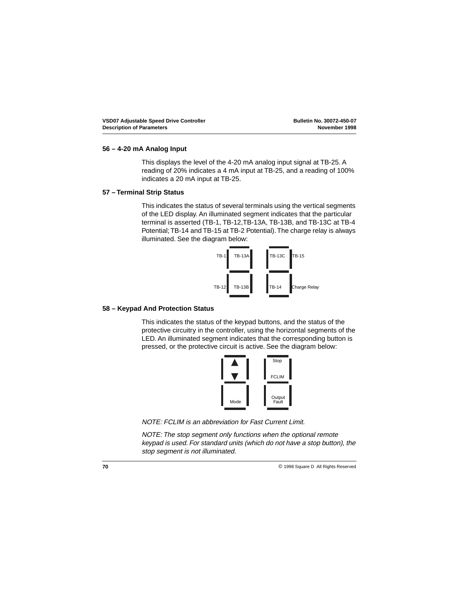#### <span id="page-73-0"></span>**56 – 4-20 mA Analog Input**

This displays the level of the 4-20 mA analog input signal at TB-25. A reading of 20% indicates a 4 mA input at TB-25, and a reading of 100% indicates a 20 mA input at TB-25.

#### **57 – Terminal Strip Status**

This indicates the status of several terminals using the vertical segments of the LED display. An illuminated segment indicates that the particular terminal is asserted (TB-1, TB-12,TB-13A, TB-13B, and TB-13C at TB-4 Potential; TB-14 and TB-15 at TB-2 Potential). The charge relay is always illuminated. See the diagram below:



#### **58 – Keypad And Protection Status**

This indicates the status of the keypad buttons, and the status of the protective circuitry in the controller, using the horizontal segments of the LED. An illuminated segment indicates that the corresponding button is pressed, or the protective circuit is active. See the diagram below:



NOTE: FCLIM is an abbreviation for Fast Current Limit.

NOTE: The stop segment only functions when the optional remote keypad is used. For standard units (which do not have a stop button), the stop segment is not illuminated.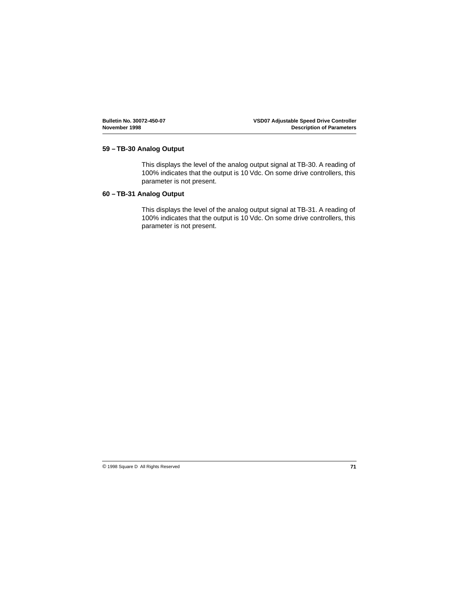#### <span id="page-74-0"></span>**59 – TB-30 Analog Output**

This displays the level of the analog output signal at TB-30. A reading of 100% indicates that the output is 10 Vdc. On some drive controllers, this parameter is not present.

#### **60 – TB-31 Analog Output**

This displays the level of the analog output signal at TB-31. A reading of 100% indicates that the output is 10 Vdc. On some drive controllers, this parameter is not present.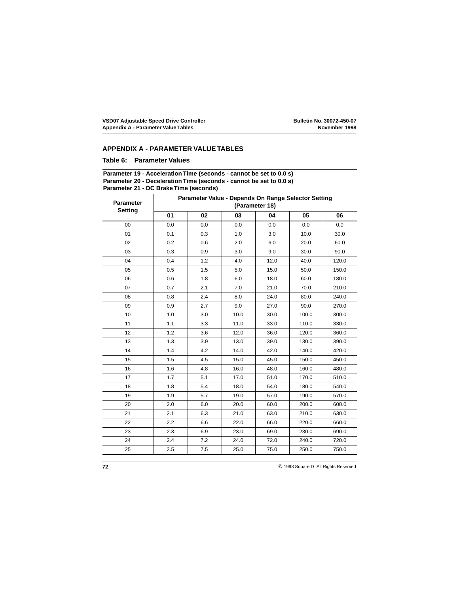#### **APPENDIX A - PARAMETER VALUE TABLES**

#### **Table 6: Parameter Values**

#### **Parameter 19 - Acceleration Time (seconds - cannot be set to 0.0 s) Parameter 20 - Deceleration Time (seconds - cannot be set to 0.0 s) Parameter 21 - DC Brake Time (seconds)**

| <b>Parameter</b><br>Setting | Parameter Value - Depends On Range Selector Setting<br>(Parameter 18) |     |      |      |       |       |  |  |  |  |
|-----------------------------|-----------------------------------------------------------------------|-----|------|------|-------|-------|--|--|--|--|
|                             | 01                                                                    | 02  | 03   | 04   | 05    | 06    |  |  |  |  |
| 00                          | 0.0                                                                   | 0.0 | 0.0  | 0.0  | 0.0   | 0.0   |  |  |  |  |
| 01                          | 0.1                                                                   | 0.3 | 1.0  | 3.0  | 10.0  | 30.0  |  |  |  |  |
| 02                          | 0.2                                                                   | 0.6 | 2.0  | 6.0  | 20.0  | 60.0  |  |  |  |  |
| 03                          | 0.3                                                                   | 0.9 | 3.0  | 9.0  | 30.0  | 90.0  |  |  |  |  |
| 04                          | 0.4                                                                   | 1.2 | 4.0  | 12.0 | 40.0  | 120.0 |  |  |  |  |
| 05                          | 0.5                                                                   | 1.5 | 5.0  | 15.0 | 50.0  | 150.0 |  |  |  |  |
| 06                          | 0.6                                                                   | 1.8 | 6.0  | 18.0 | 60.0  | 180.0 |  |  |  |  |
| 07                          | 0.7                                                                   | 2.1 | 7.0  | 21.0 | 70.0  | 210.0 |  |  |  |  |
| 08                          | 0.8                                                                   | 2.4 | 8.0  | 24.0 | 80.0  | 240.0 |  |  |  |  |
| 09                          | 0.9                                                                   | 2.7 | 9.0  | 27.0 | 90.0  | 270.0 |  |  |  |  |
| 10                          | 1.0                                                                   | 3.0 | 10.0 | 30.0 | 100.0 | 300.0 |  |  |  |  |
| 11                          | 1.1                                                                   | 3.3 | 11.0 | 33.0 | 110.0 | 330.0 |  |  |  |  |
| 12 <sup>2</sup>             | 1.2                                                                   | 3.6 | 12.0 | 36.0 | 120.0 | 360.0 |  |  |  |  |
| 13                          | 1.3                                                                   | 3.9 | 13.0 | 39.0 | 130.0 | 390.0 |  |  |  |  |
| 14                          | 1.4                                                                   | 4.2 | 14.0 | 42.0 | 140.0 | 420.0 |  |  |  |  |
| 15                          | 1.5                                                                   | 4.5 | 15.0 | 45.0 | 150.0 | 450.0 |  |  |  |  |
| 16                          | 1.6                                                                   | 4.8 | 16.0 | 48.0 | 160.0 | 480.0 |  |  |  |  |
| 17                          | 1.7                                                                   | 5.1 | 17.0 | 51.0 | 170.0 | 510.0 |  |  |  |  |
| 18                          | 1.8                                                                   | 5.4 | 18.0 | 54.0 | 180.0 | 540.0 |  |  |  |  |
| 19                          | 1.9                                                                   | 5.7 | 19.0 | 57.0 | 190.0 | 570.0 |  |  |  |  |
| 20                          | 2.0                                                                   | 6.0 | 20.0 | 60.0 | 200.0 | 600.0 |  |  |  |  |
| 21                          | 2.1                                                                   | 6.3 | 21.0 | 63.0 | 210.0 | 630.0 |  |  |  |  |
| 22                          | 2.2                                                                   | 6.6 | 22.0 | 66.0 | 220.0 | 660.0 |  |  |  |  |
| 23                          | 2.3                                                                   | 6.9 | 23.0 | 69.0 | 230.0 | 690.0 |  |  |  |  |
| 24                          | 2.4                                                                   | 7.2 | 24.0 | 72.0 | 240.0 | 720.0 |  |  |  |  |
| 25                          | 2.5                                                                   | 7.5 | 25.0 | 75.0 | 250.0 | 750.0 |  |  |  |  |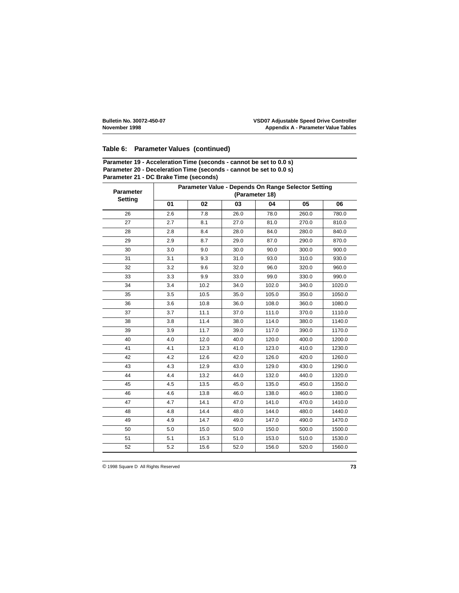#### **Table 6: Parameter Values (continued)**

| Parameter 19 - Acceleration Time (seconds - cannot be set to 0.0 s) |  |
|---------------------------------------------------------------------|--|
| Parameter 20 - Deceleration Time (seconds - cannot be set to 0.0 s) |  |
| Parameter 21 - DC Brake Time (seconds)                              |  |

| <b>Parameter</b><br><b>Setting</b> | Parameter Value - Depends On Range Selector Setting<br>(Parameter 18) |      |      |       |       |        |  |  |  |  |
|------------------------------------|-----------------------------------------------------------------------|------|------|-------|-------|--------|--|--|--|--|
|                                    | 01                                                                    | 02   | 03   | 04    | 05    | 06     |  |  |  |  |
| 26                                 | 2.6                                                                   | 7.8  | 26.0 | 78.0  | 260.0 | 780.0  |  |  |  |  |
| 27                                 | 2.7                                                                   | 8.1  | 27.0 | 81.0  | 270.0 | 810.0  |  |  |  |  |
| 28                                 | 2.8                                                                   | 8.4  | 28.0 | 84.0  | 280.0 | 840.0  |  |  |  |  |
| 29                                 | 2.9                                                                   | 8.7  | 29.0 | 87.0  | 290.0 | 870.0  |  |  |  |  |
| 30                                 | 3.0                                                                   | 9.0  | 30.0 | 90.0  | 300.0 | 900.0  |  |  |  |  |
| 31                                 | 3.1                                                                   | 9.3  | 31.0 | 93.0  | 310.0 | 930.0  |  |  |  |  |
| 32                                 | 3.2                                                                   | 9.6  | 32.0 | 96.0  | 320.0 | 960.0  |  |  |  |  |
| 33                                 | 3.3                                                                   | 9.9  | 33.0 | 99.0  | 330.0 | 990.0  |  |  |  |  |
| 34                                 | 3.4                                                                   | 10.2 | 34.0 | 102.0 | 340.0 | 1020.0 |  |  |  |  |
| 35                                 | 3.5                                                                   | 10.5 | 35.0 | 105.0 | 350.0 | 1050.0 |  |  |  |  |
| 36                                 | 3.6                                                                   | 10.8 | 36.0 | 108.0 | 360.0 | 1080.0 |  |  |  |  |
| 37                                 | 3.7                                                                   | 11.1 | 37.0 | 111.0 | 370.0 | 1110.0 |  |  |  |  |
| 38                                 | 3.8                                                                   | 11.4 | 38.0 | 114.0 | 380.0 | 1140.0 |  |  |  |  |
| 39                                 | 3.9                                                                   | 11.7 | 39.0 | 117.0 | 390.0 | 1170.0 |  |  |  |  |
| 40                                 | 4.0                                                                   | 12.0 | 40.0 | 120.0 | 400.0 | 1200.0 |  |  |  |  |
| 41                                 | 4.1                                                                   | 12.3 | 41.0 | 123.0 | 410.0 | 1230.0 |  |  |  |  |
| 42                                 | 4.2                                                                   | 12.6 | 42.0 | 126.0 | 420.0 | 1260.0 |  |  |  |  |
| 43                                 | 4.3                                                                   | 12.9 | 43.0 | 129.0 | 430.0 | 1290.0 |  |  |  |  |
| 44                                 | 4.4                                                                   | 13.2 | 44.0 | 132.0 | 440.0 | 1320.0 |  |  |  |  |
| 45                                 | 4.5                                                                   | 13.5 | 45.0 | 135.0 | 450.0 | 1350.0 |  |  |  |  |
| 46                                 | 4.6                                                                   | 13.8 | 46.0 | 138.0 | 460.0 | 1380.0 |  |  |  |  |
| 47                                 | 4.7                                                                   | 14.1 | 47.0 | 141.0 | 470.0 | 1410.0 |  |  |  |  |
| 48                                 | 4.8                                                                   | 14.4 | 48.0 | 144.0 | 480.0 | 1440.0 |  |  |  |  |
| 49                                 | 4.9                                                                   | 14.7 | 49.0 | 147.0 | 490.0 | 1470.0 |  |  |  |  |
| 50                                 | 5.0                                                                   | 15.0 | 50.0 | 150.0 | 500.0 | 1500.0 |  |  |  |  |
| 51                                 | 5.1                                                                   | 15.3 | 51.0 | 153.0 | 510.0 | 1530.0 |  |  |  |  |
| 52                                 | 5.2                                                                   | 15.6 | 52.0 | 156.0 | 520.0 | 1560.0 |  |  |  |  |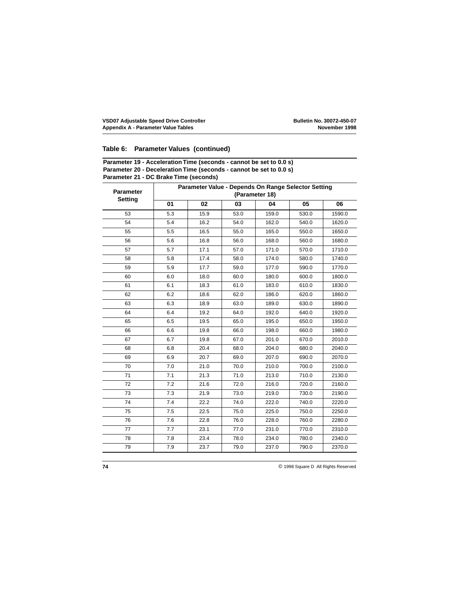#### **Table 6: Parameter Values (continued)**

| Parameter 19 - Acceleration Time (seconds - cannot be set to 0.0 s) |  |
|---------------------------------------------------------------------|--|
| Parameter 20 - Deceleration Time (seconds - cannot be set to 0.0 s) |  |
| Parameter 21 - DC Brake Time (seconds)                              |  |

| <b>Parameter</b><br><b>Setting</b> | Parameter Value - Depends On Range Selector Setting<br>(Parameter 18) |      |      |       |       |        |  |  |  |  |
|------------------------------------|-----------------------------------------------------------------------|------|------|-------|-------|--------|--|--|--|--|
|                                    | 01                                                                    | 02   | 03   | 04    | 05    | 06     |  |  |  |  |
| 53                                 | 5.3                                                                   | 15.9 | 53.0 | 159.0 | 530.0 | 1590.0 |  |  |  |  |
| 54                                 | 5.4                                                                   | 16.2 | 54.0 | 162.0 | 540.0 | 1620.0 |  |  |  |  |
| 55                                 | 5.5                                                                   | 16.5 | 55.0 | 165.0 | 550.0 | 1650.0 |  |  |  |  |
| 56                                 | 5.6                                                                   | 16.8 | 56.0 | 168.0 | 560.0 | 1680.0 |  |  |  |  |
| 57                                 | 5.7                                                                   | 17.1 | 57.0 | 171.0 | 570.0 | 1710.0 |  |  |  |  |
| 58                                 | 5.8                                                                   | 17.4 | 58.0 | 174.0 | 580.0 | 1740.0 |  |  |  |  |
| 59                                 | 5.9                                                                   | 17.7 | 59.0 | 177.0 | 590.0 | 1770.0 |  |  |  |  |
| 60                                 | 6.0                                                                   | 18.0 | 60.0 | 180.0 | 600.0 | 1800.0 |  |  |  |  |
| 61                                 | 6.1                                                                   | 18.3 | 61.0 | 183.0 | 610.0 | 1830.0 |  |  |  |  |
| 62                                 | 6.2                                                                   | 18.6 | 62.0 | 186.0 | 620.0 | 1860.0 |  |  |  |  |
| 63                                 | 6.3                                                                   | 18.9 | 63.0 | 189.0 | 630.0 | 1890.0 |  |  |  |  |
| 64                                 | 6.4                                                                   | 19.2 | 64.0 | 192.0 | 640.0 | 1920.0 |  |  |  |  |
| 65                                 | 6.5                                                                   | 19.5 | 65.0 | 195.0 | 650.0 | 1950.0 |  |  |  |  |
| 66                                 | 6.6                                                                   | 19.8 | 66.0 | 198.0 | 660.0 | 1980.0 |  |  |  |  |
| 67                                 | 6.7                                                                   | 19.8 | 67.0 | 201.0 | 670.0 | 2010.0 |  |  |  |  |
| 68                                 | 6.8                                                                   | 20.4 | 68.0 | 204.0 | 680.0 | 2040.0 |  |  |  |  |
| 69                                 | 6.9                                                                   | 20.7 | 69.0 | 207.0 | 690.0 | 2070.0 |  |  |  |  |
| 70                                 | 7.0                                                                   | 21.0 | 70.0 | 210.0 | 700.0 | 2100.0 |  |  |  |  |
| 71                                 | 7.1                                                                   | 21.3 | 71.0 | 213.0 | 710.0 | 2130.0 |  |  |  |  |
| 72                                 | 7.2                                                                   | 21.6 | 72.0 | 216.0 | 720.0 | 2160.0 |  |  |  |  |
| 73                                 | 7.3                                                                   | 21.9 | 73.0 | 219.0 | 730.0 | 2190.0 |  |  |  |  |
| 74                                 | 7.4                                                                   | 22.2 | 74.0 | 222.0 | 740.0 | 2220.0 |  |  |  |  |
| 75                                 | 7.5                                                                   | 22.5 | 75.0 | 225.0 | 750.0 | 2250.0 |  |  |  |  |
| 76                                 | 7.6                                                                   | 22.8 | 76.0 | 228.0 | 760.0 | 2280.0 |  |  |  |  |
| 77                                 | 7.7                                                                   | 23.1 | 77.0 | 231.0 | 770.0 | 2310.0 |  |  |  |  |
| 78                                 | 7.8                                                                   | 23.4 | 78.0 | 234.0 | 780.0 | 2340.0 |  |  |  |  |
| 79                                 | 7.9                                                                   | 23.7 | 79.0 | 237.0 | 790.0 | 2370.0 |  |  |  |  |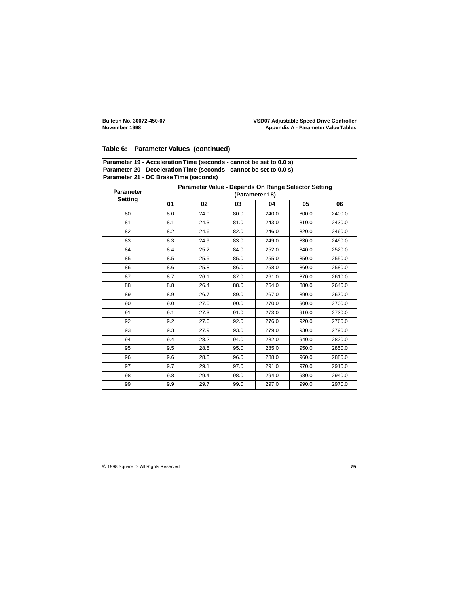#### **Table 6: Parameter Values (continued)**

| Parameter 19 - Acceleration Time (seconds - cannot be set to 0.0 s) |  |
|---------------------------------------------------------------------|--|
| Parameter 20 - Deceleration Time (seconds - cannot be set to 0.0 s) |  |
| Parameter 21 - DC Brake Time (seconds)                              |  |

| <b>Parameter</b> | Parameter Value - Depends On Range Selector Setting<br>(Parameter 18) |      |      |       |       |        |  |  |  |  |
|------------------|-----------------------------------------------------------------------|------|------|-------|-------|--------|--|--|--|--|
| <b>Setting</b>   | 01                                                                    | 02   | 03   | 04    | 05    | 06     |  |  |  |  |
| 80               | 8.0                                                                   | 24.0 | 80.0 | 240.0 | 800.0 | 2400.0 |  |  |  |  |
| 81               | 8.1                                                                   | 24.3 | 81.0 | 243.0 | 810.0 | 2430.0 |  |  |  |  |
| 82               | 8.2                                                                   | 24.6 | 82.0 | 246.0 | 820.0 | 2460.0 |  |  |  |  |
| 83               | 8.3                                                                   | 24.9 | 83.0 | 249.0 | 830.0 | 2490.0 |  |  |  |  |
| 84               | 8.4                                                                   | 25.2 | 84.0 | 252.0 | 840.0 | 2520.0 |  |  |  |  |
| 85               | 8.5                                                                   | 25.5 | 85.0 | 255.0 | 850.0 | 2550.0 |  |  |  |  |
| 86               | 8.6                                                                   | 25.8 | 86.0 | 258.0 | 860.0 | 2580.0 |  |  |  |  |
| 87               | 8.7                                                                   | 26.1 | 87.0 | 261.0 | 870.0 | 2610.0 |  |  |  |  |
| 88               | 8.8                                                                   | 26.4 | 88.0 | 264.0 | 880.0 | 2640.0 |  |  |  |  |
| 89               | 8.9                                                                   | 26.7 | 89.0 | 267.0 | 890.0 | 2670.0 |  |  |  |  |
| 90               | 9.0                                                                   | 27.0 | 90.0 | 270.0 | 900.0 | 2700.0 |  |  |  |  |
| 91               | 9.1                                                                   | 27.3 | 91.0 | 273.0 | 910.0 | 2730.0 |  |  |  |  |
| 92               | 9.2                                                                   | 27.6 | 92.0 | 276.0 | 920.0 | 2760.0 |  |  |  |  |
| 93               | 9.3                                                                   | 27.9 | 93.0 | 279.0 | 930.0 | 2790.0 |  |  |  |  |
| 94               | 9.4                                                                   | 28.2 | 94.0 | 282.0 | 940.0 | 2820.0 |  |  |  |  |
| 95               | 9.5                                                                   | 28.5 | 95.0 | 285.0 | 950.0 | 2850.0 |  |  |  |  |
| 96               | 9.6                                                                   | 28.8 | 96.0 | 288.0 | 960.0 | 2880.0 |  |  |  |  |
| 97               | 9.7                                                                   | 29.1 | 97.0 | 291.0 | 970.0 | 2910.0 |  |  |  |  |
| 98               | 9.8                                                                   | 29.4 | 98.0 | 294.0 | 980.0 | 2940.0 |  |  |  |  |
| 99               | 9.9                                                                   | 29.7 | 99.0 | 297.0 | 990.0 | 2970.0 |  |  |  |  |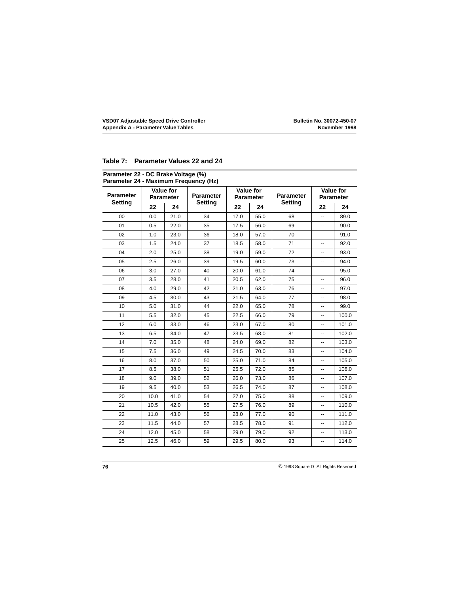#### **Table 7: Parameter Values 22 and 24**

| <b>Parameter</b> |      | <b>Value for</b><br><b>Parameter</b> | <b>Parameter</b> |      | Value for<br><b>Parameter</b> | <b>Parameter</b> |                          | <b>Value for</b><br><b>Parameter</b> |  |  |
|------------------|------|--------------------------------------|------------------|------|-------------------------------|------------------|--------------------------|--------------------------------------|--|--|
| <b>Setting</b>   | 22   | 24                                   | Setting          | 22   | 24                            | <b>Setting</b>   | 22                       | 24                                   |  |  |
| 00               | 0.0  | 21.0                                 | 34               | 17.0 | 55.0                          | 68               | $\overline{\phantom{a}}$ | 89.0                                 |  |  |
| 01               | 0.5  | 22.0                                 | 35               | 17.5 | 56.0                          | 69               | $\overline{a}$           | 90.0                                 |  |  |
| 02               | 1.0  | 23.0                                 | 36               | 18.0 | 57.0                          | 70               | --                       | 91.0                                 |  |  |
| 03               | 1.5  | 24.0                                 | 37               | 18.5 | 58.0                          | 71               | -−                       | 92.0                                 |  |  |
| 04               | 2.0  | 25.0                                 | 38               | 19.0 | 59.0                          | 72               | $\overline{\phantom{a}}$ | 93.0                                 |  |  |
| 05               | 2.5  | 26.0                                 | 39               | 19.5 | 60.0                          | 73               | $\overline{\phantom{a}}$ | 94.0                                 |  |  |
| 06               | 3.0  | 27.0                                 | 40               | 20.0 | 61.0                          | 74               | --                       | 95.0                                 |  |  |
| 07               | 3.5  | 28.0                                 | 41               | 20.5 | 62.0                          | 75               | --                       | 96.0                                 |  |  |
| 08               | 4.0  | 29.0                                 | 42               | 21.0 | 63.0                          | 76               | --                       | 97.0                                 |  |  |
| 09               | 4.5  | 30.0                                 | 43               | 21.5 | 64.0                          | 77               | $\overline{\phantom{a}}$ | 98.0                                 |  |  |
| 10               | 5.0  | 31.0                                 | 44               | 22.0 | 65.0                          | 78               | --                       | 99.0                                 |  |  |
| 11               | 5.5  | 32.0                                 | 45               | 22.5 | 66.0                          | 79               | $\overline{a}$           | 100.0                                |  |  |
| 12               | 6.0  | 33.0                                 | 46               | 23.0 | 67.0                          | 80               | --                       | 101.0                                |  |  |
| 13               | 6.5  | 34.0                                 | 47               | 23.5 | 68.0                          | 81               | ш,                       | 102.0                                |  |  |
| 14               | 7.0  | 35.0                                 | 48               | 24.0 | 69.0                          | 82               |                          | 103.0                                |  |  |
| 15               | 7.5  | 36.0                                 | 49               | 24.5 | 70.0                          | 83               | --                       | 104.0                                |  |  |
| 16               | 8.0  | 37.0                                 | 50               | 25.0 | 71.0                          | 84               | --                       | 105.0                                |  |  |
| 17               | 8.5  | 38.0                                 | 51               | 25.5 | 72.0                          | 85               | --                       | 106.0                                |  |  |
| 18               | 9.0  | 39.0                                 | 52               | 26.0 | 73.0                          | 86               | ۰.                       | 107.0                                |  |  |
| 19               | 9.5  | 40.0                                 | 53               | 26.5 | 74.0                          | 87               | --                       | 108.0                                |  |  |
| 20               | 10.0 | 41.0                                 | 54               | 27.0 | 75.0                          | 88               | --                       | 109.0                                |  |  |
| 21               | 10.5 | 42.0                                 | 55               | 27.5 | 76.0                          | 89               | $\overline{\phantom{a}}$ | 110.0                                |  |  |
| 22               | 11.0 | 43.0                                 | 56               | 28.0 | 77.0                          | 90               | $\overline{\phantom{a}}$ | 111.0                                |  |  |
| 23               | 11.5 | 44.0                                 | 57               | 28.5 | 78.0                          | 91               | $\overline{\phantom{a}}$ | 112.0                                |  |  |
| 24               | 12.0 | 45.0                                 | 58               | 29.0 | 79.0                          | 92               | --                       | 113.0                                |  |  |
| 25               | 12.5 | 46.0                                 | 59               | 29.5 | 80.0                          | 93               | --                       | 114.0                                |  |  |

#### **Parameter 22 - DC Brake Voltage (%)**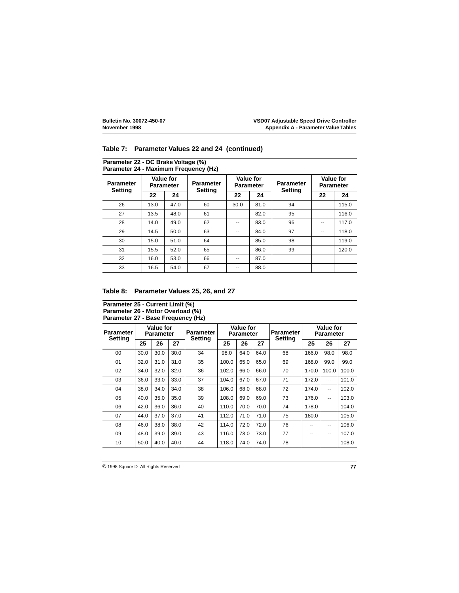**Parameter 22 - DC Brake Voltage (%)**

|                                    | Parameter 24 - Maximum Frequency (Hz) |                               |                                    |      |                                      |                             |                                      |       |  |  |  |  |  |
|------------------------------------|---------------------------------------|-------------------------------|------------------------------------|------|--------------------------------------|-----------------------------|--------------------------------------|-------|--|--|--|--|--|
| <b>Parameter</b><br><b>Setting</b> |                                       | Value for<br><b>Parameter</b> | <b>Parameter</b><br><b>Setting</b> |      | <b>Value for</b><br><b>Parameter</b> | <b>Parameter</b><br>Setting | <b>Value for</b><br><b>Parameter</b> |       |  |  |  |  |  |
|                                    | 22                                    | 24                            |                                    | 22   | 24                                   |                             | 22                                   | 24    |  |  |  |  |  |
| 26                                 | 13.0                                  | 47.0                          | 60                                 | 30.0 | 81.0                                 | 94                          | --                                   | 115.0 |  |  |  |  |  |
| 27                                 | 13.5                                  | 48.0                          | 61                                 | --   | 82.0                                 | 95                          | --                                   | 116.0 |  |  |  |  |  |
| 28                                 | 14.0                                  | 49.0                          | 62                                 | --   | 83.0                                 | 96                          | --                                   | 117.0 |  |  |  |  |  |
| 29                                 | 14.5                                  | 50.0                          | 63                                 |      | 84.0                                 | 97                          | --                                   | 118.0 |  |  |  |  |  |
| 30                                 | 15.0                                  | 51.0                          | 64                                 | --   | 85.0                                 | 98                          | --                                   | 119.0 |  |  |  |  |  |
| 31                                 | 15.5                                  | 52.0                          | 65                                 | --   | 86.0                                 | 99                          | --                                   | 120.0 |  |  |  |  |  |
| 32                                 | 16.0                                  | 53.0                          | 66                                 | --   | 87.0                                 |                             |                                      |       |  |  |  |  |  |
| 33                                 | 16.5                                  | 54.0                          | 67                                 | --   | 88.0                                 |                             |                                      |       |  |  |  |  |  |

#### **Table 7: Parameter Values 22 and 24 (continued)**

#### **Table 8: Parameter Values 25, 26, and 27**

#### **Parameter 25 - Current Limit (%) Parameter 26 - Motor Overload (%) Parameter 27 - Base Frequency (Hz)**

| Parameter<br><b>Setting</b> | Value for<br>Parameter |      |      | <b>Parameter</b><br>Settina | Value for<br>Parameter |      |      | Parameter<br><b>Setting</b> | Value for<br>Parameter |       |       |
|-----------------------------|------------------------|------|------|-----------------------------|------------------------|------|------|-----------------------------|------------------------|-------|-------|
|                             | 25                     | 26   | 27   |                             | 25                     | 26   | 27   |                             | 25                     | 26    | 27    |
| $00 \,$                     | 30.0                   | 30.0 | 30.0 | 34                          | 98.0                   | 64.0 | 64.0 | 68                          | 166.0                  | 98.0  | 98.0  |
| 01                          | 32.0                   | 31.0 | 31.0 | 35                          | 100.0                  | 65.0 | 65.0 | 69                          | 168.0                  | 99.0  | 99.0  |
| 02                          | 34.0                   | 32.0 | 32.0 | 36                          | 102.0                  | 66.0 | 66.0 | 70                          | 170.0                  | 100.0 | 100.0 |
| 03                          | 36.0                   | 33.0 | 33.0 | 37                          | 104.0                  | 67.0 | 67.0 | 71                          | 172.0                  | --    | 101.0 |
| 04                          | 38.0                   | 34.0 | 34.0 | 38                          | 106.0                  | 68.0 | 68.0 | 72                          | 174.0                  | --    | 102.0 |
| 05                          | 40.0                   | 35.0 | 35.0 | 39                          | 108.0                  | 69.0 | 69.0 | 73                          | 176.0                  | --    | 103.0 |
| 06                          | 42.0                   | 36.0 | 36.0 | 40                          | 110.0                  | 70.0 | 70.0 | 74                          | 178.0                  | --    | 104.0 |
| 07                          | 44.0                   | 37.0 | 37.0 | 41                          | 112.0                  | 71.0 | 71.0 | 75                          | 180.0                  | --    | 105.0 |
| 08                          | 46.0                   | 38.0 | 38.0 | 42                          | 114.0                  | 72.0 | 72.0 | 76                          | --                     | --    | 106.0 |
| 09                          | 48.0                   | 39.0 | 39.0 | 43                          | 116.0                  | 73.0 | 73.0 | 77                          | --                     | --    | 107.0 |
| 10                          | 50.0                   | 40.0 | 40.0 | 44                          | 118.0                  | 74.0 | 74.0 | 78                          | --                     | --    | 108.0 |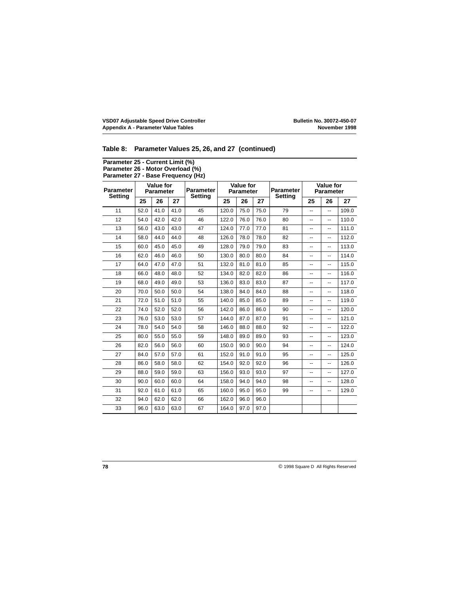#### **Table 8: Parameter Values 25, 26, and 27 (continued)**

#### **Parameter 25 - Current Limit (%) Parameter 26 - Motor Overload (%) Parameter 27 - Base Frequency (Hz)**

| <b>Parameter</b><br><b>Setting</b> | <b>Value for</b><br><b>Parameter</b> |      |      | <b>Parameter</b><br><b>Setting</b> | <b>Value for</b><br><b>Parameter</b> |      |      | <b>Parameter</b><br><b>Setting</b> | <b>Value for</b><br>Parameter |                |       |
|------------------------------------|--------------------------------------|------|------|------------------------------------|--------------------------------------|------|------|------------------------------------|-------------------------------|----------------|-------|
|                                    | 25                                   | 26   | 27   |                                    | 25                                   | 26   | 27   |                                    | 25                            | 26             | 27    |
| 11                                 | 52.0                                 | 41.0 | 41.0 | 45                                 | 120.0                                | 75.0 | 75.0 | 79                                 | --                            | --             | 109.0 |
| 12                                 | 54.0                                 | 42.0 | 42.0 | 46                                 | 122.0                                | 76.0 | 76.0 | 80                                 | --                            | ۰.             | 110.0 |
| 13                                 | 56.0                                 | 43.0 | 43.0 | 47                                 | 124.0                                | 77.0 | 77.0 | 81                                 | --                            | --             | 111.0 |
| 14                                 | 58.0                                 | 44.0 | 44.0 | 48                                 | 126.0                                | 78.0 | 78.0 | 82                                 | --                            | --             | 112.0 |
| 15                                 | 60.0                                 | 45.0 | 45.0 | 49                                 | 128.0                                | 79.0 | 79.0 | 83                                 | --                            | --             | 113.0 |
| 16                                 | 62.0                                 | 46.0 | 46.0 | 50                                 | 130.0                                | 80.0 | 80.0 | 84                                 | --                            | --             | 114.0 |
| 17                                 | 64.0                                 | 47.0 | 47.0 | 51                                 | 132.0                                | 81.0 | 81.0 | 85                                 | --                            | --             | 115.0 |
| 18                                 | 66.0                                 | 48.0 | 48.0 | 52                                 | 134.0                                | 82.0 | 82.0 | 86                                 | --                            | --             | 116.0 |
| 19                                 | 68.0                                 | 49.0 | 49.0 | 53                                 | 136.0                                | 83.0 | 83.0 | 87                                 | --                            | $-$            | 117.0 |
| 20                                 | 70.0                                 | 50.0 | 50.0 | 54                                 | 138.0                                | 84.0 | 84.0 | 88                                 | --                            | --             | 118.0 |
| 21                                 | 72.0                                 | 51.0 | 51.0 | 55                                 | 140.0                                | 85.0 | 85.0 | 89                                 | --                            | --             | 119.0 |
| 22                                 | 74.0                                 | 52.0 | 52.0 | 56                                 | 142.0                                | 86.0 | 86.0 | 90                                 | --                            | --             | 120.0 |
| 23                                 | 76.0                                 | 53.0 | 53.0 | 57                                 | 144.0                                | 87.0 | 87.0 | 91                                 | --                            | $\overline{a}$ | 121.0 |
| 24                                 | 78.0                                 | 54.0 | 54.0 | 58                                 | 146.0                                | 88.0 | 88.0 | 92                                 | --                            | --             | 122.0 |
| 25                                 | 80.0                                 | 55.0 | 55.0 | 59                                 | 148.0                                | 89.0 | 89.0 | 93                                 | --                            | --             | 123.0 |
| 26                                 | 82.0                                 | 56.0 | 56.0 | 60                                 | 150.0                                | 90.0 | 90.0 | 94                                 | --                            | --             | 124.0 |
| 27                                 | 84.0                                 | 57.0 | 57.0 | 61                                 | 152.0                                | 91.0 | 91.0 | 95                                 | --                            | --             | 125.0 |
| 28                                 | 86.0                                 | 58.0 | 58.0 | 62                                 | 154.0                                | 92.0 | 92.0 | 96                                 | --                            | --             | 126.0 |
| 29                                 | 88.0                                 | 59.0 | 59.0 | 63                                 | 156.0                                | 93.0 | 93.0 | 97                                 | --                            | --             | 127.0 |
| 30                                 | 90.0                                 | 60.0 | 60.0 | 64                                 | 158.0                                | 94.0 | 94.0 | 98                                 | --                            | --             | 128.0 |
| 31                                 | 92.0                                 | 61.0 | 61.0 | 65                                 | 160.0                                | 95.0 | 95.0 | 99                                 | --                            | $\overline{a}$ | 129.0 |
| 32                                 | 94.0                                 | 62.0 | 62.0 | 66                                 | 162.0                                | 96.0 | 96.0 |                                    |                               |                |       |
| 33                                 | 96.0                                 | 63.0 | 63.0 | 67                                 | 164.0                                | 97.0 | 97.0 |                                    |                               |                |       |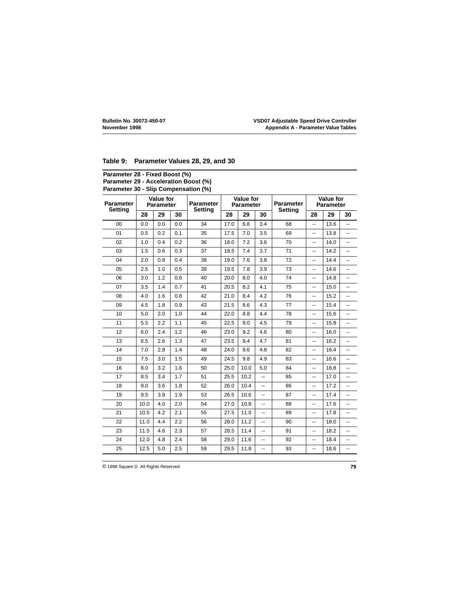#### **Table 9: Parameter Values 28, 29, and 30**

#### **Parameter 28 - Fixed Boost (%) Parameter 29 - Acceleration Boost (%) Parameter 30 - Slip Compensation (%)**

| <b>Parameter</b><br><b>Setting</b> | <b>Value for</b><br><b>Parameter</b> |     | <b>Parameter</b><br><b>Setting</b> | <b>Value for</b><br><b>Parameter</b> |      |      | <b>Parameter</b><br><b>Setting</b> | <b>Value for</b><br><b>Parameter</b> |                          |      |    |
|------------------------------------|--------------------------------------|-----|------------------------------------|--------------------------------------|------|------|------------------------------------|--------------------------------------|--------------------------|------|----|
|                                    | 28                                   | 29  | 30                                 |                                      | 28   | 29   | 30                                 |                                      | 28                       | 29   | 30 |
| 0 <sub>0</sub>                     | 0.0                                  | 0.0 | 0.0                                | 34                                   | 17.0 | 6.8  | 3.4                                | 68                                   | ш,                       | 13.6 | Щ, |
| 01                                 | 0.5                                  | 0.2 | 0.1                                | 35                                   | 17.5 | 7.0  | 3.5                                | 69                                   | --                       | 13.8 | -- |
| 02                                 | 1.0                                  | 0.4 | 0.2                                | 36                                   | 18.0 | 7.2  | 3.6                                | 70                                   | $\overline{\phantom{a}}$ | 14.0 |    |
| 03                                 | 1.5                                  | 0.6 | 0.3                                | 37                                   | 18.5 | 7.4  | 3.7                                | 71                                   | --                       | 14.2 | -- |
| 04                                 | 2.0                                  | 0.8 | 0.4                                | 38                                   | 19.0 | 7.6  | 3.8                                | 72                                   | --                       | 14.4 | -- |
| 05                                 | 2.5                                  | 1.0 | 0.5                                | 39                                   | 19.5 | 7.8  | 3.9                                | 73                                   | $\overline{\phantom{a}}$ | 14.6 | Ξ. |
| 06                                 | 3.0                                  | 1.2 | 0.6                                | 40                                   | 20.0 | 8.0  | 4.0                                | 74                                   | --                       | 14.8 | -- |
| 07                                 | 3.5                                  | 1.4 | 0.7                                | 41                                   | 20.5 | 8.2  | 4.1                                | 75                                   | --                       | 15.0 | -- |
| 08                                 | 4.0                                  | 1.6 | 0.8                                | 42                                   | 21.0 | 8.4  | 4.2                                | 76                                   | --                       | 15.2 | -- |
| 09                                 | 4.5                                  | 1.8 | 0.9                                | 43                                   | 21.5 | 8.6  | 4.3                                | 77                                   | $\overline{\phantom{a}}$ | 15.4 |    |
| 10                                 | 5.0                                  | 2.0 | 1.0                                | 44                                   | 22.0 | 8.8  | 4.4                                | 78                                   | $\overline{\phantom{a}}$ | 15.6 | -- |
| 11                                 | 5.5                                  | 2.2 | 1.1                                | 45                                   | 22.5 | 9.0  | 4.5                                | 79                                   | --                       | 15.8 | -- |
| 12                                 | 6.0                                  | 2.4 | 1.2                                | 46                                   | 23.0 | 9.2  | 4.6                                | 80                                   | --                       | 16.0 | -- |
| 13                                 | 6.5                                  | 2.6 | 1.3                                | 47                                   | 23.5 | 9.4  | 4.7                                | 81                                   | --                       | 16.2 | -- |
| 14                                 | 7.0                                  | 2.8 | 1.4                                | 48                                   | 24.0 | 9.6  | 4.8                                | 82                                   | --                       | 16.4 | -- |
| 15                                 | 7.5                                  | 3.0 | 1.5                                | 49                                   | 24.5 | 9.8  | 4.9                                | 83                                   | --                       | 16.6 | -- |
| 16                                 | 8.0                                  | 3.2 | 1.6                                | 50                                   | 25.0 | 10.0 | 5.0                                | 84                                   | --                       | 16.8 |    |
| 17                                 | 8.5                                  | 3.4 | 1.7                                | 51                                   | 25.5 | 10.2 | --                                 | 85                                   | $\overline{\phantom{a}}$ | 17.0 | -- |
| 18                                 | 9.0                                  | 3.6 | 1.8                                | 52                                   | 26.0 | 10.4 | --                                 | 86                                   | --                       | 17.2 | -- |
| 19                                 | 9.5                                  | 3.8 | 1.9                                | 53                                   | 26.5 | 10.6 | $\overline{\phantom{a}}$           | 87                                   | $\overline{\phantom{a}}$ | 17.4 | -- |
| 20                                 | 10.0                                 | 4.0 | 2.0                                | 54                                   | 27.0 | 10.8 | $\overline{\phantom{a}}$           | 88                                   | --                       | 17.6 | -- |
| 21                                 | 10.5                                 | 4.2 | 2.1                                | 55                                   | 27.5 | 11.0 | --                                 | 89                                   | --                       | 17.8 | -- |
| 22                                 | 11.0                                 | 4.4 | 2.2                                | 56                                   | 28.0 | 11.2 | --                                 | 90                                   | --                       | 18.0 | -- |
| 23                                 | 11.5                                 | 4.6 | 2.3                                | 57                                   | 28.5 | 11.4 | --                                 | 91                                   | --                       | 18.2 |    |
| 24                                 | 12.0                                 | 4.8 | 2.4                                | 58                                   | 29.0 | 11.6 | --                                 | 92                                   | --                       | 18.4 | -- |
| 25                                 | 12.5                                 | 5.0 | 2.5                                | 59                                   | 29.5 | 11.8 | -−                                 | 93                                   | --                       | 18.6 | -- |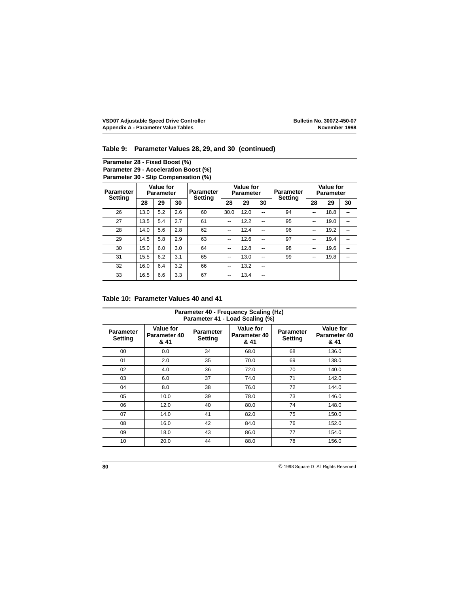#### **Table 9: Parameter Values 28, 29, and 30 (continued)**

**Parameter 28 - Fixed Boost (%) Parameter 29 - Acceleration Boost (%) Parameter 30 - Slip Compensation (%)**

| <b>Parameter</b><br><b>Setting</b> | Value for<br><b>Parameter</b> |     | <b>Parameter</b><br><b>Setting</b> | <b>Value for</b><br><b>Parameter</b> |      | <b>Parameter</b><br><b>Setting</b> | Value for<br><b>Parameter</b> |    |    |      |    |
|------------------------------------|-------------------------------|-----|------------------------------------|--------------------------------------|------|------------------------------------|-------------------------------|----|----|------|----|
|                                    | 28                            | 29  | 30                                 |                                      | 28   | 29                                 | 30                            |    | 28 | 29   | 30 |
| 26                                 | 13.0                          | 5.2 | 2.6                                | 60                                   | 30.0 | 12.0                               | --                            | 94 | -- | 18.8 | -- |
| 27                                 | 13.5                          | 5.4 | 2.7                                | 61                                   | --   | 12.2                               | --                            | 95 | -- | 19.0 | -- |
| 28                                 | 14.0                          | 5.6 | 2.8                                | 62                                   | --   | 12.4                               | --                            | 96 | -- | 19.2 | -- |
| 29                                 | 14.5                          | 5.8 | 2.9                                | 63                                   | --   | 12.6                               | --                            | 97 | -- | 19.4 | -- |
| 30                                 | 15.0                          | 6.0 | 3.0                                | 64                                   | --   | 12.8                               | --                            | 98 | -- | 19.6 | -- |
| 31                                 | 15.5                          | 6.2 | 3.1                                | 65                                   | --   | 13.0                               | --                            | 99 | -- | 19.8 | -- |
| 32                                 | 16.0                          | 6.4 | 3.2                                | 66                                   | --   | 13.2                               | --                            |    |    |      |    |
| 33                                 | 16.5                          | 6.6 | 3.3                                | 67                                   | --   | 13.4                               | --                            |    |    |      |    |

#### **Table 10: Parameter Values 40 and 41**

| Parameter 40 - Frequency Scaling (Hz)<br>Parameter 41 - Load Scaling (%) |                                   |                                    |                                   |                                    |                                   |  |  |
|--------------------------------------------------------------------------|-----------------------------------|------------------------------------|-----------------------------------|------------------------------------|-----------------------------------|--|--|
| <b>Parameter</b><br><b>Setting</b>                                       | Value for<br>Parameter 40<br>& 41 | <b>Parameter</b><br><b>Setting</b> | Value for<br>Parameter 40<br>& 41 | <b>Parameter</b><br><b>Setting</b> | Value for<br>Parameter 40<br>& 41 |  |  |
| 00                                                                       | 0.0                               | 34                                 | 68.0                              | 68                                 | 136.0                             |  |  |
| 01                                                                       | 2.0                               | 35                                 | 70.0                              | 69                                 | 138.0                             |  |  |
| 02                                                                       | 4.0                               | 36                                 | 72.0                              | 70                                 | 140.0                             |  |  |
| 03                                                                       | 6.0                               | 37                                 | 74.0                              | 71                                 | 142.0                             |  |  |
| 04                                                                       | 8.0                               | 38                                 | 76.0                              | 72                                 | 144.0                             |  |  |
| 05                                                                       | 10.0                              | 39                                 | 78.0                              | 73                                 | 146.0                             |  |  |
| 06                                                                       | 12.0                              | 40                                 | 80.0                              | 74                                 | 148.0                             |  |  |
| 07                                                                       | 14.0                              | 41                                 | 82.0                              | 75                                 | 150.0                             |  |  |
| 08                                                                       | 16.0                              | 42                                 | 84.0                              | 76                                 | 152.0                             |  |  |
| 09                                                                       | 18.0                              | 43                                 | 86.0                              | 77                                 | 154.0                             |  |  |
| 10                                                                       | 20.0                              | 44                                 | 88.0                              | 78                                 | 156.0                             |  |  |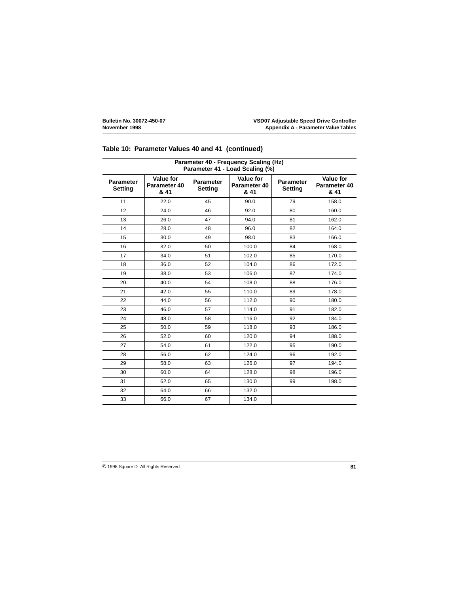| Parameter 40 - Frequency Scaling (Hz)<br>Parameter 41 - Load Scaling (%) |                                   |                                    |                                          |                                    |                                          |  |  |
|--------------------------------------------------------------------------|-----------------------------------|------------------------------------|------------------------------------------|------------------------------------|------------------------------------------|--|--|
| <b>Parameter</b><br>Setting                                              | Value for<br>Parameter 40<br>& 41 | <b>Parameter</b><br><b>Setting</b> | <b>Value for</b><br>Parameter 40<br>& 41 | <b>Parameter</b><br><b>Setting</b> | <b>Value for</b><br>Parameter 40<br>& 41 |  |  |
| 11                                                                       | 22.0                              | 45                                 | 90.0                                     | 79                                 | 158.0                                    |  |  |
| 12                                                                       | 24.0                              | 46                                 | 92.0                                     | 80                                 | 160.0                                    |  |  |
| 13                                                                       | 26.0                              | 47                                 | 94.0                                     | 81                                 | 162.0                                    |  |  |
| 14                                                                       | 28.0                              | 48                                 | 96.0                                     | 82                                 | 164.0                                    |  |  |
| 15                                                                       | 30.0                              | 49                                 | 98.0                                     | 83                                 | 166.0                                    |  |  |
| 16                                                                       | 32.0                              | 50                                 | 100.0                                    | 84                                 | 168.0                                    |  |  |
| 17                                                                       | 34.0                              | 51                                 | 102.0                                    | 85                                 | 170.0                                    |  |  |
| 18                                                                       | 36.0                              | 52                                 | 104.0                                    | 86                                 | 172.0                                    |  |  |
| 19                                                                       | 38.0                              | 53                                 | 106.0                                    | 87                                 | 174.0                                    |  |  |
| 20                                                                       | 40.0                              | 54                                 | 108.0                                    | 88                                 | 176.0                                    |  |  |
| 21                                                                       | 42.0                              | 55                                 | 110.0                                    | 89                                 | 178.0                                    |  |  |
| 22                                                                       | 44.0                              | 56                                 | 112.0                                    | 90                                 | 180.0                                    |  |  |
| 23                                                                       | 46.0                              | 57                                 | 114.0                                    | 91                                 | 182.0                                    |  |  |
| 24                                                                       | 48.0                              | 58                                 | 116.0                                    | 92                                 | 184.0                                    |  |  |
| 25                                                                       | 50.0                              | 59                                 | 118.0                                    | 93                                 | 186.0                                    |  |  |
| 26                                                                       | 52.0                              | 60                                 | 120.0                                    | 94                                 | 188.0                                    |  |  |
| 27                                                                       | 54.0                              | 61                                 | 122.0                                    | 95                                 | 190.0                                    |  |  |
| 28                                                                       | 56.0                              | 62                                 | 124.0                                    | 96                                 | 192.0                                    |  |  |
| 29                                                                       | 58.0                              | 63                                 | 126.0                                    | 97                                 | 194.0                                    |  |  |
| 30                                                                       | 60.0                              | 64                                 | 128.0                                    | 98                                 | 196.0                                    |  |  |
| 31                                                                       | 62.0                              | 65                                 | 130.0                                    | 99                                 | 198.0                                    |  |  |
| 32                                                                       | 64.0                              | 66                                 | 132.0                                    |                                    |                                          |  |  |
| 33                                                                       | 66.0                              | 67                                 | 134.0                                    |                                    |                                          |  |  |

#### **Table 10: Parameter Values 40 and 41 (continued)**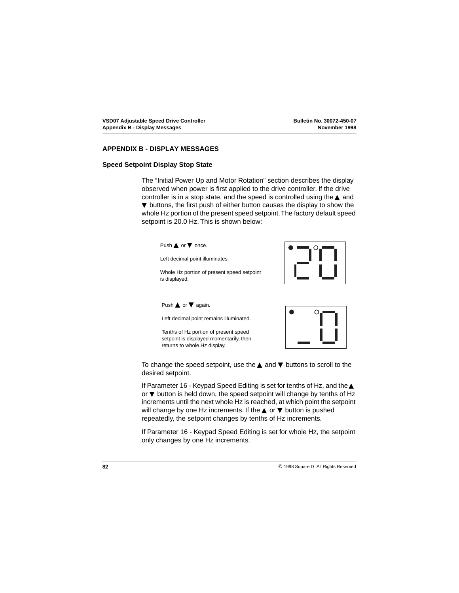#### **APPENDIX B - DISPLAY MESSAGES**

#### **Speed Setpoint Display Stop State**

The ["Initial Power Up and Motor Rotation"](#page-39-0) section describes the display observed when power is first applied to the drive controller. If the drive controller is in a stop state, and the speed is controlled using the ▲ and ▼ buttons, the first push of either button causes the display to show the whole Hz portion of the present speed setpoint. The factory default speed setpoint is 20.0 Hz. This is shown below:

Push **▲** or ▼ once. Left decimal point illuminates. Whole Hz portion of present speed setpoint is displayed. Push **▲** or ▼ again. Left decimal point remains illuminated. Tenths of Hz portion of present speed setpoint is displayed momentarily, then returns to whole Hz display.

To change the speed setpoint, use the ▲ and ▼ buttons to scroll to the desired setpoint.

If Parameter 16 - Keypad Speed Editing is set for tenths of Hz, and the ▲ or ▼ button is held down, the speed setpoint will change by tenths of Hz increments until the next whole Hz is reached, at which point the setpoint will change by one Hz increments. If the  $\triangle$  or  $\nabla$  button is pushed repeatedly, the setpoint changes by tenths of Hz increments.

If Parameter 16 - Keypad Speed Editing is set for whole Hz, the setpoint only changes by one Hz increments.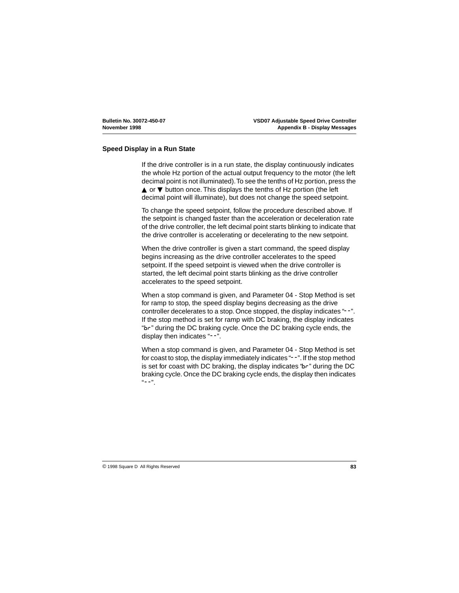#### **Speed Display in a Run State**

If the drive controller is in a run state, the display continuously indicates the whole Hz portion of the actual output frequency to the motor (the left decimal point is not illuminated). To see the tenths of Hz portion, press the ▲ or ▼ button once. This displays the tenths of Hz portion (the left decimal point will illuminate), but does not change the speed setpoint.

To change the speed setpoint, follow the procedure described above. If the setpoint is changed faster than the acceleration or deceleration rate of the drive controller, the left decimal point starts blinking to indicate that the drive controller is accelerating or decelerating to the new setpoint.

When the drive controller is given a start command, the speed display begins increasing as the drive controller accelerates to the speed setpoint. If the speed setpoint is viewed when the drive controller is started, the left decimal point starts blinking as the drive controller accelerates to the speed setpoint.

When a stop command is given, and Parameter 04 - Stop Method is set for ramp to stop, the speed display begins decreasing as the drive controller decelerates to a stop. Once stopped, the display indicates "--". If the stop method is set for ramp with DC braking, the display indicates "br" during the DC braking cycle. Once the DC braking cycle ends, the display then indicates "--".

When a stop command is given, and Parameter 04 - Stop Method is set for coast to stop, the display immediately indicates "--". If the stop method is set for coast with DC braking, the display indicates "br" during the DC braking cycle. Once the DC braking cycle ends, the display then indicates  $\mu = -$  .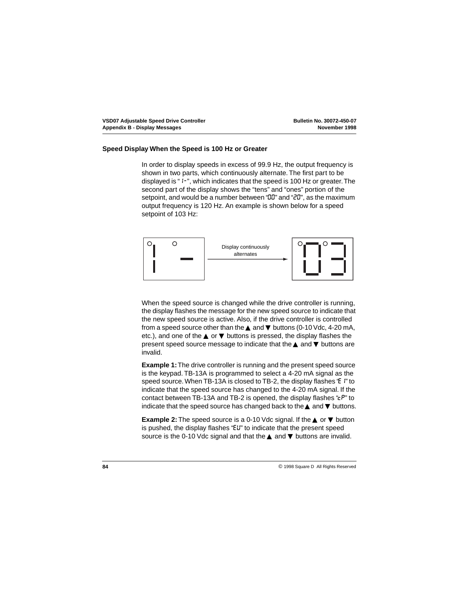#### **Speed Display When the Speed is 100 Hz or Greater**

In order to display speeds in excess of 99.9 Hz, the output frequency is shown in two parts, which continuously alternate. The first part to be displayed is "1-", which indicates that the speed is 100 Hz or greater. The second part of the display shows the "tens" and "ones" portion of the setpoint, and would be a number between "00" and "20", as the maximum output frequency is 120 Hz. An example is shown below for a speed setpoint of 103 Hz:



When the speed source is changed while the drive controller is running, the display flashes the message for the new speed source to indicate that the new speed source is active. Also, if the drive controller is controlled from a speed source other than the  $\triangle$  and  $\nabla$  buttons (0-10 Vdc, 4-20 mA, etc.), and one of the  $\blacktriangle$  or  $\nabla$  buttons is pressed, the display flashes the present speed source message to indicate that the ▲ and ▼ buttons are invalid.

**Example 1:** The drive controller is running and the present speed source is the keypad. TB-13A is programmed to select a 4-20 mA signal as the speed source. When TB-13A is closed to TB-2, the display flashes "E" to indicate that the speed source has changed to the 4-20 mA signal. If the contact between TB-13A and TB-2 is opened, the display flashes " $\epsilon P$ " to indicate that the speed source has changed back to the  $\blacktriangle$  and  $\nabla$  buttons.

**Example 2:** The speed source is a 0-10 Vdc signal. If the **▲** or **▼** button is pushed, the display flashes "EU" to indicate that the present speed source is the 0-10 Vdc signal and that the **▲** and **▼** buttons are invalid.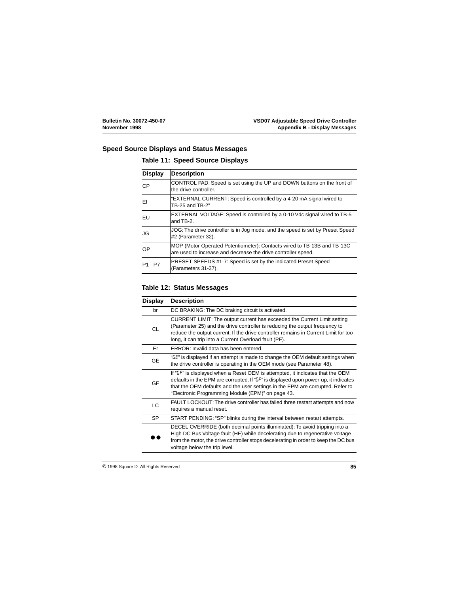#### **Speed Source Displays and Status Messages**

#### **Table 11: Speed Source Displays**

| <b>Display</b> | <b>Description</b>                                                                                                                       |
|----------------|------------------------------------------------------------------------------------------------------------------------------------------|
| <b>CP</b>      | CONTROL PAD: Speed is set using the UP and DOWN buttons on the front of<br>the drive controller.                                         |
| ΕI             | "EXTERNAL CURRENT: Speed is controlled by a 4-20 mA signal wired to<br>TB-25 and TB-2"                                                   |
| EU             | EXTERNAL VOLTAGE: Speed is controlled by a 0-10 Vdc signal wired to TB-5<br>and TB-2.                                                    |
| JG             | JOG: The drive controller is in Jog mode, and the speed is set by Preset Speed<br>#2 (Parameter 32).                                     |
| OP             | MOP (Motor Operated Potentiometer): Contacts wired to TB-13B and TB-13C<br>are used to increase and decrease the drive controller speed. |
| $P1 - P7$      | PRESET SPEEDS #1-7: Speed is set by the indicated Preset Speed<br>(Parameters 31-37).                                                    |

#### **Table 12: Status Messages**

| <b>Display</b> | <b>Description</b>                                                                                                                                                                                                                                                                                              |
|----------------|-----------------------------------------------------------------------------------------------------------------------------------------------------------------------------------------------------------------------------------------------------------------------------------------------------------------|
| br             | DC BRAKING: The DC braking circuit is activated.                                                                                                                                                                                                                                                                |
| CL             | CURRENT LIMIT: The output current has exceeded the Current Limit setting<br>(Parameter 25) and the drive controller is reducing the output frequency to<br>reduce the output current. If the drive controller remains in Current Limit for too<br>long, it can trip into a Current Overload fault (PF).         |
| Er             | ERROR: Invalid data has been entered.                                                                                                                                                                                                                                                                           |
| <b>GE</b>      | "LE" is displayed if an attempt is made to change the OEM default settings when<br>the drive controller is operating in the OEM mode (see Parameter 48).                                                                                                                                                        |
| GF             | If "LF" is displayed when a Reset OEM is attempted, it indicates that the OEM<br>defaults in the EPM are corrupted. If " $5F$ " is displayed upon power-up, it indicates<br>that the OEM defaults and the user settings in the EPM are corrupted. Refer to<br>"Electronic Programming Module (EPM)" on page 43. |
| LC.            | FAULT LOCKOUT: The drive controller has failed three restart attempts and now<br>requires a manual reset.                                                                                                                                                                                                       |
| SP.            | START PENDING: "SP" blinks during the interval between restart attempts.                                                                                                                                                                                                                                        |
|                | DECEL OVERRIDE (both decimal points illuminated): To avoid tripping into a<br>High DC Bus Voltage fault (HF) while decelerating due to regenerative voltage<br>from the motor, the drive controller stops decelerating in order to keep the DC bus<br>voltage below the trip level.                             |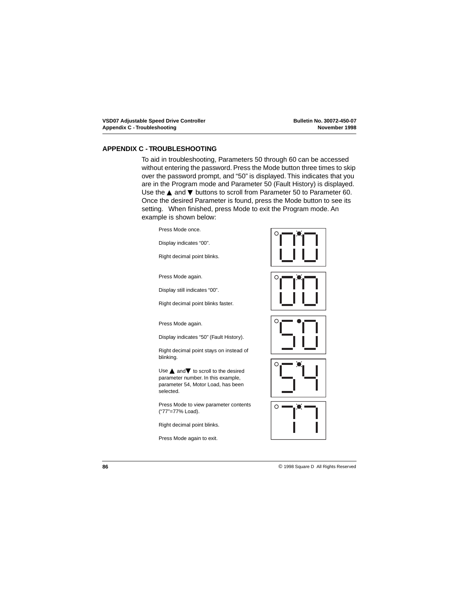#### <span id="page-89-0"></span>**APPENDIX C - TROUBLESHOOTING**

To aid in troubleshooting, Parameters 50 through 60 can be accessed without entering the password. Press the Mode button three times to skip over the password prompt, and "50" is displayed. This indicates that you are in the Program mode and Parameter 50 (Fault History) is displayed. Use the ▲ and ▼ buttons to scroll from Parameter 50 to Parameter 60. Once the desired Parameter is found, press the Mode button to see its setting. When finished, press Mode to exit the Program mode. An example is shown below:

Press Mode once.

Display indicates "00".

Right decimal point blinks.

Press Mode again.

Display still indicates "00".

Right decimal point blinks faster.

Press Mode again.

Display indicates "50" (Fault History).

Right decimal point stays on instead of blinking.

Use **▲** and ▼ to scroll to the desired parameter number. In this example, parameter 54, Motor Load, has been selected.

Press Mode to view parameter contents ("77"=77% Load).

Right decimal point blinks.

Press Mode again to exit.







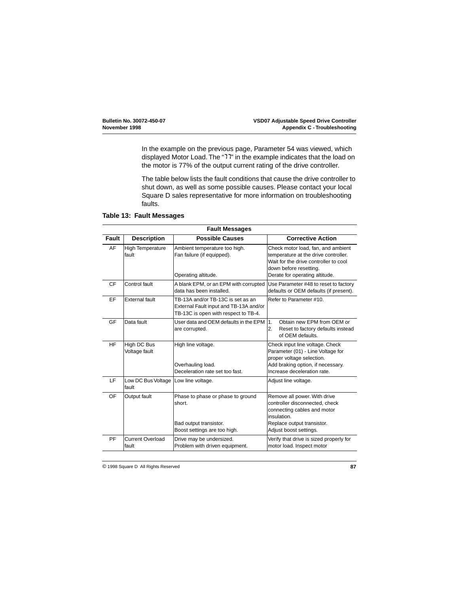<span id="page-90-0"></span>In the example on the previous page, Parameter 54 was viewed, which displayed Motor Load. The "77" in the example indicates that the load on the motor is 77% of the output current rating of the drive controller.

The table below lists the fault conditions that cause the drive controller to shut down, as well as some possible causes. Please contact your local Square D sales representative for more information on troubleshooting faults.

| <b>Fault Messages</b> |                                                 |                                                                                                                     |                                                                                                                                                                                 |  |  |  |
|-----------------------|-------------------------------------------------|---------------------------------------------------------------------------------------------------------------------|---------------------------------------------------------------------------------------------------------------------------------------------------------------------------------|--|--|--|
| Fault                 | <b>Description</b>                              | <b>Possible Causes</b>                                                                                              | <b>Corrective Action</b>                                                                                                                                                        |  |  |  |
| AF                    | <b>High Temperature</b><br>fault                | Ambient temperature too high.<br>Fan failure (if equipped).<br>Operating altitude.                                  | Check motor load, fan, and ambient<br>temperature at the drive controller.<br>Wait for the drive controller to cool<br>down before resetting.<br>Derate for operating altitude. |  |  |  |
| <b>CF</b>             | Control fault                                   | A blank EPM, or an EPM with corrupted<br>data has been installed.                                                   | Use Parameter #48 to reset to factory<br>defaults or OEM defaults (if present).                                                                                                 |  |  |  |
| EF                    | External fault                                  | TB-13A and/or TB-13C is set as an<br>External Fault input and TB-13A and/or<br>TB-13C is open with respect to TB-4. | Refer to Parameter #10.                                                                                                                                                         |  |  |  |
| GF                    | Data fault                                      | User data and OEM defaults in the EPM<br>are corrupted.                                                             | 1.<br>Obtain new FPM from OFM or<br>2.<br>Reset to factory defaults instead<br>of OEM defaults.                                                                                 |  |  |  |
| <b>HF</b>             | High DC Bus<br>Voltage fault                    | High line voltage.<br>Overhauling load.<br>Deceleration rate set too fast.                                          | Check input line voltage. Check<br>Parameter (01) - Line Voltage for<br>proper voltage selection.<br>Add braking option, if necessary.<br>Increase deceleration rate.           |  |  |  |
| LF                    | Low DC Bus Voltage   Low line voltage.<br>fault |                                                                                                                     | Adjust line voltage.                                                                                                                                                            |  |  |  |
| OF                    | Output fault                                    | Phase to phase or phase to ground<br>short.<br>Bad output transistor.<br>Boost settings are too high.               | Remove all power. With drive<br>controller disconnected, check<br>connecting cables and motor<br>insulation.<br>Replace output transistor.<br>Adjust boost settings.            |  |  |  |
| PF                    | <b>Current Overload</b><br>fault                | Drive may be undersized.<br>Problem with driven equipment.                                                          | Verify that drive is sized properly for<br>motor load. Inspect motor                                                                                                            |  |  |  |

#### **Table 13: Fault Messages**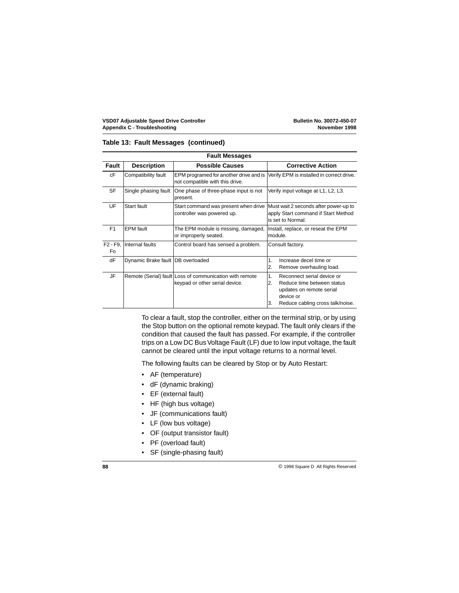|  |  |  | Table 13: Fault Messages (continued) |
|--|--|--|--------------------------------------|
|--|--|--|--------------------------------------|

| <b>Fault Messages</b> |                                   |                                                                                           |                                                                                                                                                         |  |  |  |  |
|-----------------------|-----------------------------------|-------------------------------------------------------------------------------------------|---------------------------------------------------------------------------------------------------------------------------------------------------------|--|--|--|--|
| Fault                 | <b>Description</b>                | <b>Possible Causes</b>                                                                    | <b>Corrective Action</b>                                                                                                                                |  |  |  |  |
| cF                    | Compatibility fault               | EPM programed for another drive and is<br>not compatible with this drive.                 | Verify EPM is installed in correct drive.                                                                                                               |  |  |  |  |
| <b>SF</b>             | Single phasing fault              | One phase of three-phase input is not<br>present.                                         | Verify input voltage at L1, L2, L3.                                                                                                                     |  |  |  |  |
| <b>UF</b>             | Start fault                       | Start command was present when drive<br>controller was powered up.                        | Must wait 2 seconds after power-up to<br>apply Start command if Start Method<br>is set to Normal.                                                       |  |  |  |  |
| F <sub>1</sub>        | <b>EPM</b> fault                  | The EPM module is missing, damaged,<br>or improperly seated.                              | Install, replace, or reseat the EPM<br>module.                                                                                                          |  |  |  |  |
| $F2 - F9$<br>Fo       | Internal faults                   | Control board has sensed a problem.                                                       | Consult factory.                                                                                                                                        |  |  |  |  |
| dF                    | Dynamic Brake fault DB overloaded |                                                                                           | 1.<br>Increase decel time or<br>2.<br>Remove overhauling load.                                                                                          |  |  |  |  |
| JF                    |                                   | Remote (Serial) fault Loss of communication with remote<br>keypad or other serial device. | 1.<br>Reconnect serial device or<br>2.<br>Reduce time between status<br>updates on remote serial<br>device or<br>3.<br>Reduce cabling cross talk/noise. |  |  |  |  |

To clear a fault, stop the controller, either on the terminal strip, or by using the Stop button on the optional remote keypad. The fault only clears if the condition that caused the fault has passed. For example, if the controller trips on a Low DC Bus Voltage Fault (LF) due to low input voltage, the fault cannot be cleared until the input voltage returns to a normal level.

The following faults can be cleared by Stop or by Auto Restart:

- AF (temperature)
- dF (dynamic braking)
- EF (external fault)
- HF (high bus voltage)
- JF (communications fault)
- LF (low bus voltage)
- OF (output transistor fault)
- PF (overload fault)
- SF (single-phasing fault)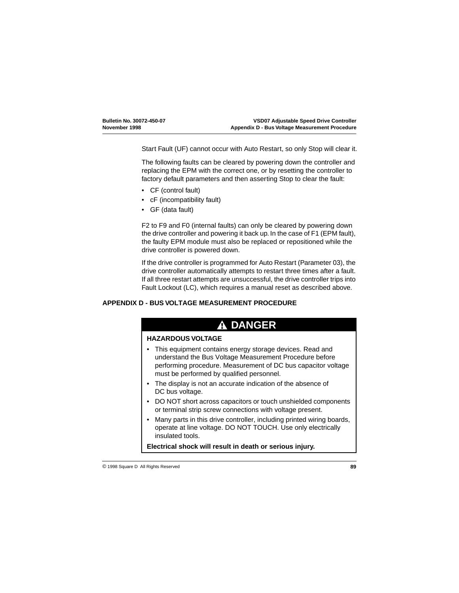<span id="page-92-0"></span>Start Fault (UF) cannot occur with Auto Restart, so only Stop will clear it.

The following faults can be cleared by powering down the controller and replacing the EPM with the correct one, or by resetting the controller to factory default parameters and then asserting Stop to clear the fault:

- CF (control fault)
- cF (incompatibility fault)
- GF (data fault)

F2 to F9 and F0 (internal faults) can only be cleared by powering down the drive controller and powering it back up. In the case of F1 (EPM fault), the faulty EPM module must also be replaced or repositioned while the drive controller is powered down.

If the drive controller is programmed for Auto Restart (Parameter 03), the drive controller automatically attempts to restart three times after a fault. If all three restart attempts are unsuccessful, the drive controller trips into Fault Lockout (LC), which requires a manual reset as described above.

#### **APPENDIX D - BUS VOLTAGE MEASUREMENT PROCEDURE**

# **A DANGER**

#### **HAZARDOUS VOLTAGE**

- This equipment contains energy storage devices. Read and understand the Bus Voltage Measurement Procedure before performing procedure. Measurement of DC bus capacitor voltage must be performed by qualified personnel.
- The display is not an accurate indication of the absence of DC bus voltage.
- DO NOT short across capacitors or touch unshielded components or terminal strip screw connections with voltage present.
- Many parts in this drive controller, including printed wiring boards, operate at line voltage. DO NOT TOUCH. Use only electrically insulated tools.

**Electrical shock will result in death or serious injury.**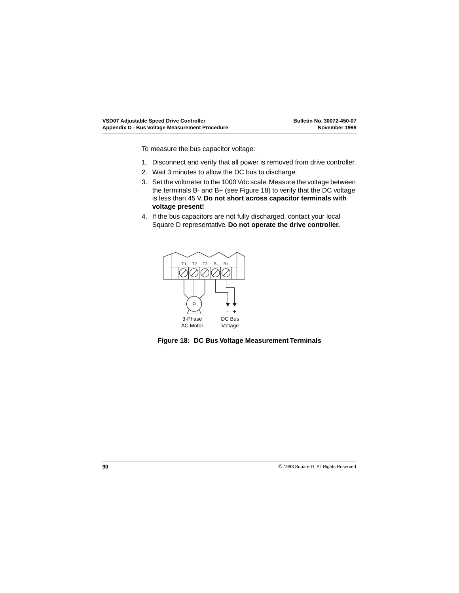To measure the bus capacitor voltage:

- 1. Disconnect and verify that all power is removed from drive controller.
- 2. Wait 3 minutes to allow the DC bus to discharge.
- 3. Set the voltmeter to the 1000 Vdc scale. Measure the voltage between the terminals B- and B+ (see Figure 18) to verify that the DC voltage is less than 45 V. **Do not short across capacitor terminals with voltage present!**
- 4. If the bus capacitors are not fully discharged, contact your local Square D representative. **Do not operate the drive controller.**



**Figure 18: DC Bus Voltage Measurement Terminals**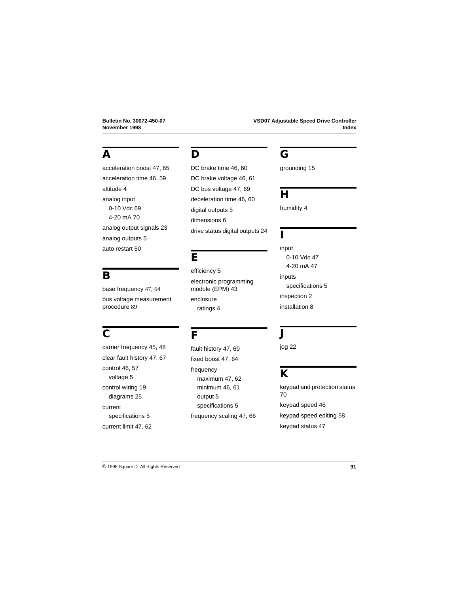## **A**

[acceleration boost 47,](#page-50-0) [65](#page-68-0) [acceleration time 46,](#page-49-0) [59](#page-62-0) [altitude 4](#page-7-0) analog input [0-10 Vdc 69](#page-72-0) [4-20 mA 70](#page-73-0) [analog output signals 23](#page-26-0) [analog outputs 5](#page-8-0) [auto restart 50](#page-53-0)

base frequency [47](#page-50-0), [64](#page-67-0) bus voltage measurement

procedure [89](#page-92-0)

## **D**

[DC brake time 46,](#page-49-0) [60](#page-63-0) [DC brake voltage 46,](#page-49-0) [61](#page-64-0) [DC bus voltage 47,](#page-50-0) [69](#page-72-0) [deceleration time 46,](#page-49-0) [60](#page-63-0) [digital outputs 5](#page-8-0) [dimensions 6](#page-9-0) [drive status digital outputs 24](#page-27-0)

## **E**

[efficiency 5](#page-8-0) [electronic programming](#page-46-0)  module (EPM) 43 enclosure [ratings 4](#page-7-0)

# **C**

**B**

[carrier frequency 45,](#page-48-0) [48](#page-51-0) [clear fault history 47,](#page-50-0) [67](#page-70-0) [control 46,](#page-49-0) [57](#page-60-0) [voltage 5](#page-8-0) [control wiring 19](#page-22-0) [diagrams 25](#page-28-0) current [specifications 5](#page-8-0) [current limit 47,](#page-50-0) [62](#page-65-0)

### **F**

[fault history 47,](#page-50-0) [69](#page-72-0) [fixed boost 47,](#page-50-0) [64](#page-67-0) frequency [maximum 47,](#page-50-0) [62](#page-65-0) [minimum 46,](#page-49-0) [61](#page-64-0) [output 5](#page-8-0) [specifications 5](#page-8-0) [frequency scaling 47,](#page-50-0) [66](#page-69-0)

# **G**

[grounding 15](#page-18-0)

# **H**

[humidity 4](#page-7-0)

#### **I**

input [0-10 Vdc 47](#page-50-0) [4-20 mA 47](#page-50-0) inputs [specifications 5](#page-8-0) [inspection 2](#page-5-0) [installation 8](#page-11-0)

## **J**

jog 22

# **K**

[keypad and protection status](#page-73-0)  70 [keypad speed 46](#page-49-0) [keypad speed editing 58](#page-61-0) [keypad status 47](#page-50-0)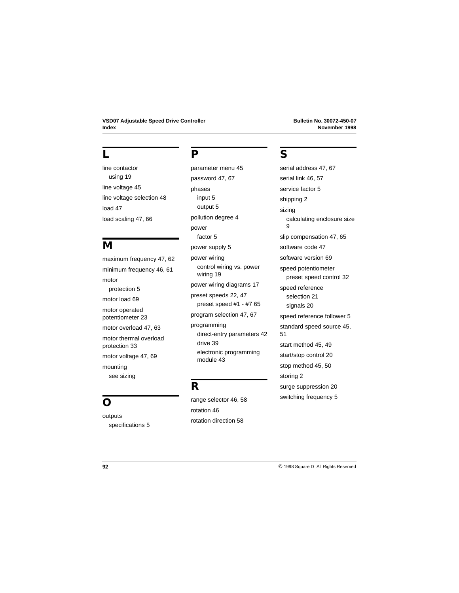### **L**

line contactor [using 19](#page-22-0) [line voltage 45](#page-48-0) [line voltage selection 48](#page-51-0) [load 47](#page-50-0) [load scaling 47,](#page-50-0) [66](#page-69-0)

## **M**

[maximum frequency 47,](#page-50-0) [62](#page-65-0) [minimum frequency 46,](#page-49-0) [61](#page-64-0) motor [protection 5](#page-8-0) [motor load 69](#page-72-0) motor operated [potentiometer 23](#page-26-0) [motor overload 47,](#page-50-0) [63](#page-66-0) [motor thermal overload](#page-36-0)  protection 33 [motor voltage 47,](#page-50-0) [69](#page-72-0) mounting [see sizing](#page-13-0)

# **O**

outputs [specifications 5](#page-8-0)

### **P**

[parameter menu 45](#page-48-0) [password 47,](#page-50-0) [67](#page-70-0) phases [input 5](#page-8-0) [output 5](#page-8-0) [pollution degree 4](#page-7-0) power [factor 5](#page-8-0) [power supply 5](#page-8-0) power wiring [control wiring vs. power](#page-22-0)  wiring 19 [power wiring diagrams 17](#page-20-0) [preset speeds 22,](#page-25-0) [47](#page-50-0) [preset speed #1 - #7 65](#page-68-0) [program selection 47,](#page-50-0) [67](#page-70-0) programming [direct-entry parameters 42](#page-45-0) [drive 39](#page-42-0) [electronic programming](#page-46-0)  module 43

### **R**

[range selector 46,](#page-49-0) [58](#page-61-0) [rotation 46](#page-49-0) [rotation direction 58](#page-61-0)

## **S**

[serial address 47,](#page-50-0) [67](#page-70-0) [serial link 46,](#page-49-0) [57](#page-60-0) [service factor 5](#page-8-0) [shipping 2](#page-5-0) sizing [calculating enclosure size](#page-12-0)   $\alpha$ [slip compensation 47,](#page-50-0) [65](#page-68-0) [software code 47](#page-50-0) [software version 69](#page-72-0) speed potentiometer [preset speed control 32](#page-35-0) speed reference [selection 21](#page-24-0) [signals 20](#page-23-0) [speed reference follower 5](#page-8-0) [standard speed source 45,](#page-48-0)  [51](#page-54-0) [start method 45,](#page-48-0) [49](#page-52-0) [start/stop control 20](#page-23-0) [stop method 45,](#page-48-0) [50](#page-53-0) [storing 2](#page-5-0) [surge suppression 20](#page-23-0) [switching frequency 5](#page-8-0)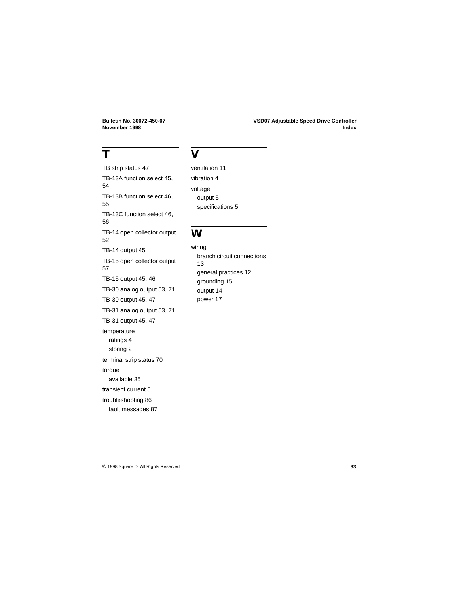# **T**

[TB strip status 47](#page-50-0) [TB-13A function select 45,](#page-48-0)  [54](#page-57-0) [TB-13B function select 46,](#page-49-0)  [55](#page-58-0) [TB-13C function select 46,](#page-49-0)  [56](#page-59-0) [TB-14 open collector output](#page-55-0)  52 [TB-14 output 45](#page-48-0) [TB-15 open collector output](#page-60-0)  57 [TB-15 output 45,](#page-48-0) [46](#page-49-0) [TB-30 analog output 53,](#page-56-0) [71](#page-74-0) [TB-30 output 45,](#page-48-0) [47](#page-50-0) [TB-31 analog output 53,](#page-56-0) [71](#page-74-0) [TB-31 output 45,](#page-48-0) [47](#page-50-0) temperature [ratings 4](#page-7-0) [storing 2](#page-5-0) [terminal strip status 70](#page-73-0) torque [available 35](#page-38-0) [transient current 5](#page-8-0) [troubleshooting 86](#page-89-0) [fault messages 87](#page-90-0)

### **V**

[ventilation 11](#page-14-0) [vibration 4](#page-7-0) voltage [output 5](#page-8-0) [specifications 5](#page-8-0)

### **W**

wiring [branch circuit connections](#page-16-0)  13 [general practices 12](#page-15-0) [grounding 15](#page-18-0) [output 14](#page-17-0) [power 17](#page-20-0)